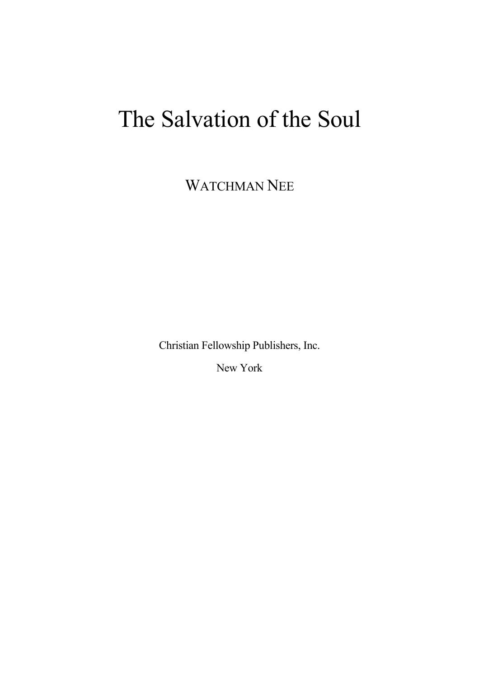# The Salvation of the Soul

WATCHMAN NEE

Christian Fellowship Publishers, Inc.

New York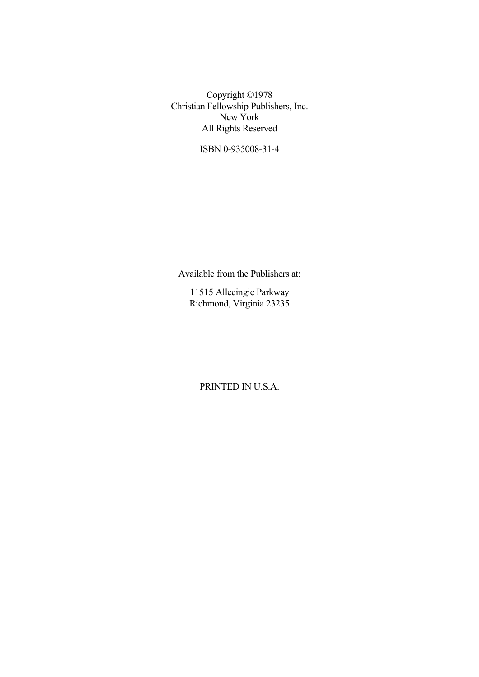Copyright ©1978 Christian Fellowship Publishers, Inc. New York All Rights Reserved

ISBN 0-935008-31-4

Available from the Publishers at:

11515 Allecingie Parkway Richmond, Virginia 23235

PRINTED IN U.S.A.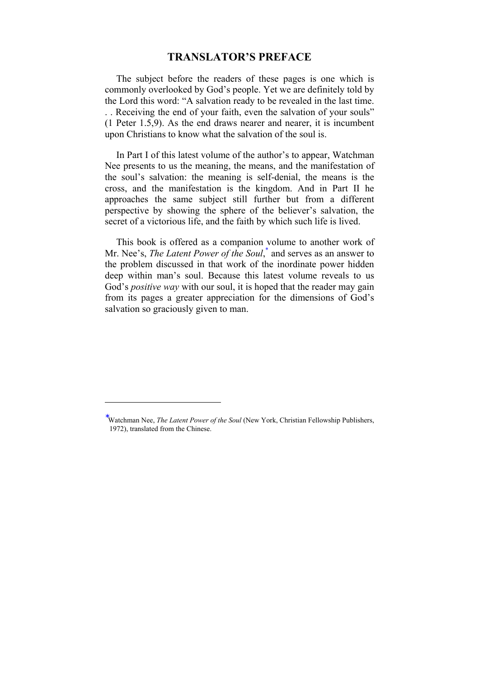# **TRANSLATOR'S PREFACE**

The subject before the readers of these pages is one which is commonly overlooked by God's people. Yet we are definitely told by the Lord this word: "A salvation ready to be revealed in the last time. . . Receiving the end of your faith, even the salvation of your souls" (1 Peter 1.5,9). As the end draws nearer and nearer, it is incumbent upon Christians to know what the salvation of the soul is.

In Part I of this latest volume of the author's to appear, Watchman Nee presents to us the meaning, the means, and the manifestation of the soul's salvation: the meaning is self-denial, the means is the cross, and the manifestation is the kingdom. And in Part II he approaches the same subject still further but from a different perspective by showing the sphere of the believer's salvation, the secret of a victorious life, and the faith by which such life is lived.

This book is offered as a companion volume to another work of Mr. Nee's, *The Latent Power of the Soul*,<sup>\*</sup> and serves as an answer to the problem discussed in that work of the inordinate power hidden deep within man's soul. Because this latest volume reveals to us God's *positive way* with our soul, it is hoped that the reader may gain from its pages a greater appreciation for the dimensions of God's salvation so graciously given to man.

 $\overline{a}$ 

<sup>∗</sup> Watchman Nee, *The Latent Power of the Soul* (New York, Christian Fellowship Publishers, 1972), translated from the Chinese.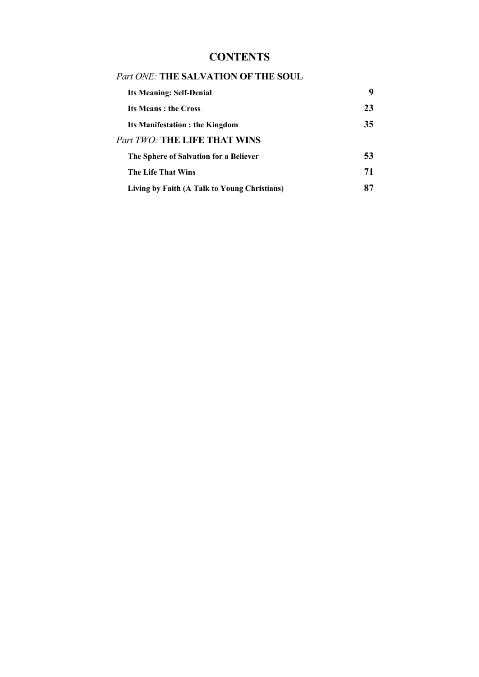# **CONTENTS**

## *Part ONE:* **THE SALVATION OF THE SOUL**

| <b>Its Meaning: Self-Denial</b>              | q  |
|----------------------------------------------|----|
| <b>Its Means: the Cross</b>                  | 23 |
| <b>Its Manifestation: the Kingdom</b>        | 35 |
| <i>Part TWO:</i> THE LIFE THAT WINS          |    |
| The Sphere of Salvation for a Believer       | 53 |
| <b>The Life That Wins</b>                    | 71 |
| Living by Faith (A Talk to Young Christians) |    |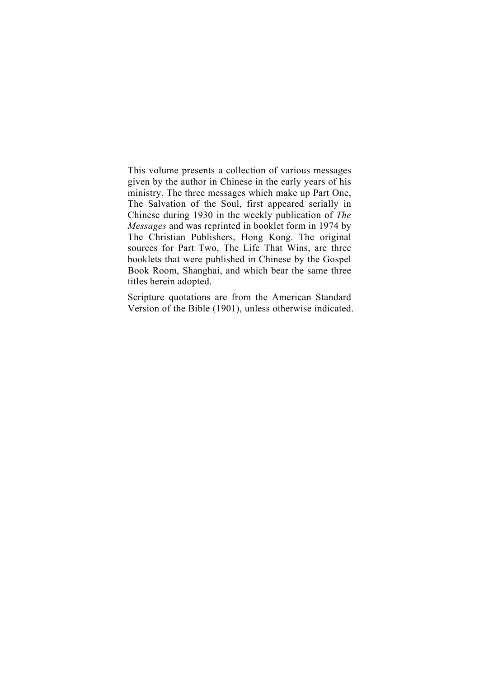This volume presents a collection of various messages given by the author in Chinese in the early years of his ministry. The three messages which make up Part One, The Salvation of the Soul, first appeared serially in Chinese during 1930 in the weekly publication of *The Messages* and was reprinted in booklet form in 1974 by The Christian Publishers, Hong Kong. The original sources for Part Two, The Life That Wins, are three booklets that were published in Chinese by the Gospel Book Room, Shanghai, and which bear the same three titles herein adopted.

Scripture quotations are from the American Standard Version of the Bible (1901), unless otherwise indicated.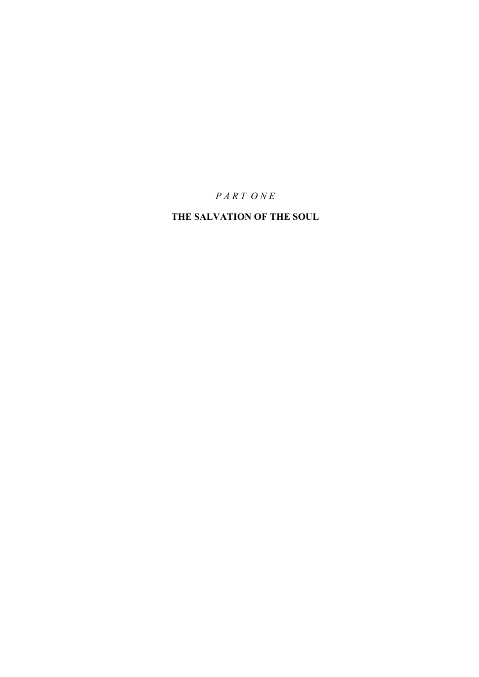# *P A R T O N E*

# **THE SALVATION OF THE SOUL**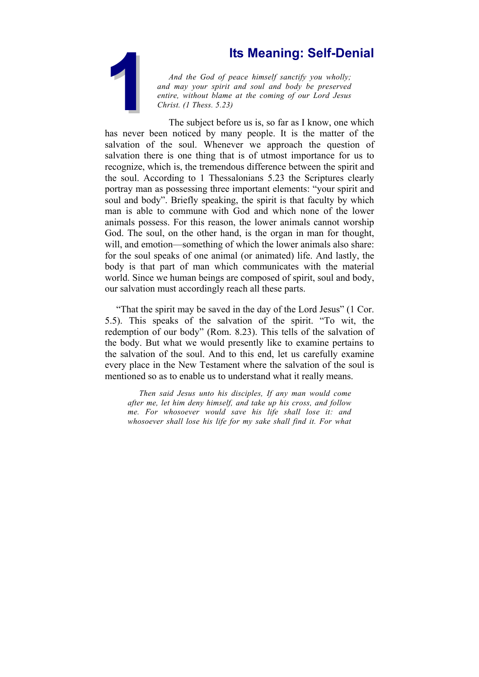<span id="page-8-0"></span>**115 Meaning: Self-Denial**<br>
And the God of peace himself sanctify you wholly;<br>
and may your spirit and soul and body be preserved<br>
entire, without blame at the coming of our Lord Jesus<br>
Christ. (1 Thess. 5.23)<br>
The subject *And the God of peace himself sanctify you wholly; and may your spirit and soul and body be preserved entire, without blame at the coming of our Lord Jesus Christ. (1 Thess. 5.23)*

The subject before us is, so far as I know, one which has never been noticed by many people. It is the matter of the salvation of the soul. Whenever we approach the question of salvation there is one thing that is of utmost importance for us to recognize, which is, the tremendous difference between the spirit and the soul. According to 1 Thessalonians 5.23 the Scriptures clearly portray man as possessing three important elements: "your spirit and soul and body". Briefly speaking, the spirit is that faculty by which man is able to commune with God and which none of the lower animals possess. For this reason, the lower animals cannot worship God. The soul, on the other hand, is the organ in man for thought, will, and emotion—something of which the lower animals also share: for the soul speaks of one animal (or animated) life. And lastly, the body is that part of man which communicates with the material world. Since we human beings are composed of spirit, soul and body, our salvation must accordingly reach all these parts.

"That the spirit may be saved in the day of the Lord Jesus" (1 Cor. 5.5). This speaks of the salvation of the spirit. "To wit, the redemption of our body" (Rom. 8.23). This tells of the salvation of the body. But what we would presently like to examine pertains to the salvation of the soul. And to this end, let us carefully examine every place in the New Testament where the salvation of the soul is mentioned so as to enable us to understand what it really means.

*Then said Jesus unto his disciples, If any man would come after me, let him deny himself, and take up his cross, and follow me. For whosoever would save his life shall lose it: and whosoever shall lose his life for my sake shall find it. For what*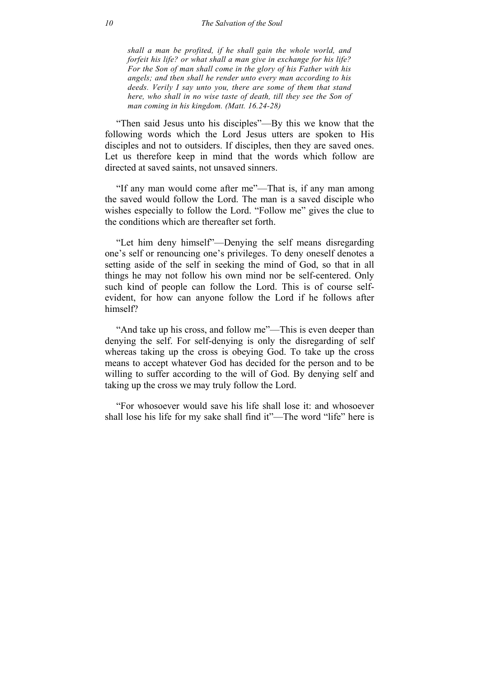*shall a man be profited, if he shall gain the whole world, and forfeit his life? or what shall a man give in exchange for his life? For the Son of man shall come in the glory of his Father with his angels; and then shall he render unto every man according to his deeds. Verily I say unto you, there are some of them that stand here, who shall in no wise taste of death, till they see the Son of man coming in his kingdom. (Matt. 16.24-28)* 

"Then said Jesus unto his disciples"—By this we know that the following words which the Lord Jesus utters are spoken to His disciples and not to outsiders. If disciples, then they are saved ones. Let us therefore keep in mind that the words which follow are directed at saved saints, not unsaved sinners.

"If any man would come after me"—That is, if any man among the saved would follow the Lord. The man is a saved disciple who wishes especially to follow the Lord. "Follow me" gives the clue to the conditions which are thereafter set forth.

"Let him deny himself"—Denying the self means disregarding one's self or renouncing one's privileges. To deny oneself denotes a setting aside of the self in seeking the mind of God, so that in all things he may not follow his own mind nor be self-centered. Only such kind of people can follow the Lord. This is of course selfevident, for how can anyone follow the Lord if he follows after himself?

"And take up his cross, and follow me"—This is even deeper than denying the self. For self-denying is only the disregarding of self whereas taking up the cross is obeying God. To take up the cross means to accept whatever God has decided for the person and to be willing to suffer according to the will of God. By denying self and taking up the cross we may truly follow the Lord.

"For whosoever would save his life shall lose it: and whosoever shall lose his life for my sake shall find it"—The word "life" here is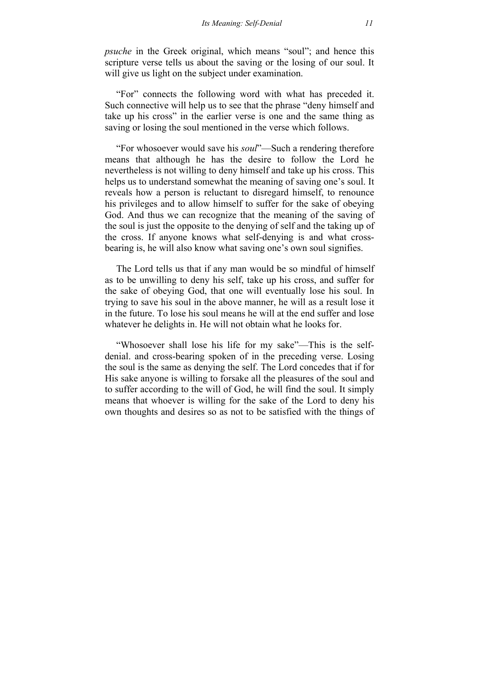*psuche* in the Greek original, which means "soul"; and hence this scripture verse tells us about the saving or the losing of our soul. It will give us light on the subject under examination.

"For" connects the following word with what has preceded it. Such connective will help us to see that the phrase "deny himself and take up his cross" in the earlier verse is one and the same thing as saving or losing the soul mentioned in the verse which follows.

"For whosoever would save his *soul*"—Such a rendering therefore means that although he has the desire to follow the Lord he nevertheless is not willing to deny himself and take up his cross. This helps us to understand somewhat the meaning of saving one's soul. It reveals how a person is reluctant to disregard himself, to renounce his privileges and to allow himself to suffer for the sake of obeying God. And thus we can recognize that the meaning of the saving of the soul is just the opposite to the denying of self and the taking up of the cross. If anyone knows what self-denying is and what crossbearing is, he will also know what saving one's own soul signifies.

The Lord tells us that if any man would be so mindful of himself as to be unwilling to deny his self, take up his cross, and suffer for the sake of obeying God, that one will eventually lose his soul. In trying to save his soul in the above manner, he will as a result lose it in the future. To lose his soul means he will at the end suffer and lose whatever he delights in. He will not obtain what he looks for.

"Whosoever shall lose his life for my sake"—This is the selfdenial. and cross-bearing spoken of in the preceding verse. Losing the soul is the same as denying the self. The Lord concedes that if for His sake anyone is willing to forsake all the pleasures of the soul and to suffer according to the will of God, he will find the soul. It simply means that whoever is willing for the sake of the Lord to deny his own thoughts and desires so as not to be satisfied with the things of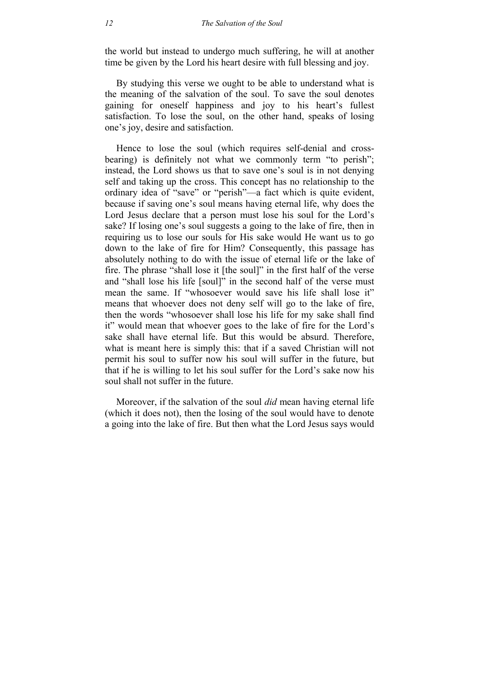the world but instead to undergo much suffering, he will at another time be given by the Lord his heart desire with full blessing and joy.

By studying this verse we ought to be able to understand what is the meaning of the salvation of the soul. To save the soul denotes gaining for oneself happiness and joy to his heart's fullest satisfaction. To lose the soul, on the other hand, speaks of losing one's joy, desire and satisfaction.

Hence to lose the soul (which requires self-denial and crossbearing) is definitely not what we commonly term "to perish"; instead, the Lord shows us that to save one's soul is in not denying self and taking up the cross. This concept has no relationship to the ordinary idea of "save" or "perish"—a fact which is quite evident, because if saving one's soul means having eternal life, why does the Lord Jesus declare that a person must lose his soul for the Lord's sake? If losing one's soul suggests a going to the lake of fire, then in requiring us to lose our souls for His sake would He want us to go down to the lake of fire for Him? Consequently, this passage has absolutely nothing to do with the issue of eternal life or the lake of fire. The phrase "shall lose it [the soul]" in the first half of the verse and "shall lose his life [soul]" in the second half of the verse must mean the same. If "whosoever would save his life shall lose it" means that whoever does not deny self will go to the lake of fire, then the words "whosoever shall lose his life for my sake shall find it" would mean that whoever goes to the lake of fire for the Lord's sake shall have eternal life. But this would be absurd. Therefore, what is meant here is simply this: that if a saved Christian will not permit his soul to suffer now his soul will suffer in the future, but that if he is willing to let his soul suffer for the Lord's sake now his soul shall not suffer in the future.

Moreover, if the salvation of the soul *did* mean having eternal life (which it does not), then the losing of the soul would have to denote a going into the lake of fire. But then what the Lord Jesus says would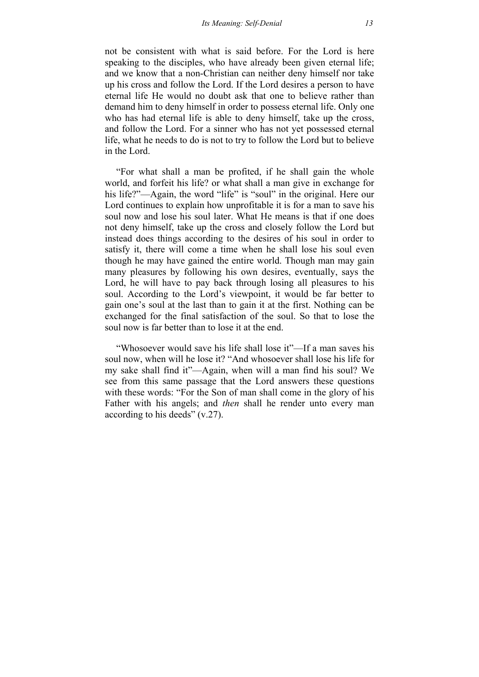not be consistent with what is said before. For the Lord is here speaking to the disciples, who have already been given eternal life; and we know that a non-Christian can neither deny himself nor take up his cross and follow the Lord. If the Lord desires a person to have eternal life He would no doubt ask that one to believe rather than demand him to deny himself in order to possess eternal life. Only one who has had eternal life is able to deny himself, take up the cross, and follow the Lord. For a sinner who has not yet possessed eternal life, what he needs to do is not to try to follow the Lord but to believe in the Lord.

"For what shall a man be profited, if he shall gain the whole world, and forfeit his life? or what shall a man give in exchange for his life?"—Again, the word "life" is "soul" in the original. Here our Lord continues to explain how unprofitable it is for a man to save his soul now and lose his soul later. What He means is that if one does not deny himself, take up the cross and closely follow the Lord but instead does things according to the desires of his soul in order to satisfy it, there will come a time when he shall lose his soul even though he may have gained the entire world. Though man may gain many pleasures by following his own desires, eventually, says the Lord, he will have to pay back through losing all pleasures to his soul. According to the Lord's viewpoint, it would be far better to gain one's soul at the last than to gain it at the first. Nothing can be exchanged for the final satisfaction of the soul. So that to lose the soul now is far better than to lose it at the end.

"Whosoever would save his life shall lose it"—If a man saves his soul now, when will he lose it? "And whosoever shall lose his life for my sake shall find it"—Again, when will a man find his soul? We see from this same passage that the Lord answers these questions with these words: "For the Son of man shall come in the glory of his Father with his angels; and *then* shall he render unto every man according to his deeds" (v.27).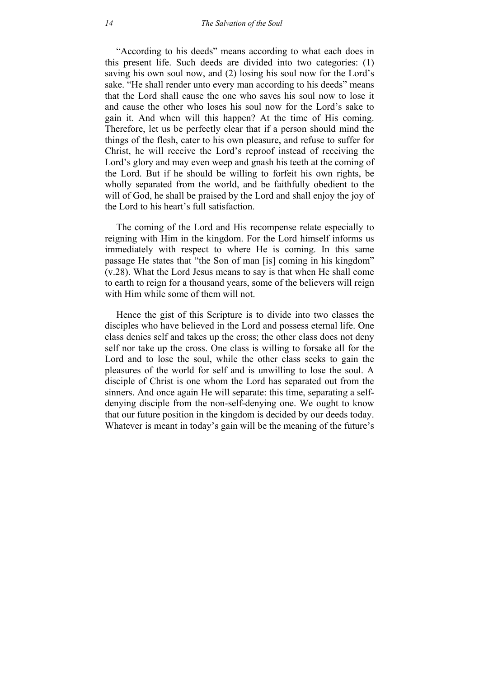"According to his deeds" means according to what each does in this present life. Such deeds are divided into two categories: (1) saving his own soul now, and (2) losing his soul now for the Lord's sake. "He shall render unto every man according to his deeds" means that the Lord shall cause the one who saves his soul now to lose it and cause the other who loses his soul now for the Lord's sake to gain it. And when will this happen? At the time of His coming. Therefore, let us be perfectly clear that if a person should mind the things of the flesh, cater to his own pleasure, and refuse to suffer for Christ, he will receive the Lord's reproof instead of receiving the Lord's glory and may even weep and gnash his teeth at the coming of the Lord. But if he should be willing to forfeit his own rights, be wholly separated from the world, and be faithfully obedient to the will of God, he shall be praised by the Lord and shall enjoy the joy of the Lord to his heart's full satisfaction.

The coming of the Lord and His recompense relate especially to reigning with Him in the kingdom. For the Lord himself informs us immediately with respect to where He is coming. In this same passage He states that "the Son of man [is] coming in his kingdom" (v.28). What the Lord Jesus means to say is that when He shall come to earth to reign for a thousand years, some of the believers will reign with Him while some of them will not.

Hence the gist of this Scripture is to divide into two classes the disciples who have believed in the Lord and possess eternal life. One class denies self and takes up the cross; the other class does not deny self nor take up the cross. One class is willing to forsake all for the Lord and to lose the soul, while the other class seeks to gain the pleasures of the world for self and is unwilling to lose the soul. A disciple of Christ is one whom the Lord has separated out from the sinners. And once again He will separate: this time, separating a selfdenying disciple from the non-self-denying one. We ought to know that our future position in the kingdom is decided by our deeds today. Whatever is meant in today's gain will be the meaning of the future's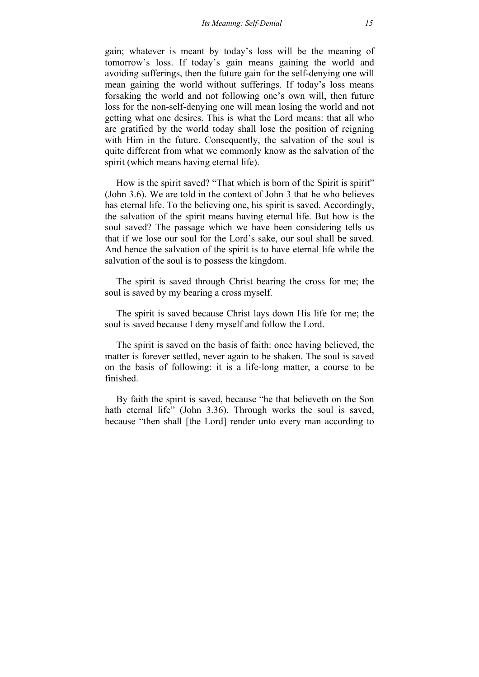gain; whatever is meant by today's loss will be the meaning of tomorrow's loss. If today's gain means gaining the world and avoiding sufferings, then the future gain for the self-denying one will mean gaining the world without sufferings. If today's loss means forsaking the world and not following one's own will, then future loss for the non-self-denying one will mean losing the world and not getting what one desires. This is what the Lord means: that all who are gratified by the world today shall lose the position of reigning with Him in the future. Consequently, the salvation of the soul is quite different from what we commonly know as the salvation of the spirit (which means having eternal life).

How is the spirit saved? "That which is born of the Spirit is spirit" (John 3.6). We are told in the context of John 3 that he who believes has eternal life. To the believing one, his spirit is saved. Accordingly, the salvation of the spirit means having eternal life. But how is the soul saved? The passage which we have been considering tells us that if we lose our soul for the Lord's sake, our soul shall be saved. And hence the salvation of the spirit is to have eternal life while the salvation of the soul is to possess the kingdom.

The spirit is saved through Christ bearing the cross for me; the soul is saved by my bearing a cross myself.

The spirit is saved because Christ lays down His life for me; the soul is saved because I deny myself and follow the Lord.

The spirit is saved on the basis of faith: once having believed, the matter is forever settled, never again to be shaken. The soul is saved on the basis of following: it is a life-long matter, a course to be finished.

By faith the spirit is saved, because "he that believeth on the Son hath eternal life" (John 3.36). Through works the soul is saved, because "then shall [the Lord] render unto every man according to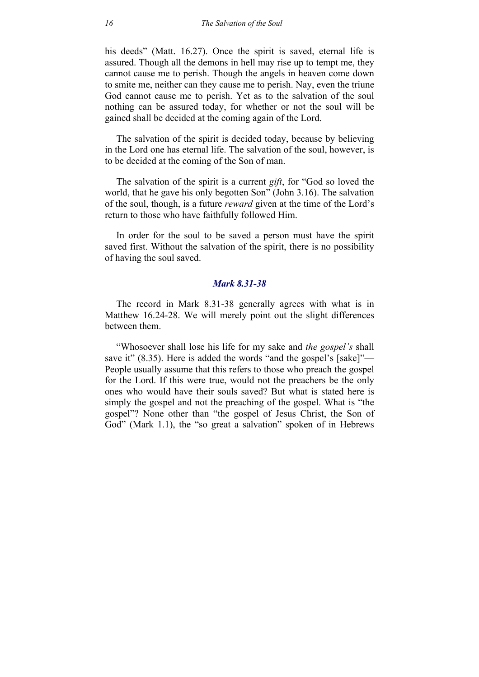his deeds" (Matt. 16.27). Once the spirit is saved, eternal life is assured. Though all the demons in hell may rise up to tempt me, they cannot cause me to perish. Though the angels in heaven come down to smite me, neither can they cause me to perish. Nay, even the triune God cannot cause me to perish. Yet as to the salvation of the soul nothing can be assured today, for whether or not the soul will be gained shall be decided at the coming again of the Lord.

The salvation of the spirit is decided today, because by believing in the Lord one has eternal life. The salvation of the soul, however, is to be decided at the coming of the Son of man.

The salvation of the spirit is a current *gift*, for "God so loved the world, that he gave his only begotten Son" (John 3.16). The salvation of the soul, though, is a future *reward* given at the time of the Lord's return to those who have faithfully followed Him.

In order for the soul to be saved a person must have the spirit saved first. Without the salvation of the spirit, there is no possibility of having the soul saved.

### *Mark 8.31-38*

The record in Mark 8.31-38 generally agrees with what is in Matthew 16.24-28. We will merely point out the slight differences between them.

"Whosoever shall lose his life for my sake and *the gospel's* shall save it" (8.35). Here is added the words "and the gospel's [sake]"— People usually assume that this refers to those who preach the gospel for the Lord. If this were true, would not the preachers be the only ones who would have their souls saved? But what is stated here is simply the gospel and not the preaching of the gospel. What is "the gospel"? None other than "the gospel of Jesus Christ, the Son of God" (Mark 1.1), the "so great a salvation" spoken of in Hebrews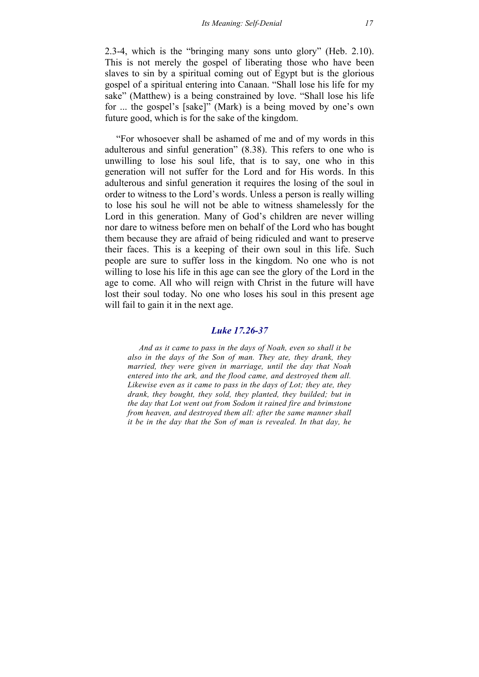2.3-4, which is the "bringing many sons unto glory" (Heb. 2.10). This is not merely the gospel of liberating those who have been slaves to sin by a spiritual coming out of Egypt but is the glorious gospel of a spiritual entering into Canaan. "Shall lose his life for my sake" (Matthew) is a being constrained by love. "Shall lose his life for ... the gospel's [sake]" (Mark) is a being moved by one's own future good, which is for the sake of the kingdom.

"For whosoever shall be ashamed of me and of my words in this adulterous and sinful generation" (8.38). This refers to one who is unwilling to lose his soul life, that is to say, one who in this generation will not suffer for the Lord and for His words. In this adulterous and sinful generation it requires the losing of the soul in order to witness to the Lord's words. Unless a person is really willing to lose his soul he will not be able to witness shamelessly for the Lord in this generation. Many of God's children are never willing nor dare to witness before men on behalf of the Lord who has bought them because they are afraid of being ridiculed and want to preserve their faces. This is a keeping of their own soul in this life. Such people are sure to suffer loss in the kingdom. No one who is not willing to lose his life in this age can see the glory of the Lord in the age to come. All who will reign with Christ in the future will have lost their soul today. No one who loses his soul in this present age will fail to gain it in the next age.

### *Luke 17.26-37*

*And as it came to pass in the days of Noah, even so shall it be also in the days of the Son of man. They ate, they drank, they married, they were given in marriage, until the day that Noah entered into the ark, and the flood came, and destroyed them all. Likewise even as it came to pass in the days of Lot; they ate, they drank, they bought, they sold, they planted, they builded; but in the day that Lot went out from Sodom it rained fire and brimstone from heaven, and destroyed them all: after the same manner shall it be in the day that the Son of man is revealed. In that day, he*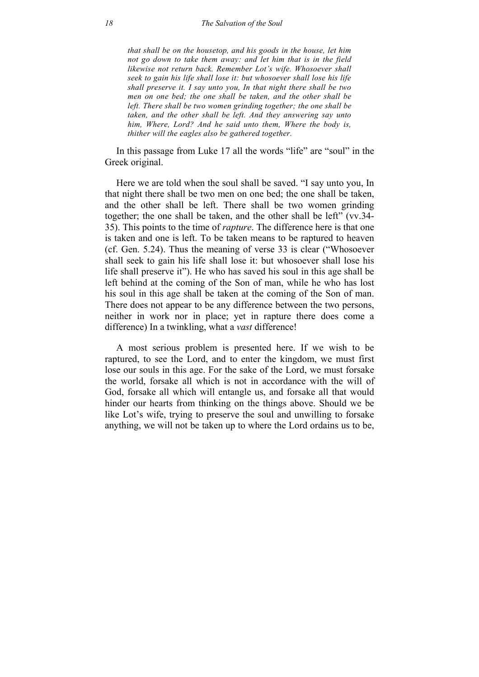*that shall be on the housetop, and his goods in the house, let him not go down to take them away: and let him that is in the field likewise not return back. Remember Lot's wife. Whosoever shall seek to gain his life shall lose it: but whosoever shall lose his life shall preserve it. I say unto you, In that night there shall be two men on one bed; the one shall be taken, and the other shall be left. There shall be two women grinding together; the one shall be taken, and the other shall be left. And they answering say unto him, Where, Lord? And he said unto them, Where the body is, thither will the eagles also be gathered together.* 

In this passage from Luke 17 all the words "life" are "soul" in the Greek original.

Here we are told when the soul shall be saved. "I say unto you, In that night there shall be two men on one bed; the one shall be taken, and the other shall be left. There shall be two women grinding together; the one shall be taken, and the other shall be left" (vv.34- 35). This points to the time of *rapture*. The difference here is that one is taken and one is left. To be taken means to be raptured to heaven (cf. Gen. 5.24). Thus the meaning of verse 33 is clear ("Whosoever shall seek to gain his life shall lose it: but whosoever shall lose his life shall preserve it"). He who has saved his soul in this age shall be left behind at the coming of the Son of man, while he who has lost his soul in this age shall be taken at the coming of the Son of man. There does not appear to be any difference between the two persons, neither in work nor in place; yet in rapture there does come a difference) In a twinkling, what a *vast* difference!

A most serious problem is presented here. If we wish to be raptured, to see the Lord, and to enter the kingdom, we must first lose our souls in this age. For the sake of the Lord, we must forsake the world, forsake all which is not in accordance with the will of God, forsake all which will entangle us, and forsake all that would hinder our hearts from thinking on the things above. Should we be like Lot's wife, trying to preserve the soul and unwilling to forsake anything, we will not be taken up to where the Lord ordains us to be,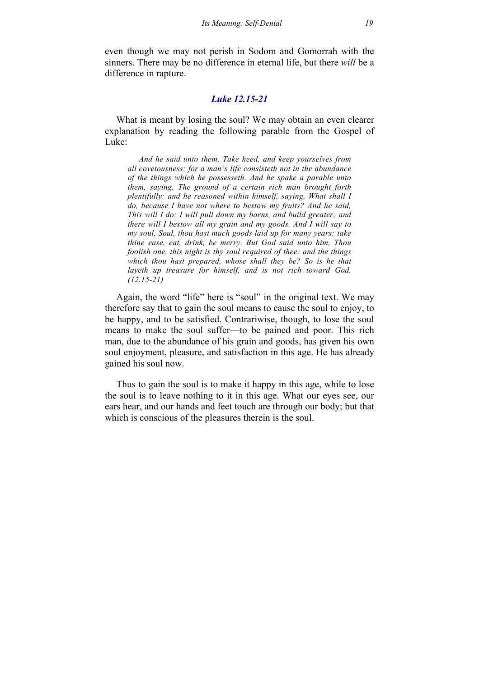even though we may not perish in Sodom and Gomorrah with the sinners. There may be no difference in eternal life, but there *will* be a difference in rapture.

### *Luke 12.15-21*

What is meant by losing the soul? We may obtain an even clearer explanation by reading the following parable from the Gospel of Luke:

*And he said unto them, Take heed, and keep yourselves from all covetousness: for a man's life consisteth not in the abundance of the things which he possesseth. And he spake a parable unto them, saying, The ground of a certain rich man brought forth plentifully: and he reasoned within himself, saying, What shall I do, because I have not where to bestow my fruits? And he said, This will I do: I will pull down my barns, and build greater; and there will I bestow all my grain and my goods. And I will say to my soul, Soul, thou hast much goods laid up for many years; take thine ease, eat, drink, be merry. But God said unto him, Thou foolish one, this night is thy soul required of thee: and the things which thou hast prepared, whose shall they be? So is he that layeth up treasure for himself, and is not rich toward God. (12.15-21)* 

Again, the word "life" here is "soul" in the original text. We may therefore say that to gain the soul means to cause the soul to enjoy, to be happy, and to be satisfied. Contrariwise, though, to lose the soul means to make the soul suffer—to be pained and poor. This rich man, due to the abundance of his grain and goods, has given his own soul enjoyment, pleasure, and satisfaction in this age. He has already gained his soul now.

Thus to gain the soul is to make it happy in this age, while to lose the soul is to leave nothing to it in this age. What our eyes see, our ears hear, and our hands and feet touch are through our body; but that which is conscious of the pleasures therein is the soul.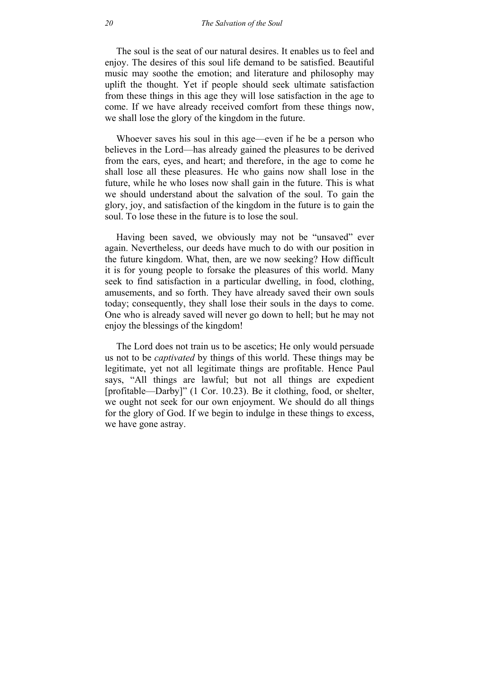The soul is the seat of our natural desires. It enables us to feel and enjoy. The desires of this soul life demand to be satisfied. Beautiful music may soothe the emotion; and literature and philosophy may uplift the thought. Yet if people should seek ultimate satisfaction from these things in this age they will lose satisfaction in the age to come. If we have already received comfort from these things now, we shall lose the glory of the kingdom in the future.

Whoever saves his soul in this age—even if he be a person who believes in the Lord—has already gained the pleasures to be derived from the ears, eyes, and heart; and therefore, in the age to come he shall lose all these pleasures. He who gains now shall lose in the future, while he who loses now shall gain in the future. This is what we should understand about the salvation of the soul. To gain the glory, joy, and satisfaction of the kingdom in the future is to gain the soul. To lose these in the future is to lose the soul.

Having been saved, we obviously may not be "unsaved" ever again. Nevertheless, our deeds have much to do with our position in the future kingdom. What, then, are we now seeking? How difficult it is for young people to forsake the pleasures of this world. Many seek to find satisfaction in a particular dwelling, in food, clothing, amusements, and so forth. They have already saved their own souls today; consequently, they shall lose their souls in the days to come. One who is already saved will never go down to hell; but he may not enjoy the blessings of the kingdom!

The Lord does not train us to be ascetics; He only would persuade us not to be *captivated* by things of this world. These things may be legitimate, yet not all legitimate things are profitable. Hence Paul says, "All things are lawful; but not all things are expedient [profitable—Darby]" (1 Cor. 10.23). Be it clothing, food, or shelter, we ought not seek for our own enjoyment. We should do all things for the glory of God. If we begin to indulge in these things to excess, we have gone astray.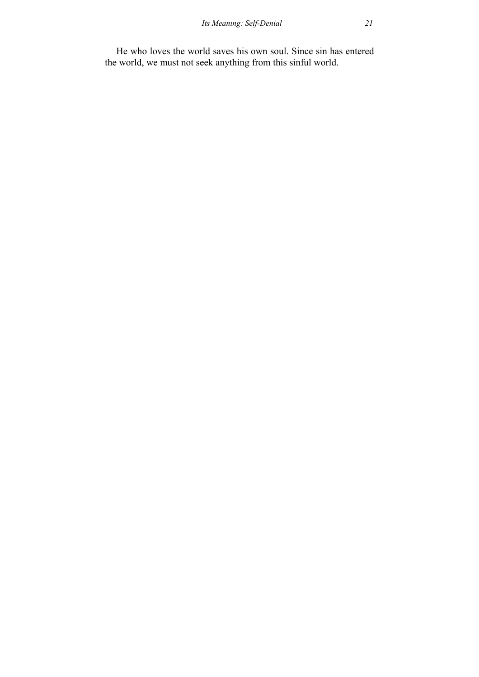He who loves the world saves his own soul. Since sin has entered the world, we must not seek anything from this sinful world.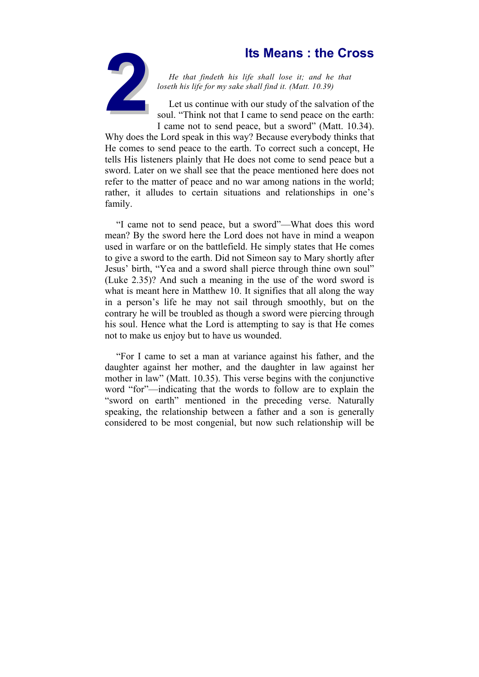

*He that findeth his life shall lose it; and he that loseth his life for my sake shall find it. (Matt. 10.39)*

<span id="page-22-0"></span>**221 Its Means : the Cross**<br> *2 He that findeth his life shall lose it; and he that*<br> *2Its loseth his life for my sake shall find it. (Matt. 10.39)*<br> *2Its us continue with our study of the salvation of the soul.* "Thin Let us continue with our study of the salvation of the soul. "Think not that I came to send peace on the earth: I came not to send peace, but a sword" (Matt. 10.34). Why does the Lord speak in this way? Because everybody thinks that He comes to send peace to the earth. To correct such a concept, He tells His listeners plainly that He does not come to send peace but a sword. Later on we shall see that the peace mentioned here does not refer to the matter of peace and no war among nations in the world; rather, it alludes to certain situations and relationships in one's family.

"I came not to send peace, but a sword"—What does this word mean? By the sword here the Lord does not have in mind a weapon used in warfare or on the battlefield. He simply states that He comes to give a sword to the earth. Did not Simeon say to Mary shortly after Jesus' birth, "Yea and a sword shall pierce through thine own soul" (Luke 2.35)? And such a meaning in the use of the word sword is what is meant here in Matthew 10. It signifies that all along the way in a person's life he may not sail through smoothly, but on the contrary he will be troubled as though a sword were piercing through his soul. Hence what the Lord is attempting to say is that He comes not to make us enjoy but to have us wounded.

"For I came to set a man at variance against his father, and the daughter against her mother, and the daughter in law against her mother in law" (Matt. 10.35). This verse begins with the conjunctive word "for"—indicating that the words to follow are to explain the "sword on earth" mentioned in the preceding verse. Naturally speaking, the relationship between a father and a son is generally considered to be most congenial, but now such relationship will be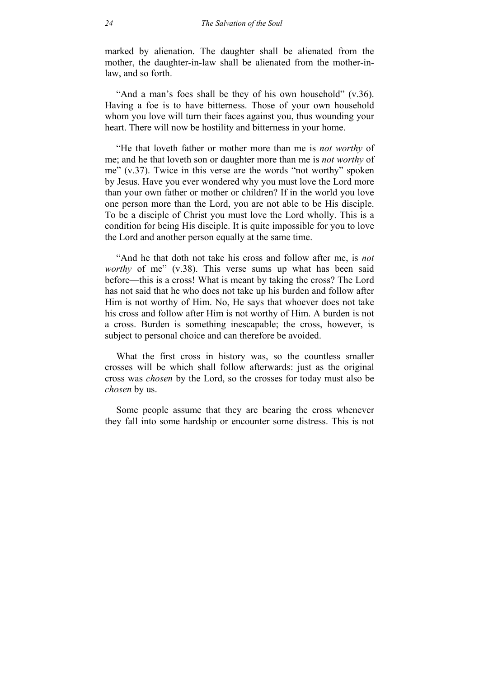marked by alienation. The daughter shall be alienated from the mother, the daughter-in-law shall be alienated from the mother-inlaw, and so forth.

"And a man's foes shall be they of his own household" (v.36). Having a foe is to have bitterness. Those of your own household whom you love will turn their faces against you, thus wounding your heart. There will now be hostility and bitterness in your home.

"He that loveth father or mother more than me is *not worthy* of me; and he that loveth son or daughter more than me is *not worthy* of me" (v.37). Twice in this verse are the words "not worthy" spoken by Jesus. Have you ever wondered why you must love the Lord more than your own father or mother or children? If in the world you love one person more than the Lord, you are not able to be His disciple. To be a disciple of Christ you must love the Lord wholly. This is a condition for being His disciple. It is quite impossible for you to love the Lord and another person equally at the same time.

"And he that doth not take his cross and follow after me, is *not worthy* of me" (v.38). This verse sums up what has been said before—this is a cross! What is meant by taking the cross? The Lord has not said that he who does not take up his burden and follow after Him is not worthy of Him. No, He says that whoever does not take his cross and follow after Him is not worthy of Him. A burden is not a cross. Burden is something inescapable; the cross, however, is subject to personal choice and can therefore be avoided.

What the first cross in history was, so the countless smaller crosses will be which shall follow afterwards: just as the original cross was *chosen* by the Lord, so the crosses for today must also be *chosen* by us.

Some people assume that they are bearing the cross whenever they fall into some hardship or encounter some distress. This is not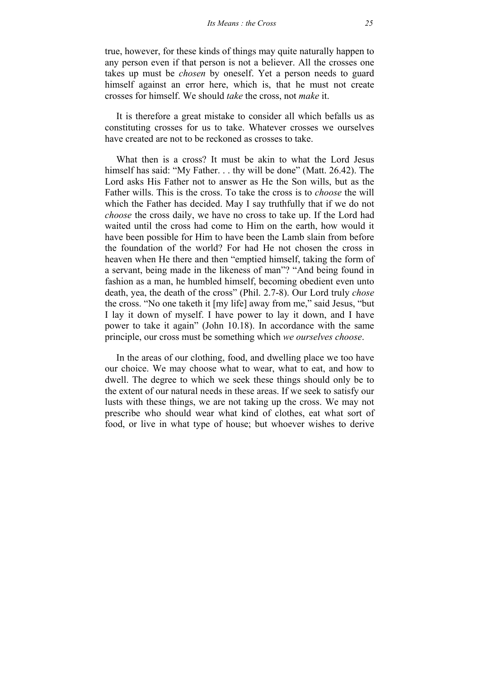true, however, for these kinds of things may quite naturally happen to any person even if that person is not a believer. All the crosses one takes up must be *chosen* by oneself. Yet a person needs to guard himself against an error here, which is, that he must not create crosses for himself. We should *take* the cross, not *make* it.

It is therefore a great mistake to consider all which befalls us as constituting crosses for us to take. Whatever crosses we ourselves have created are not to be reckoned as crosses to take.

What then is a cross? It must be akin to what the Lord Jesus himself has said: "My Father. . . thy will be done" (Matt. 26.42). The Lord asks His Father not to answer as He the Son wills, but as the Father wills. This is the cross. To take the cross is to *choose* the will which the Father has decided. May I say truthfully that if we do not *choose* the cross daily, we have no cross to take up. If the Lord had waited until the cross had come to Him on the earth, how would it have been possible for Him to have been the Lamb slain from before the foundation of the world? For had He not chosen the cross in heaven when He there and then "emptied himself, taking the form of a servant, being made in the likeness of man"? "And being found in fashion as a man, he humbled himself, becoming obedient even unto death, yea, the death of the cross" (Phil. 2.7-8). Our Lord truly *chose* the cross. "No one taketh it [my life] away from me," said Jesus, "but I lay it down of myself. I have power to lay it down, and I have power to take it again" (John 10.18). In accordance with the same principle, our cross must be something which *we ourselves choose*.

In the areas of our clothing, food, and dwelling place we too have our choice. We may choose what to wear, what to eat, and how to dwell. The degree to which we seek these things should only be to the extent of our natural needs in these areas. If we seek to satisfy our lusts with these things, we are not taking up the cross. We may not prescribe who should wear what kind of clothes, eat what sort of food, or live in what type of house; but whoever wishes to derive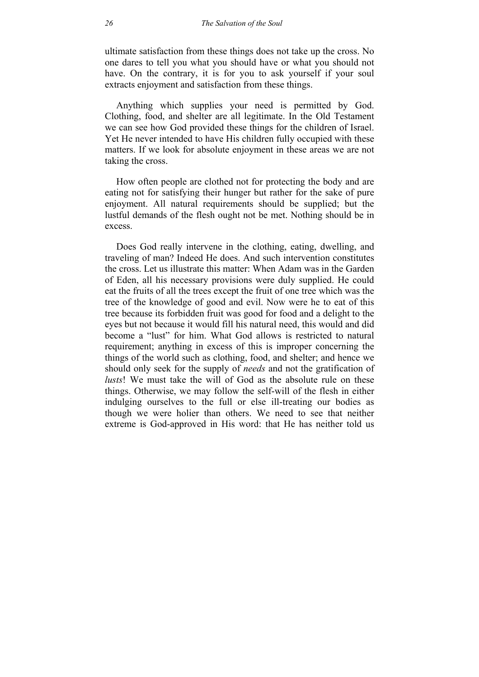ultimate satisfaction from these things does not take up the cross. No one dares to tell you what you should have or what you should not have. On the contrary, it is for you to ask yourself if your soul extracts enjoyment and satisfaction from these things.

Anything which supplies your need is permitted by God. Clothing, food, and shelter are all legitimate. In the Old Testament we can see how God provided these things for the children of Israel. Yet He never intended to have His children fully occupied with these matters. If we look for absolute enjoyment in these areas we are not taking the cross.

How often people are clothed not for protecting the body and are eating not for satisfying their hunger but rather for the sake of pure enjoyment. All natural requirements should be supplied; but the lustful demands of the flesh ought not be met. Nothing should be in excess.

Does God really intervene in the clothing, eating, dwelling, and traveling of man? Indeed He does. And such intervention constitutes the cross. Let us illustrate this matter: When Adam was in the Garden of Eden, all his necessary provisions were duly supplied. He could eat the fruits of all the trees except the fruit of one tree which was the tree of the knowledge of good and evil. Now were he to eat of this tree because its forbidden fruit was good for food and a delight to the eyes but not because it would fill his natural need, this would and did become a "lust" for him. What God allows is restricted to natural requirement; anything in excess of this is improper concerning the things of the world such as clothing, food, and shelter; and hence we should only seek for the supply of *needs* and not the gratification of *lusts*! We must take the will of God as the absolute rule on these things. Otherwise, we may follow the self-will of the flesh in either indulging ourselves to the full or else ill-treating our bodies as though we were holier than others. We need to see that neither extreme is God-approved in His word: that He has neither told us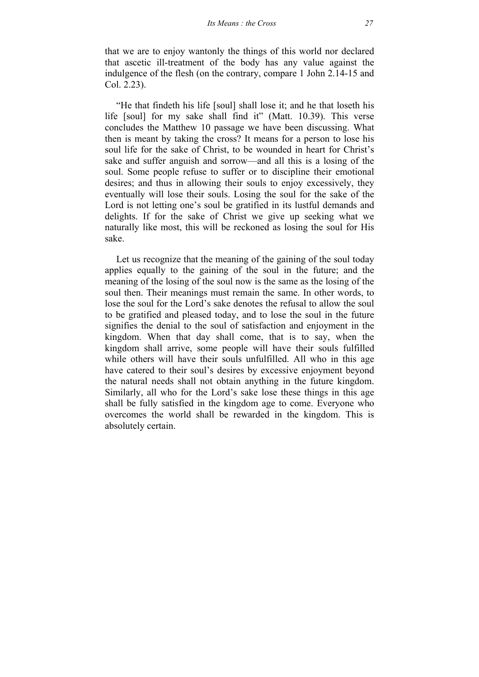that we are to enjoy wantonly the things of this world nor declared that ascetic ill-treatment of the body has any value against the indulgence of the flesh (on the contrary, compare 1 John 2.14-15 and Col. 2.23).

"He that findeth his life [soul] shall lose it; and he that loseth his life [soul] for my sake shall find it" (Matt. 10.39). This verse concludes the Matthew 10 passage we have been discussing. What then is meant by taking the cross? It means for a person to lose his soul life for the sake of Christ, to be wounded in heart for Christ's sake and suffer anguish and sorrow—and all this is a losing of the soul. Some people refuse to suffer or to discipline their emotional desires; and thus in allowing their souls to enjoy excessively, they eventually will lose their souls. Losing the soul for the sake of the Lord is not letting one's soul be gratified in its lustful demands and delights. If for the sake of Christ we give up seeking what we naturally like most, this will be reckoned as losing the soul for His sake.

Let us recognize that the meaning of the gaining of the soul today applies equally to the gaining of the soul in the future; and the meaning of the losing of the soul now is the same as the losing of the soul then. Their meanings must remain the same. In other words, to lose the soul for the Lord's sake denotes the refusal to allow the soul to be gratified and pleased today, and to lose the soul in the future signifies the denial to the soul of satisfaction and enjoyment in the kingdom. When that day shall come, that is to say, when the kingdom shall arrive, some people will have their souls fulfilled while others will have their souls unfulfilled. All who in this age have catered to their soul's desires by excessive enjoyment beyond the natural needs shall not obtain anything in the future kingdom. Similarly, all who for the Lord's sake lose these things in this age shall be fully satisfied in the kingdom age to come. Everyone who overcomes the world shall be rewarded in the kingdom. This is absolutely certain.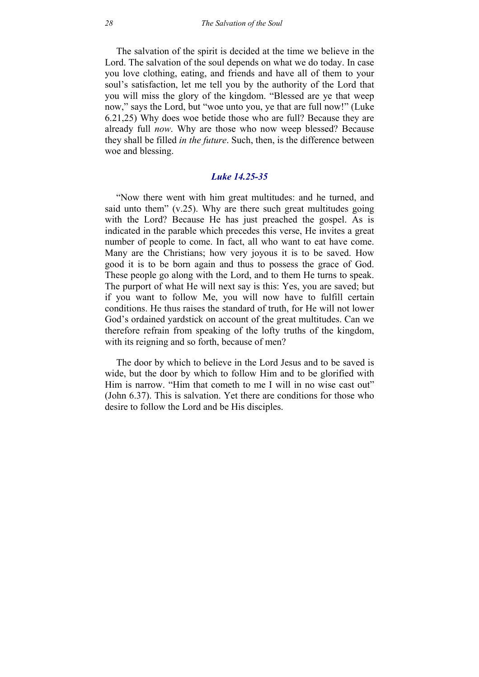The salvation of the spirit is decided at the time we believe in the Lord. The salvation of the soul depends on what we do today. In case you love clothing, eating, and friends and have all of them to your soul's satisfaction, let me tell you by the authority of the Lord that you will miss the glory of the kingdom. "Blessed are ye that weep now," says the Lord, but "woe unto you, ye that are full now!" (Luke 6.21,25) Why does woe betide those who are full? Because they are already full *now*. Why are those who now weep blessed? Because they shall be filled *in the future*. Such, then, is the difference between woe and blessing.

### *Luke 14.25-35*

"Now there went with him great multitudes: and he turned, and said unto them" (v.25). Why are there such great multitudes going with the Lord? Because He has just preached the gospel. As is indicated in the parable which precedes this verse, He invites a great number of people to come. In fact, all who want to eat have come. Many are the Christians; how very joyous it is to be saved. How good it is to be born again and thus to possess the grace of God. These people go along with the Lord, and to them He turns to speak. The purport of what He will next say is this: Yes, you are saved; but if you want to follow Me, you will now have to fulfill certain conditions. He thus raises the standard of truth, for He will not lower God's ordained yardstick on account of the great multitudes. Can we therefore refrain from speaking of the lofty truths of the kingdom, with its reigning and so forth, because of men?

The door by which to believe in the Lord Jesus and to be saved is wide, but the door by which to follow Him and to be glorified with Him is narrow. "Him that cometh to me I will in no wise cast out" (John 6.37). This is salvation. Yet there are conditions for those who desire to follow the Lord and be His disciples.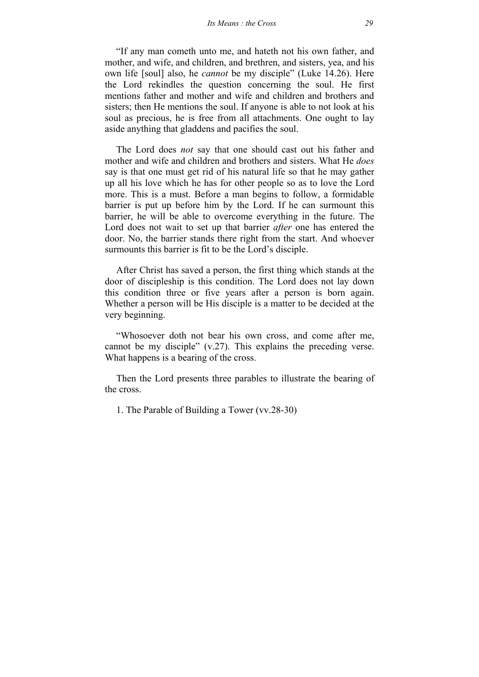"If any man cometh unto me, and hateth not his own father, and mother, and wife, and children, and brethren, and sisters, yea, and his own life [soul] also, he *cannot* be my disciple" (Luke 14.26). Here the Lord rekindles the question concerning the soul. He first mentions father and mother and wife and children and brothers and sisters; then He mentions the soul. If anyone is able to not look at his soul as precious, he is free from all attachments. One ought to lay aside anything that gladdens and pacifies the soul.

The Lord does *not* say that one should cast out his father and mother and wife and children and brothers and sisters. What He *does* say is that one must get rid of his natural life so that he may gather up all his love which he has for other people so as to love the Lord more. This is a must. Before a man begins to follow, a formidable barrier is put up before him by the Lord. If he can surmount this barrier, he will be able to overcome everything in the future. The Lord does not wait to set up that barrier *after* one has entered the door. No, the barrier stands there right from the start. And whoever surmounts this barrier is fit to be the Lord's disciple.

After Christ has saved a person, the first thing which stands at the door of discipleship is this condition. The Lord does not lay down this condition three or five years after a person is born again. Whether a person will be His disciple is a matter to be decided at the very beginning.

"Whosoever doth not bear his own cross, and come after me, cannot be my disciple" (v.27). This explains the preceding verse. What happens is a bearing of the cross.

Then the Lord presents three parables to illustrate the bearing of the cross.

1. The Parable of Building a Tower (vv.28-30)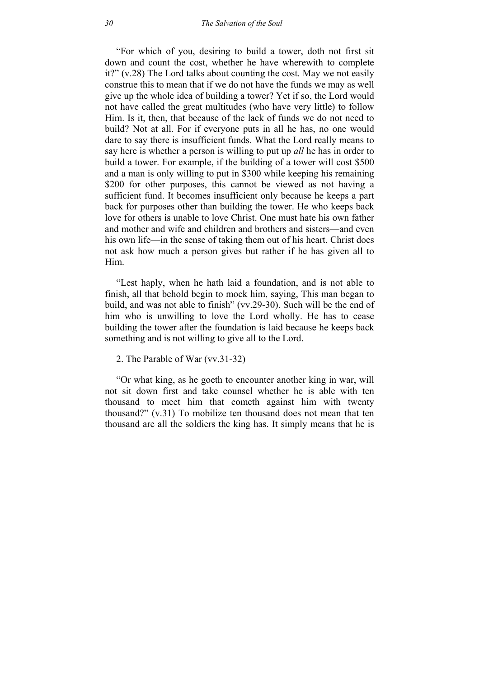"For which of you, desiring to build a tower, doth not first sit down and count the cost, whether he have wherewith to complete it?" (v.28) The Lord talks about counting the cost. May we not easily construe this to mean that if we do not have the funds we may as well give up the whole idea of building a tower? Yet if so, the Lord would not have called the great multitudes (who have very little) to follow Him. Is it, then, that because of the lack of funds we do not need to build? Not at all. For if everyone puts in all he has, no one would dare to say there is insufficient funds. What the Lord really means to say here is whether a person is willing to put up *all* he has in order to build a tower. For example, if the building of a tower will cost \$500 and a man is only willing to put in \$300 while keeping his remaining \$200 for other purposes, this cannot be viewed as not having a sufficient fund. It becomes insufficient only because he keeps a part back for purposes other than building the tower. He who keeps back love for others is unable to love Christ. One must hate his own father and mother and wife and children and brothers and sisters—and even his own life—in the sense of taking them out of his heart. Christ does not ask how much a person gives but rather if he has given all to Him.

"Lest haply, when he hath laid a foundation, and is not able to finish, all that behold begin to mock him, saying, This man began to build, and was not able to finish" (vv.29-30). Such will be the end of him who is unwilling to love the Lord wholly. He has to cease building the tower after the foundation is laid because he keeps back something and is not willing to give all to the Lord.

2. The Parable of War (vv.31-32)

"Or what king, as he goeth to encounter another king in war, will not sit down first and take counsel whether he is able with ten thousand to meet him that cometh against him with twenty thousand?" (v.31) To mobilize ten thousand does not mean that ten thousand are all the soldiers the king has. It simply means that he is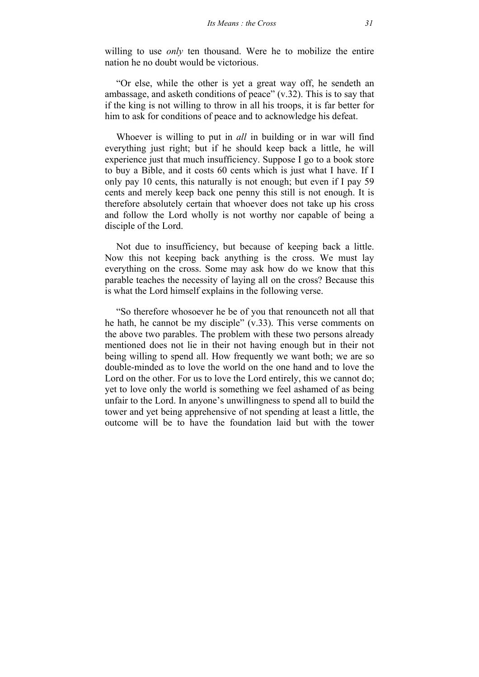willing to use *only* ten thousand. Were he to mobilize the entire nation he no doubt would be victorious.

"Or else, while the other is yet a great way off, he sendeth an ambassage, and asketh conditions of peace" (v.32). This is to say that if the king is not willing to throw in all his troops, it is far better for him to ask for conditions of peace and to acknowledge his defeat.

Whoever is willing to put in *all* in building or in war will find everything just right; but if he should keep back a little, he will experience just that much insufficiency. Suppose I go to a book store to buy a Bible, and it costs 60 cents which is just what I have. If I only pay 10 cents, this naturally is not enough; but even if I pay 59 cents and merely keep back one penny this still is not enough. It is therefore absolutely certain that whoever does not take up his cross and follow the Lord wholly is not worthy nor capable of being a disciple of the Lord.

Not due to insufficiency, but because of keeping back a little. Now this not keeping back anything is the cross. We must lay everything on the cross. Some may ask how do we know that this parable teaches the necessity of laying all on the cross? Because this is what the Lord himself explains in the following verse.

"So therefore whosoever he be of you that renounceth not all that he hath, he cannot be my disciple" (v.33). This verse comments on the above two parables. The problem with these two persons already mentioned does not lie in their not having enough but in their not being willing to spend all. How frequently we want both; we are so double-minded as to love the world on the one hand and to love the Lord on the other. For us to love the Lord entirely, this we cannot do; yet to love only the world is something we feel ashamed of as being unfair to the Lord. In anyone's unwillingness to spend all to build the tower and yet being apprehensive of not spending at least a little, the outcome will be to have the foundation laid but with the tower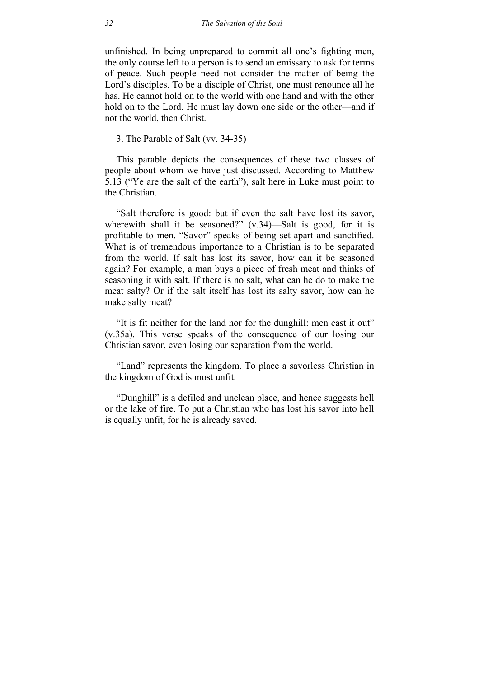unfinished. In being unprepared to commit all one's fighting men, the only course left to a person is to send an emissary to ask for terms of peace. Such people need not consider the matter of being the Lord's disciples. To be a disciple of Christ, one must renounce all he has. He cannot hold on to the world with one hand and with the other hold on to the Lord. He must lay down one side or the other—and if not the world, then Christ.

#### 3. The Parable of Salt (vv. 34-35)

This parable depicts the consequences of these two classes of people about whom we have just discussed. According to Matthew 5.13 ("Ye are the salt of the earth"), salt here in Luke must point to the Christian.

"Salt therefore is good: but if even the salt have lost its savor, wherewith shall it be seasoned?" (v.34)—Salt is good, for it is profitable to men. "Savor" speaks of being set apart and sanctified. What is of tremendous importance to a Christian is to be separated from the world. If salt has lost its savor, how can it be seasoned again? For example, a man buys a piece of fresh meat and thinks of seasoning it with salt. If there is no salt, what can he do to make the meat salty? Or if the salt itself has lost its salty savor, how can he make salty meat?

"It is fit neither for the land nor for the dunghill: men cast it out" (v.35a). This verse speaks of the consequence of our losing our Christian savor, even losing our separation from the world.

"Land" represents the kingdom. To place a savorless Christian in the kingdom of God is most unfit.

"Dunghill" is a defiled and unclean place, and hence suggests hell or the lake of fire. To put a Christian who has lost his savor into hell is equally unfit, for he is already saved.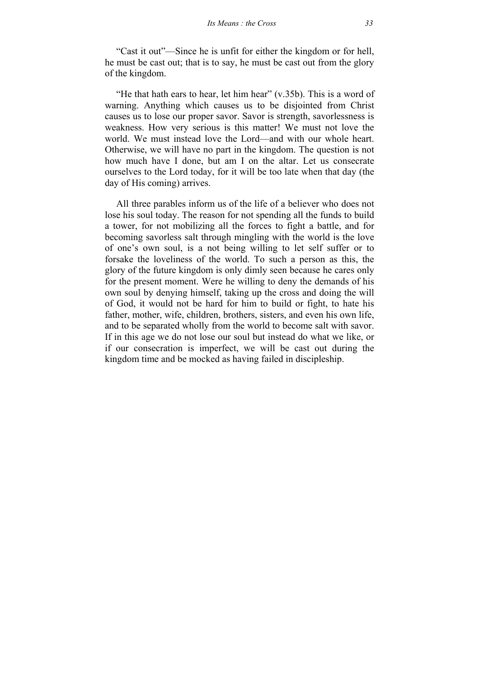"Cast it out"—Since he is unfit for either the kingdom or for hell, he must be cast out; that is to say, he must be cast out from the glory of the kingdom.

"He that hath ears to hear, let him hear" (v.35b). This is a word of warning. Anything which causes us to be disjointed from Christ causes us to lose our proper savor. Savor is strength, savorlessness is weakness. How very serious is this matter! We must not love the world. We must instead love the Lord—and with our whole heart. Otherwise, we will have no part in the kingdom. The question is not how much have I done, but am I on the altar. Let us consecrate ourselves to the Lord today, for it will be too late when that day (the day of His coming) arrives.

All three parables inform us of the life of a believer who does not lose his soul today. The reason for not spending all the funds to build a tower, for not mobilizing all the forces to fight a battle, and for becoming savorless salt through mingling with the world is the love of one's own soul, is a not being willing to let self suffer or to forsake the loveliness of the world. To such a person as this, the glory of the future kingdom is only dimly seen because he cares only for the present moment. Were he willing to deny the demands of his own soul by denying himself, taking up the cross and doing the will of God, it would not be hard for him to build or fight, to hate his father, mother, wife, children, brothers, sisters, and even his own life, and to be separated wholly from the world to become salt with savor. If in this age we do not lose our soul but instead do what we like, or if our consecration is imperfect, we will be cast out during the kingdom time and be mocked as having failed in discipleship.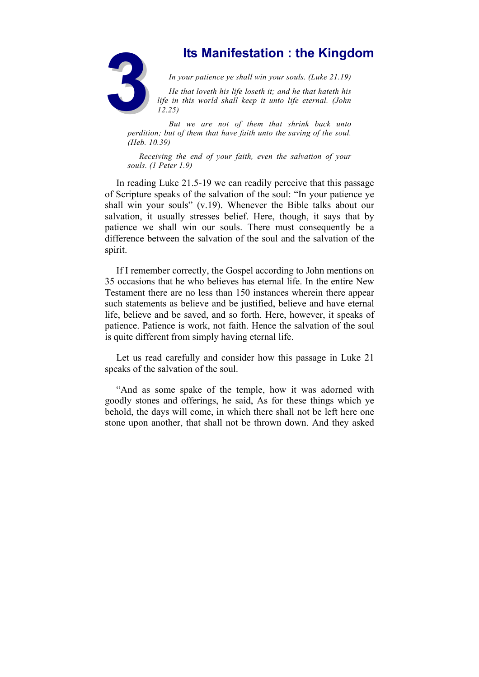

*In your patience ye shall win your souls. (Luke 21.19)*

<span id="page-34-0"></span>**115 Manifestation : the Kingdom**<br>
In your patience ye shall win your souls. (Luke 21.19)<br> *He that loveth his life loseth it; and he that hateth his*<br> *life in this world shall keep it unto life eternal. (John*<br> *But we a He that loveth his life loseth it; and he that hateth his life in this world shall keep it unto life eternal. (John 12.25)*

*But we are not of them that shrink back unto perdition; but of them that have faith unto the saving of the soul. (Heb. 10.39)*

*Receiving the end of your faith, even the salvation of your souls. (1 Peter 1.9)*

In reading Luke 21.5-19 we can readily perceive that this passage of Scripture speaks of the salvation of the soul: "In your patience ye shall win your souls" (v.19). Whenever the Bible talks about our salvation, it usually stresses belief. Here, though, it says that by patience we shall win our souls. There must consequently be a difference between the salvation of the soul and the salvation of the spirit.

If I remember correctly, the Gospel according to John mentions on 35 occasions that he who believes has eternal life. In the entire New Testament there are no less than 150 instances wherein there appear such statements as believe and be justified, believe and have eternal life, believe and be saved, and so forth. Here, however, it speaks of patience. Patience is work, not faith. Hence the salvation of the soul is quite different from simply having eternal life.

Let us read carefully and consider how this passage in Luke 21 speaks of the salvation of the soul.

"And as some spake of the temple, how it was adorned with goodly stones and offerings, he said, As for these things which ye behold, the days will come, in which there shall not be left here one stone upon another, that shall not be thrown down. And they asked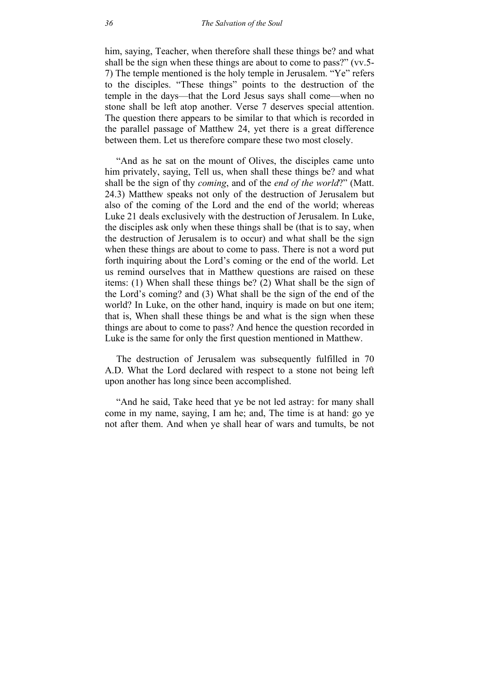him, saying, Teacher, when therefore shall these things be? and what shall be the sign when these things are about to come to pass?" (vv.5- 7) The temple mentioned is the holy temple in Jerusalem. "Ye" refers to the disciples. "These things" points to the destruction of the temple in the days—that the Lord Jesus says shall come—when no stone shall be left atop another. Verse 7 deserves special attention. The question there appears to be similar to that which is recorded in the parallel passage of Matthew 24, yet there is a great difference between them. Let us therefore compare these two most closely.

"And as he sat on the mount of Olives, the disciples came unto him privately, saying, Tell us, when shall these things be? and what shall be the sign of thy *coming*, and of the *end of the world*?" (Matt. 24.3) Matthew speaks not only of the destruction of Jerusalem but also of the coming of the Lord and the end of the world; whereas Luke 21 deals exclusively with the destruction of Jerusalem. In Luke, the disciples ask only when these things shall be (that is to say, when the destruction of Jerusalem is to occur) and what shall be the sign when these things are about to come to pass. There is not a word put forth inquiring about the Lord's coming or the end of the world. Let us remind ourselves that in Matthew questions are raised on these items: (1) When shall these things be? (2) What shall be the sign of the Lord's coming? and (3) What shall be the sign of the end of the world? In Luke, on the other hand, inquiry is made on but one item; that is, When shall these things be and what is the sign when these things are about to come to pass? And hence the question recorded in Luke is the same for only the first question mentioned in Matthew.

The destruction of Jerusalem was subsequently fulfilled in 70 A.D. What the Lord declared with respect to a stone not being left upon another has long since been accomplished.

"And he said, Take heed that ye be not led astray: for many shall come in my name, saying, I am he; and, The time is at hand: go ye not after them. And when ye shall hear of wars and tumults, be not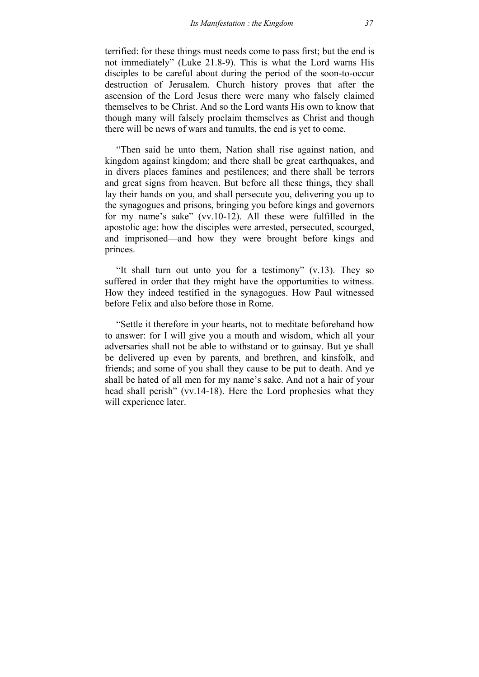terrified: for these things must needs come to pass first; but the end is not immediately" (Luke 21.8-9). This is what the Lord warns His disciples to be careful about during the period of the soon-to-occur destruction of Jerusalem. Church history proves that after the ascension of the Lord Jesus there were many who falsely claimed themselves to be Christ. And so the Lord wants His own to know that though many will falsely proclaim themselves as Christ and though there will be news of wars and tumults, the end is yet to come.

"Then said he unto them, Nation shall rise against nation, and kingdom against kingdom; and there shall be great earthquakes, and in divers places famines and pestilences; and there shall be terrors and great signs from heaven. But before all these things, they shall lay their hands on you, and shall persecute you, delivering you up to the synagogues and prisons, bringing you before kings and governors for my name's sake" (vv.10-12). All these were fulfilled in the apostolic age: how the disciples were arrested, persecuted, scourged, and imprisoned—and how they were brought before kings and princes.

"It shall turn out unto you for a testimony"  $(v.13)$ . They so suffered in order that they might have the opportunities to witness. How they indeed testified in the synagogues. How Paul witnessed before Felix and also before those in Rome.

"Settle it therefore in your hearts, not to meditate beforehand how to answer: for I will give you a mouth and wisdom, which all your adversaries shall not be able to withstand or to gainsay. But ye shall be delivered up even by parents, and brethren, and kinsfolk, and friends; and some of you shall they cause to be put to death. And ye shall be hated of all men for my name's sake. And not a hair of your head shall perish" (vv.14-18). Here the Lord prophesies what they will experience later.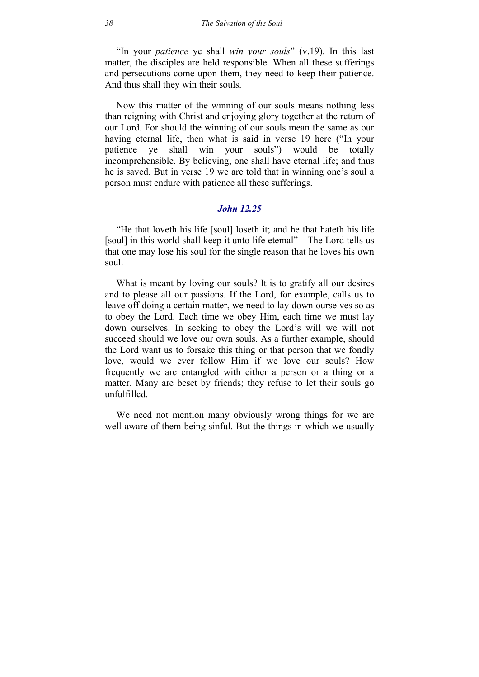"In your *patience* ye shall *win your souls*" (v.19). In this last matter, the disciples are held responsible. When all these sufferings and persecutions come upon them, they need to keep their patience. And thus shall they win their souls.

Now this matter of the winning of our souls means nothing less than reigning with Christ and enjoying glory together at the return of our Lord. For should the winning of our souls mean the same as our having eternal life, then what is said in verse 19 here ("In your patience ye shall win your souls") would be totally incomprehensible. By believing, one shall have eternal life; and thus he is saved. But in verse 19 we are told that in winning one's soul a person must endure with patience all these sufferings.

#### *John 12.25*

"He that loveth his life [soul] loseth it; and he that hateth his life [soul] in this world shall keep it unto life etemal"—The Lord tells us that one may lose his soul for the single reason that he loves his own soul.

What is meant by loving our souls? It is to gratify all our desires and to please all our passions. If the Lord, for example, calls us to leave off doing a certain matter, we need to lay down ourselves so as to obey the Lord. Each time we obey Him, each time we must lay down ourselves. In seeking to obey the Lord's will we will not succeed should we love our own souls. As a further example, should the Lord want us to forsake this thing or that person that we fondly love, would we ever follow Him if we love our souls? How frequently we are entangled with either a person or a thing or a matter. Many are beset by friends; they refuse to let their souls go unfulfilled.

We need not mention many obviously wrong things for we are well aware of them being sinful. But the things in which we usually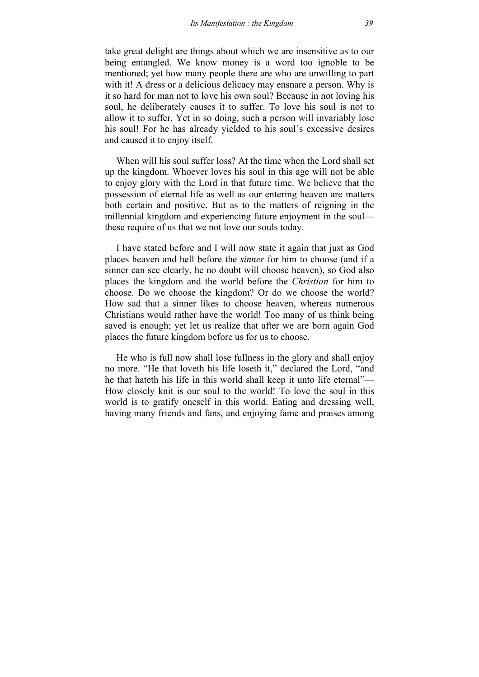take great delight are things about which we are insensitive as to our being entangled. We know money is a word too ignoble to be mentioned; yet how many people there are who are unwilling to part with it! A dress or a delicious delicacy may ensnare a person. Why is it so hard for man not to love his own soul? Because in not loving his soul, he deliberately causes it to suffer. To love his soul is not to allow it to suffer. Yet in so doing, such a person will invariably lose his soul! For he has already yielded to his soul's excessive desires and caused it to enjoy itself.

When will his soul suffer loss? At the time when the Lord shall set up the kingdom. Whoever loves his soul in this age will not be able to enjoy glory with the Lord in that future time. We believe that the possession of eternal life as well as our entering heaven are matters both certain and positive. But as to the matters of reigning in the millennial kingdom and experiencing future enjoyment in the soul these require of us that we not love our souls today.

I have stated before and I will now state it again that just as God places heaven and hell before the *sinner* for him to choose (and if a sinner can see clearly, he no doubt will choose heaven), so God also places the kingdom and the world before the *Christian* for him to choose. Do we choose the kingdom? Or do we choose the world? How sad that a sinner likes to choose heaven, whereas numerous Christians would rather have the world! Too many of us think being saved is enough; yet let us realize that after we are born again God places the future kingdom before us for us to choose.

He who is full now shall lose fullness in the glory and shall enjoy no more. "He that loveth his life loseth it," declared the Lord, "and he that hateth his life in this world shall keep it unto life eternal"— How closely knit is our soul to the world! To love the soul in this world is to gratify oneself in this world. Eating and dressing well, having many friends and fans, and enjoying fame and praises among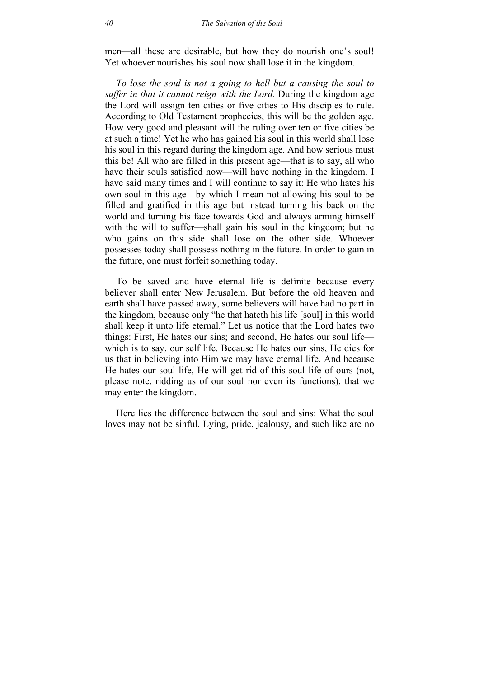men—all these are desirable, but how they do nourish one's soul! Yet whoever nourishes his soul now shall lose it in the kingdom.

*To lose the soul is not a going to hell but a causing the soul to suffer in that it cannot reign with the Lord.* During the kingdom age the Lord will assign ten cities or five cities to His disciples to rule. According to Old Testament prophecies, this will be the golden age. How very good and pleasant will the ruling over ten or five cities be at such a time! Yet he who has gained his soul in this world shall lose his soul in this regard during the kingdom age. And how serious must this be! All who are filled in this present age—that is to say, all who have their souls satisfied now—will have nothing in the kingdom. I have said many times and I will continue to say it: He who hates his own soul in this age—by which I mean not allowing his soul to be filled and gratified in this age but instead turning his back on the world and turning his face towards God and always arming himself with the will to suffer—shall gain his soul in the kingdom; but he who gains on this side shall lose on the other side. Whoever possesses today shall possess nothing in the future. In order to gain in the future, one must forfeit something today.

To be saved and have eternal life is definite because every believer shall enter New Jerusalem. But before the old heaven and earth shall have passed away, some believers will have had no part in the kingdom, because only "he that hateth his life [soul] in this world shall keep it unto life eternal." Let us notice that the Lord hates two things: First, He hates our sins; and second, He hates our soul life which is to say, our self life. Because He hates our sins, He dies for us that in believing into Him we may have eternal life. And because He hates our soul life, He will get rid of this soul life of ours (not, please note, ridding us of our soul nor even its functions), that we may enter the kingdom.

Here lies the difference between the soul and sins: What the soul loves may not be sinful. Lying, pride, jealousy, and such like are no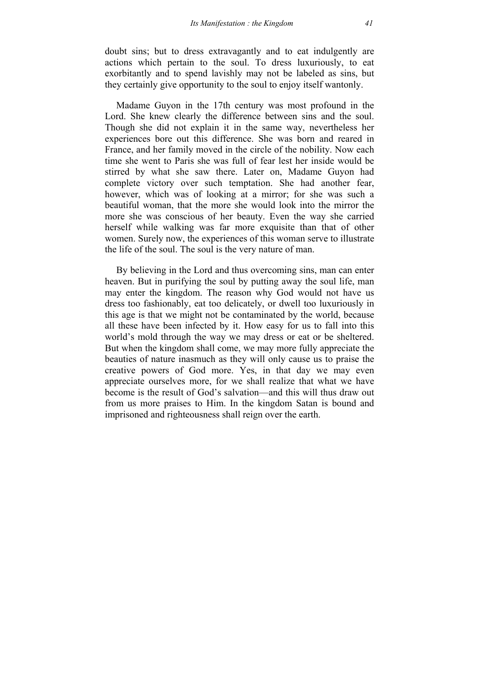doubt sins; but to dress extravagantly and to eat indulgently are actions which pertain to the soul. To dress luxuriously, to eat exorbitantly and to spend lavishly may not be labeled as sins, but they certainly give opportunity to the soul to enjoy itself wantonly.

Madame Guyon in the 17th century was most profound in the Lord. She knew clearly the difference between sins and the soul. Though she did not explain it in the same way, nevertheless her experiences bore out this difference. She was born and reared in France, and her family moved in the circle of the nobility. Now each time she went to Paris she was full of fear lest her inside would be stirred by what she saw there. Later on, Madame Guyon had complete victory over such temptation. She had another fear, however, which was of looking at a mirror; for she was such a beautiful woman, that the more she would look into the mirror the more she was conscious of her beauty. Even the way she carried herself while walking was far more exquisite than that of other women. Surely now, the experiences of this woman serve to illustrate the life of the soul. The soul is the very nature of man.

By believing in the Lord and thus overcoming sins, man can enter heaven. But in purifying the soul by putting away the soul life, man may enter the kingdom. The reason why God would not have us dress too fashionably, eat too delicately, or dwell too luxuriously in this age is that we might not be contaminated by the world, because all these have been infected by it. How easy for us to fall into this world's mold through the way we may dress or eat or be sheltered. But when the kingdom shall come, we may more fully appreciate the beauties of nature inasmuch as they will only cause us to praise the creative powers of God more. Yes, in that day we may even appreciate ourselves more, for we shall realize that what we have become is the result of God's salvation—and this will thus draw out from us more praises to Him. In the kingdom Satan is bound and imprisoned and righteousness shall reign over the earth.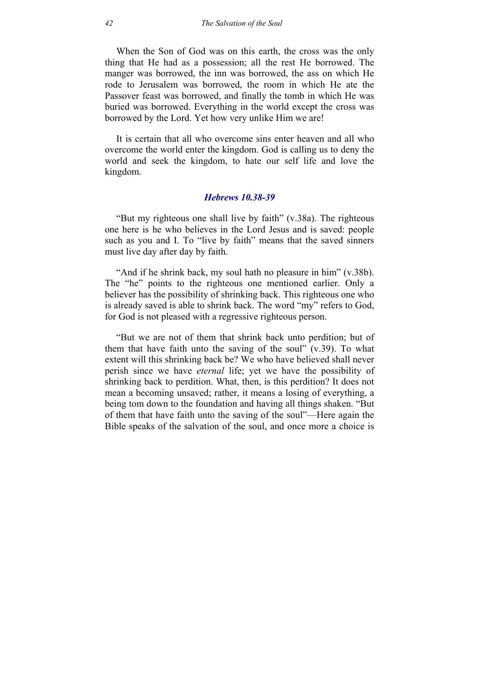When the Son of God was on this earth, the cross was the only thing that He had as a possession; all the rest He borrowed. The manger was borrowed, the inn was borrowed, the ass on which He rode to Jerusalem was borrowed, the room in which He ate the Passover feast was borrowed, and finally the tomb in which He was buried was borrowed. Everything in the world except the cross was borrowed by the Lord. Yet how very unlike Him we are!

It is certain that all who overcome sins enter heaven and all who overcome the world enter the kingdom. God is calling us to deny the world and seek the kingdom, to hate our self life and love the kingdom.

#### *Hebrews 10.38-39*

"But my righteous one shall live by faith" (v.38a). The righteous one here is he who believes in the Lord Jesus and is saved: people such as you and I. To "live by faith" means that the saved sinners must live day after day by faith.

"And if he shrink back, my soul hath no pleasure in him" (v.38b). The "he" points to the righteous one mentioned earlier. Only a believer has the possibility of shrinking back. This righteous one who is already saved is able to shrink back. The word "my" refers to God, for God is not pleased with a regressive righteous person.

"But we are not of them that shrink back unto perdition; but of them that have faith unto the saving of the soul" (v.39). To what extent will this shrinking back be? We who have believed shall never perish since we have *eternal* life; yet we have the possibility of shrinking back to perdition. What, then, is this perdition? It does not mean a becoming unsaved; rather, it means a losing of everything, a being tom down to the foundation and having all things shaken. "But of them that have faith unto the saving of the soul"—Here again the Bible speaks of the salvation of the soul, and once more a choice is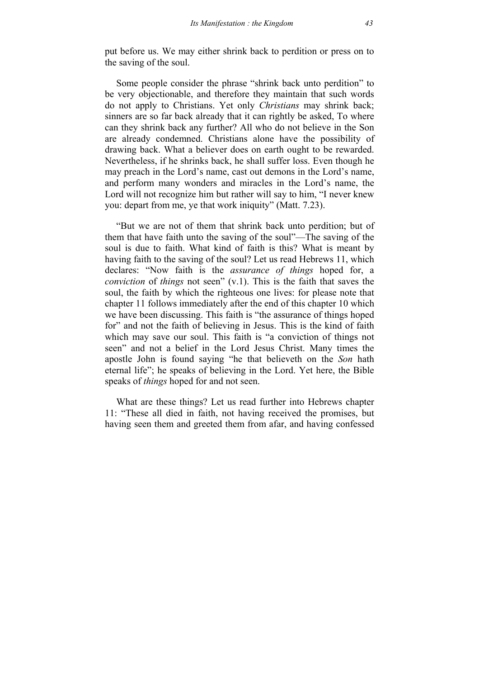put before us. We may either shrink back to perdition or press on to the saving of the soul.

Some people consider the phrase "shrink back unto perdition" to be very objectionable, and therefore they maintain that such words do not apply to Christians. Yet only *Christians* may shrink back; sinners are so far back already that it can rightly be asked, To where can they shrink back any further? All who do not believe in the Son are already condemned. Christians alone have the possibility of drawing back. What a believer does on earth ought to be rewarded. Nevertheless, if he shrinks back, he shall suffer loss. Even though he may preach in the Lord's name, cast out demons in the Lord's name, and perform many wonders and miracles in the Lord's name, the Lord will not recognize him but rather will say to him, "I never knew you: depart from me, ye that work iniquity" (Matt. 7.23).

"But we are not of them that shrink back unto perdition; but of them that have faith unto the saving of the soul"—The saving of the soul is due to faith. What kind of faith is this? What is meant by having faith to the saving of the soul? Let us read Hebrews 11, which declares: "Now faith is the *assurance of things* hoped for, a *conviction* of *things* not seen" (v.1). This is the faith that saves the soul, the faith by which the righteous one lives: for please note that chapter 11 follows immediately after the end of this chapter 10 which we have been discussing. This faith is "the assurance of things hoped for" and not the faith of believing in Jesus. This is the kind of faith which may save our soul. This faith is "a conviction of things not seen" and not a belief in the Lord Jesus Christ. Many times the apostle John is found saying "he that believeth on the *Son* hath eternal life"; he speaks of believing in the Lord. Yet here, the Bible speaks of *things* hoped for and not seen.

What are these things? Let us read further into Hebrews chapter 11: "These all died in faith, not having received the promises, but having seen them and greeted them from afar, and having confessed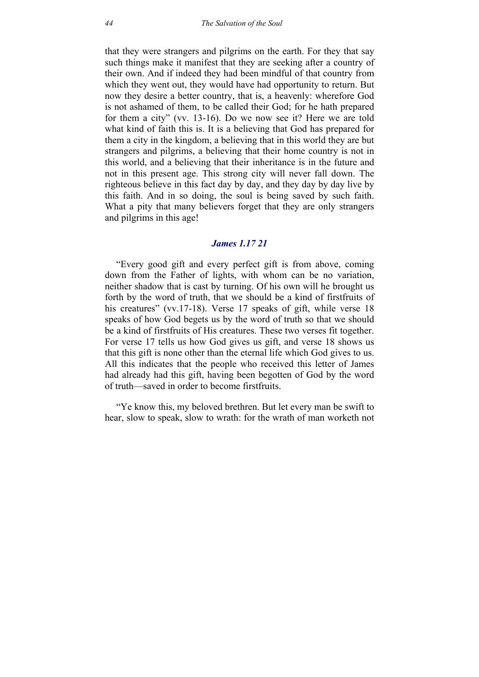that they were strangers and pilgrims on the earth. For they that say such things make it manifest that they are seeking after a country of their own. And if indeed they had been mindful of that country from which they went out, they would have had opportunity to return. But now they desire a better country, that is, a heavenly: wherefore God is not ashamed of them, to be called their God; for he hath prepared for them a city" (vv. 13-16). Do we now see it? Here we are told what kind of faith this is. It is a believing that God has prepared for them a city in the kingdom, a believing that in this world they are but strangers and pilgrims, a believing that their home country is not in this world, and a believing that their inheritance is in the future and not in this present age. This strong city will never fall down. The righteous believe in this fact day by day, and they day by day live by this faith. And in so doing, the soul is being saved by such faith. What a pity that many believers forget that they are only strangers and pilgrims in this age!

#### *James 1.17 21*

"Every good gift and every perfect gift is from above, coming down from the Father of lights, with whom can be no variation, neither shadow that is cast by turning. Of his own will he brought us forth by the word of truth, that we should be a kind of firstfruits of his creatures" (vv.17-18). Verse 17 speaks of gift, while verse 18 speaks of how God begets us by the word of truth so that we should be a kind of firstfruits of His creatures. These two verses fit together. For verse 17 tells us how God gives us gift, and verse 18 shows us that this gift is none other than the eternal life which God gives to us. All this indicates that the people who received this letter of James had already had this gift, having been begotten of God by the word of truth—saved in order to become firstfruits.

"Ye know this, my beloved brethren. But let every man be swift to hear, slow to speak, slow to wrath: for the wrath of man worketh not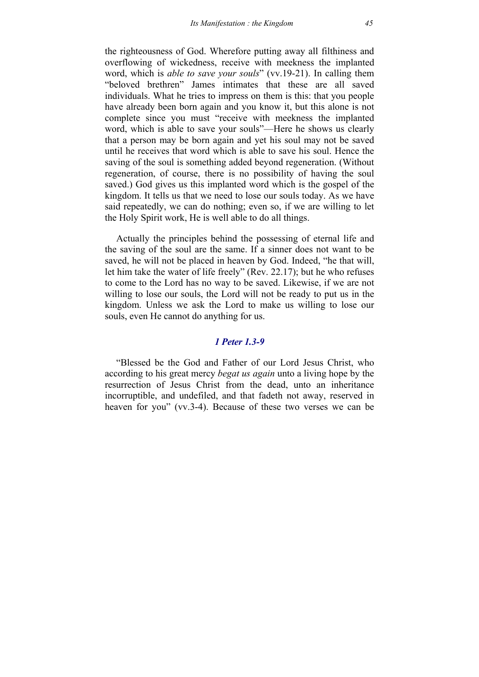the righteousness of God. Wherefore putting away all filthiness and overflowing of wickedness, receive with meekness the implanted word, which is *able to save your souls*" (vv.19-21). In calling them "beloved brethren" James intimates that these are all saved individuals. What he tries to impress on them is this: that you people have already been born again and you know it, but this alone is not complete since you must "receive with meekness the implanted word, which is able to save your souls"—Here he shows us clearly that a person may be born again and yet his soul may not be saved until he receives that word which is able to save his soul. Hence the saving of the soul is something added beyond regeneration. (Without regeneration, of course, there is no possibility of having the soul saved.) God gives us this implanted word which is the gospel of the kingdom. It tells us that we need to lose our souls today. As we have said repeatedly, we can do nothing; even so, if we are willing to let the Holy Spirit work, He is well able to do all things.

Actually the principles behind the possessing of eternal life and the saving of the soul are the same. If a sinner does not want to be saved, he will not be placed in heaven by God. Indeed, "he that will, let him take the water of life freely" (Rev. 22.17); but he who refuses to come to the Lord has no way to be saved. Likewise, if we are not willing to lose our souls, the Lord will not be ready to put us in the kingdom. Unless we ask the Lord to make us willing to lose our souls, even He cannot do anything for us.

#### *1 Peter 1.3-9*

"Blessed be the God and Father of our Lord Jesus Christ, who according to his great mercy *begat us again* unto a living hope by the resurrection of Jesus Christ from the dead, unto an inheritance incorruptible, and undefiled, and that fadeth not away, reserved in heaven for you" (vv.3-4). Because of these two verses we can be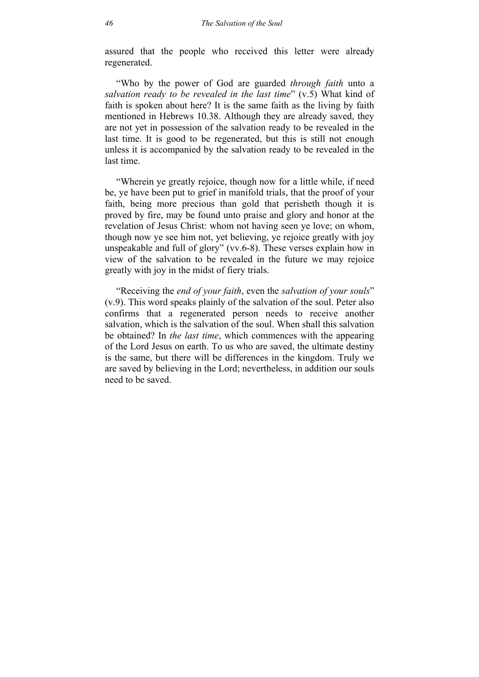assured that the people who received this letter were already regenerated.

"Who by the power of God are guarded *through faith* unto a *salvation ready to be revealed in the last time*" (v.5) What kind of faith is spoken about here? It is the same faith as the living by faith mentioned in Hebrews 10.38. Although they are already saved, they are not yet in possession of the salvation ready to be revealed in the last time. It is good to be regenerated, but this is still not enough unless it is accompanied by the salvation ready to be revealed in the last time.

"Wherein ye greatly rejoice, though now for a little while, if need be, ye have been put to grief in manifold trials, that the proof of your faith, being more precious than gold that perisheth though it is proved by fire, may be found unto praise and glory and honor at the revelation of Jesus Christ: whom not having seen ye love; on whom, though now ye see him not, yet believing, ye rejoice greatly with joy unspeakable and full of glory" (vv.6-8). These verses explain how in view of the salvation to be revealed in the future we may rejoice greatly with joy in the midst of fiery trials.

"Receiving the *end of your faith*, even the *salvation of your souls*" (v.9). This word speaks plainly of the salvation of the soul. Peter also confirms that a regenerated person needs to receive another salvation, which is the salvation of the soul. When shall this salvation be obtained? In *the last time*, which commences with the appearing of the Lord Jesus on earth. To us who are saved, the ultimate destiny is the same, but there will be differences in the kingdom. Truly we are saved by believing in the Lord; nevertheless, in addition our souls need to be saved.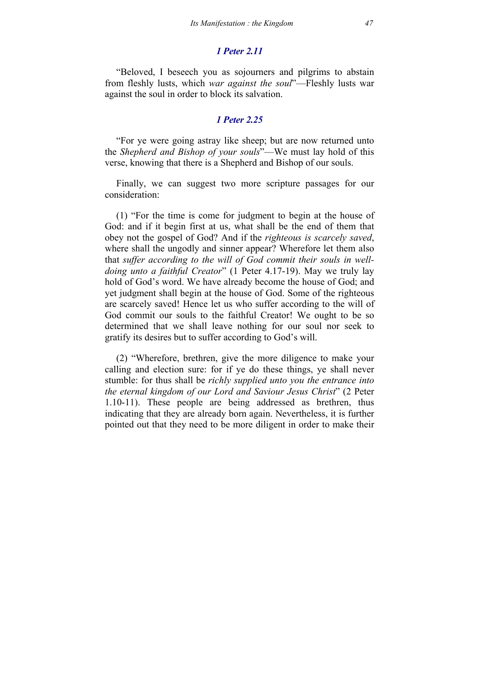#### *1 Peter 2.11*

"Beloved, I beseech you as sojourners and pilgrims to abstain from fleshly lusts, which *war against the soul*"—Fleshly lusts war against the soul in order to block its salvation.

#### *1 Peter 2.25*

"For ye were going astray like sheep; but are now returned unto the *Shepherd and Bishop of your souls*"—We must lay hold of this verse, knowing that there is a Shepherd and Bishop of our souls.

Finally, we can suggest two more scripture passages for our consideration:

(1) "For the time is come for judgment to begin at the house of God: and if it begin first at us, what shall be the end of them that obey not the gospel of God? And if the *righteous is scarcely saved*, where shall the ungodly and sinner appear? Wherefore let them also that *suffer according to the will of God commit their souls in welldoing unto a faithful Creator*" (1 Peter 4.17-19). May we truly lay hold of God's word. We have already become the house of God; and yet judgment shall begin at the house of God. Some of the righteous are scarcely saved! Hence let us who suffer according to the will of God commit our souls to the faithful Creator! We ought to be so determined that we shall leave nothing for our soul nor seek to gratify its desires but to suffer according to God's will.

(2) "Wherefore, brethren, give the more diligence to make your calling and election sure: for if ye do these things, ye shall never stumble: for thus shall be *richly supplied unto you the entrance into the eternal kingdom of our Lord and Saviour Jesus Christ*" (2 Peter 1.10-11). These people are being addressed as brethren, thus indicating that they are already born again. Nevertheless, it is further pointed out that they need to be more diligent in order to make their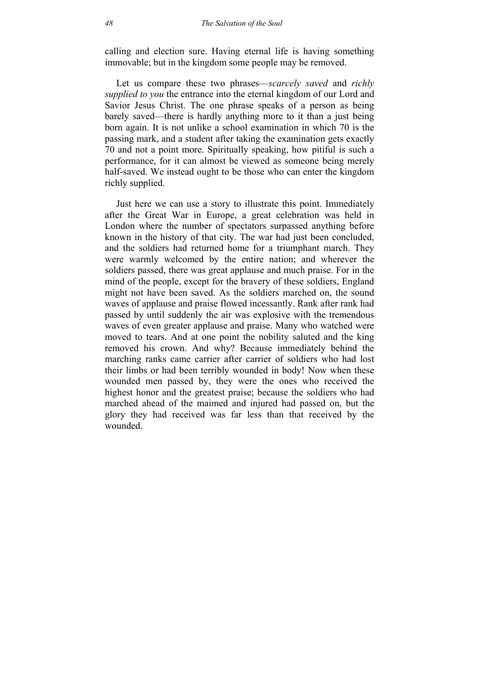calling and election sure. Having eternal life is having something immovable; but in the kingdom some people may be removed.

Let us compare these two phrases—*scarcely saved* and *richly supplied to you* the entrance into the eternal kingdom of our Lord and Savior Jesus Christ. The one phrase speaks of a person as being barely saved—there is hardly anything more to it than a just being born again. It is not unlike a school examination in which 70 is the passing mark, and a student after taking the examination gets exactly 70 and not a point more. Spiritually speaking, how pitiful is such a performance, for it can almost be viewed as someone being merely half-saved. We instead ought to be those who can enter the kingdom richly supplied.

Just here we can use a story to illustrate this point. Immediately after the Great War in Europe, a great celebration was held in London where the number of spectators surpassed anything before known in the history of that city. The war had just been concluded, and the soldiers had returned home for a triumphant march. They were warmly welcomed by the entire nation; and wherever the soldiers passed, there was great applause and much praise. For in the mind of the people, except for the bravery of these soldiers, England might not have been saved. As the soldiers marched on, the sound waves of applause and praise flowed incessantly. Rank after rank had passed by until suddenly the air was explosive with the tremendous waves of even greater applause and praise. Many who watched were moved to tears. And at one point the nobility saluted and the king removed his crown. And why? Because immediately behind the marching ranks came carrier after carrier of soldiers who had lost their limbs or had been terribly wounded in body! Now when these wounded men passed by, they were the ones who received the highest honor and the greatest praise; because the soldiers who had marched ahead of the maimed and injured had passed on, but the glory they had received was far less than that received by the wounded.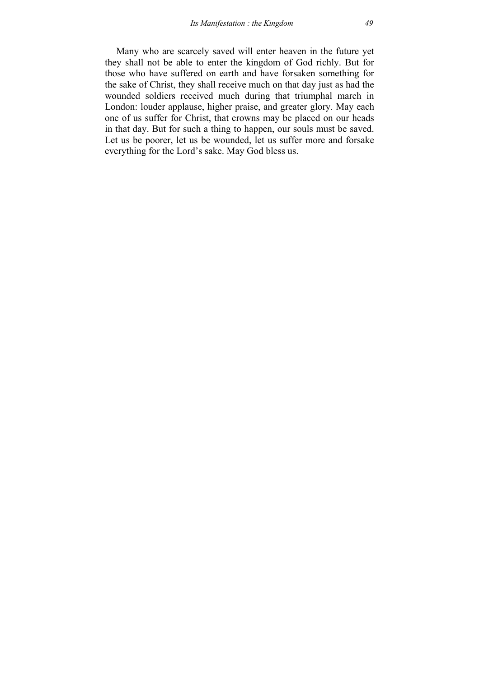Many who are scarcely saved will enter heaven in the future yet they shall not be able to enter the kingdom of God richly. But for those who have suffered on earth and have forsaken something for the sake of Christ, they shall receive much on that day just as had the wounded soldiers received much during that triumphal march in London: louder applause, higher praise, and greater glory. May each one of us suffer for Christ, that crowns may be placed on our heads in that day. But for such a thing to happen, our souls must be saved. Let us be poorer, let us be wounded, let us suffer more and forsake everything for the Lord's sake. May God bless us.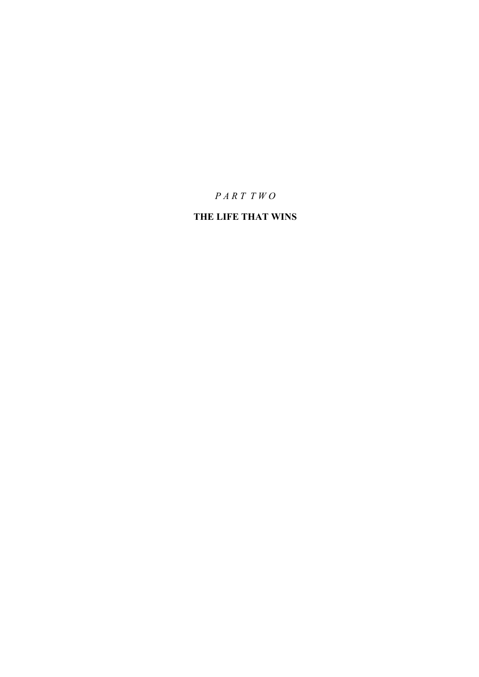## *P A R T T W O*

### **THE LIFE THAT WINS**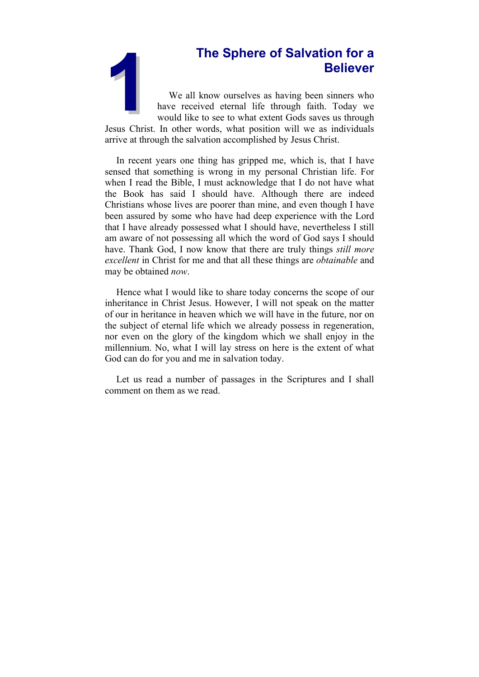# **Believer**

**1The Sphere of Salvation for a**<br>**1The Sphere of Salvation for a**<br>**1The Sphere of Salvation for a**<br>**1The Sphere of Salvation Believer**<br>**1The Sphere of Salvation** Believer<br>**1The Sphere of Salvation** below that extent Gods s We all know ourselves as having been sinners who have received eternal life through faith. Today we would like to see to what extent Gods saves us through Jesus Christ. In other words, what position will we as individuals arrive at through the salvation accomplished by Jesus Christ.

In recent years one thing has gripped me, which is, that I have sensed that something is wrong in my personal Christian life. For when I read the Bible, I must acknowledge that I do not have what the Book has said I should have. Although there are indeed Christians whose lives are poorer than mine, and even though I have been assured by some who have had deep experience with the Lord that I have already possessed what I should have, nevertheless I still am aware of not possessing all which the word of God says I should have. Thank God, I now know that there are truly things *still more excellent* in Christ for me and that all these things are *obtainable* and may be obtained *now*.

Hence what I would like to share today concerns the scope of our inheritance in Christ Jesus. However, I will not speak on the matter of our in heritance in heaven which we will have in the future, nor on the subject of eternal life which we already possess in regeneration, nor even on the glory of the kingdom which we shall enjoy in the millennium. No, what I will lay stress on here is the extent of what God can do for you and me in salvation today.

Let us read a number of passages in the Scriptures and I shall comment on them as we read.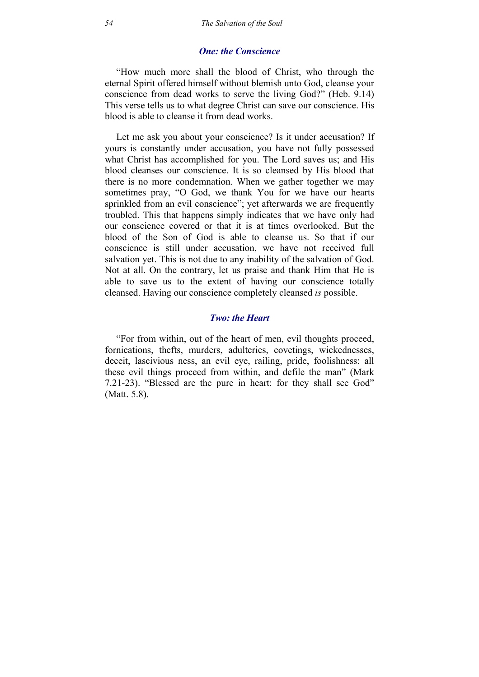#### *One: the Conscience*

"How much more shall the blood of Christ, who through the eternal Spirit offered himself without blemish unto God, cleanse your conscience from dead works to serve the living God?" (Heb. 9.14) This verse tells us to what degree Christ can save our conscience. His blood is able to cleanse it from dead works.

Let me ask you about your conscience? Is it under accusation? If yours is constantly under accusation, you have not fully possessed what Christ has accomplished for you. The Lord saves us; and His blood cleanses our conscience. It is so cleansed by His blood that there is no more condemnation. When we gather together we may sometimes pray, "O God, we thank You for we have our hearts sprinkled from an evil conscience"; yet afterwards we are frequently troubled. This that happens simply indicates that we have only had our conscience covered or that it is at times overlooked. But the blood of the Son of God is able to cleanse us. So that if our conscience is still under accusation, we have not received full salvation yet. This is not due to any inability of the salvation of God. Not at all. On the contrary, let us praise and thank Him that He is able to save us to the extent of having our conscience totally cleansed. Having our conscience completely cleansed *is* possible.

#### *Two: the Heart*

"For from within, out of the heart of men, evil thoughts proceed, fornications, thefts, murders, adulteries, covetings, wickednesses, deceit, lascivious ness, an evil eye, railing, pride, foolishness: all these evil things proceed from within, and defile the man" (Mark 7.21-23). "Blessed are the pure in heart: for they shall see God" (Matt. 5.8).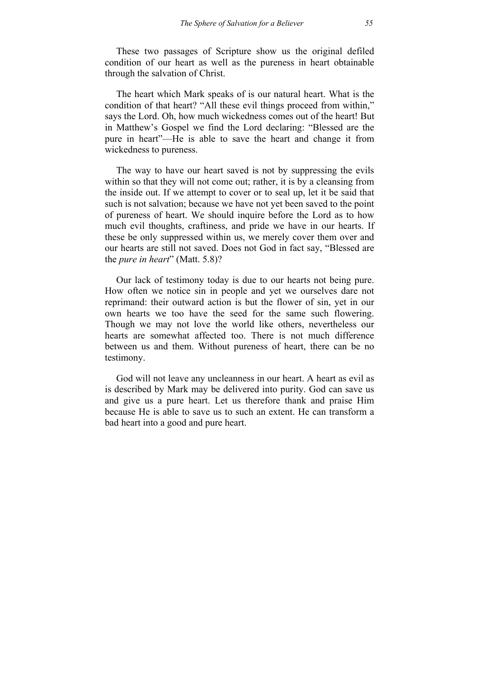These two passages of Scripture show us the original defiled condition of our heart as well as the pureness in heart obtainable through the salvation of Christ.

The heart which Mark speaks of is our natural heart. What is the condition of that heart? "All these evil things proceed from within," says the Lord. Oh, how much wickedness comes out of the heart! But in Matthew's Gospel we find the Lord declaring: "Blessed are the pure in heart"—He is able to save the heart and change it from wickedness to pureness.

The way to have our heart saved is not by suppressing the evils within so that they will not come out; rather, it is by a cleansing from the inside out. If we attempt to cover or to seal up, let it be said that such is not salvation; because we have not yet been saved to the point of pureness of heart. We should inquire before the Lord as to how much evil thoughts, craftiness, and pride we have in our hearts. If these be only suppressed within us, we merely cover them over and our hearts are still not saved. Does not God in fact say, "Blessed are the *pure in heart*" (Matt. 5.8)?

Our lack of testimony today is due to our hearts not being pure. How often we notice sin in people and yet we ourselves dare not reprimand: their outward action is but the flower of sin, yet in our own hearts we too have the seed for the same such flowering. Though we may not love the world like others, nevertheless our hearts are somewhat affected too. There is not much difference between us and them. Without pureness of heart, there can be no testimony.

God will not leave any uncleanness in our heart. A heart as evil as is described by Mark may be delivered into purity. God can save us and give us a pure heart. Let us therefore thank and praise Him because He is able to save us to such an extent. He can transform a bad heart into a good and pure heart.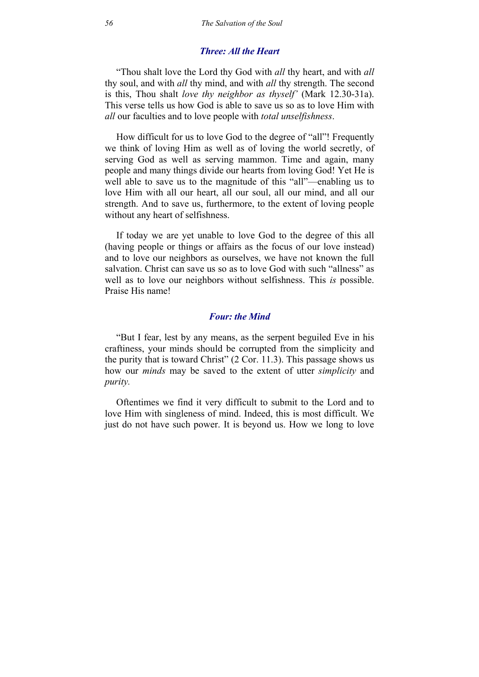#### *Three: All the Heart*

"Thou shalt love the Lord thy God with *all* thy heart, and with *all* thy soul, and with *all* thy mind, and with *all* thy strength. The second is this, Thou shalt *love thy neighbor as thyself'* (Mark 12.30-31a). This verse tells us how God is able to save us so as to love Him with *all* our faculties and to love people with *total unselfishness*.

How difficult for us to love God to the degree of "all"! Frequently we think of loving Him as well as of loving the world secretly, of serving God as well as serving mammon. Time and again, many people and many things divide our hearts from loving God! Yet He is well able to save us to the magnitude of this "all"—enabling us to love Him with all our heart, all our soul, all our mind, and all our strength. And to save us, furthermore, to the extent of loving people without any heart of selfishness.

If today we are yet unable to love God to the degree of this all (having people or things or affairs as the focus of our love instead) and to love our neighbors as ourselves, we have not known the full salvation. Christ can save us so as to love God with such "allness" as well as to love our neighbors without selfishness. This *is* possible. Praise His name!

#### *Four: the Mind*

"But I fear, lest by any means, as the serpent beguiled Eve in his craftiness, your minds should be corrupted from the simplicity and the purity that is toward Christ" (2 Cor. 11.3). This passage shows us how our *minds* may be saved to the extent of utter *simplicity* and *purity.*

Oftentimes we find it very difficult to submit to the Lord and to love Him with singleness of mind. Indeed, this is most difficult. We just do not have such power. It is beyond us. How we long to love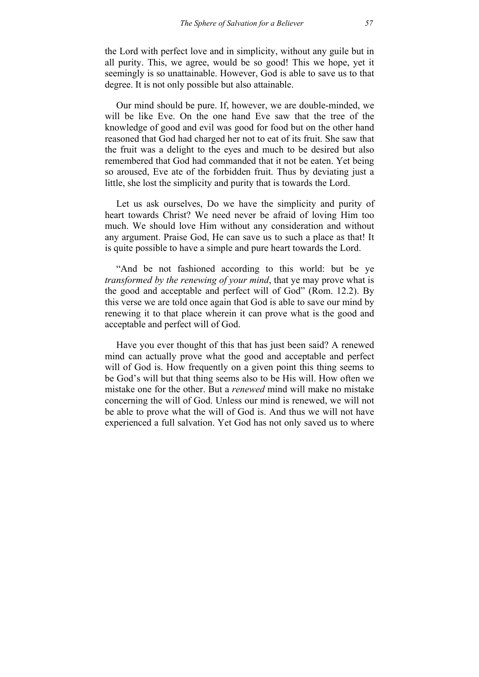the Lord with perfect love and in simplicity, without any guile but in all purity. This, we agree, would be so good! This we hope, yet it seemingly is so unattainable. However, God is able to save us to that degree. It is not only possible but also attainable.

Our mind should be pure. If, however, we are double-minded, we will be like Eve. On the one hand Eve saw that the tree of the knowledge of good and evil was good for food but on the other hand reasoned that God had charged her not to eat of its fruit. She saw that the fruit was a delight to the eyes and much to be desired but also remembered that God had commanded that it not be eaten. Yet being so aroused, Eve ate of the forbidden fruit. Thus by deviating just a little, she lost the simplicity and purity that is towards the Lord.

Let us ask ourselves, Do we have the simplicity and purity of heart towards Christ? We need never be afraid of loving Him too much. We should love Him without any consideration and without any argument. Praise God, He can save us to such a place as that! It is quite possible to have a simple and pure heart towards the Lord.

"And be not fashioned according to this world: but be ye *transformed by the renewing of your mind*, that ye may prove what is the good and acceptable and perfect will of God" (Rom. 12.2). By this verse we are told once again that God is able to save our mind by renewing it to that place wherein it can prove what is the good and acceptable and perfect will of God.

Have you ever thought of this that has just been said? A renewed mind can actually prove what the good and acceptable and perfect will of God is. How frequently on a given point this thing seems to be God's will but that thing seems also to be His will. How often we mistake one for the other. But a *renewed* mind will make no mistake concerning the will of God. Unless our mind is renewed, we will not be able to prove what the will of God is. And thus we will not have experienced a full salvation. Yet God has not only saved us to where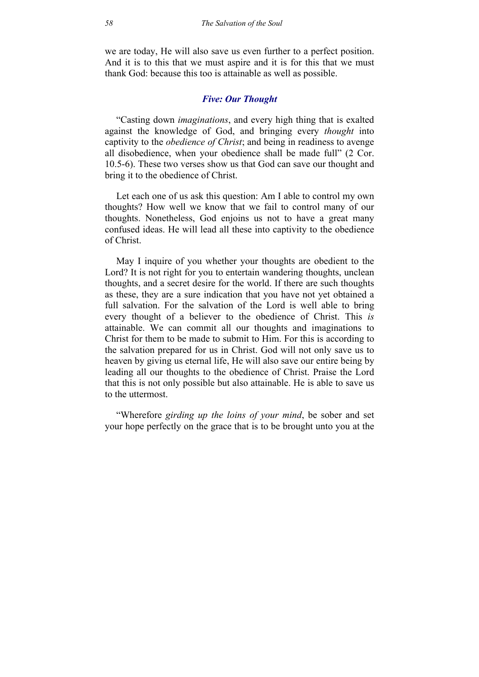we are today, He will also save us even further to a perfect position. And it is to this that we must aspire and it is for this that we must thank God: because this too is attainable as well as possible.

#### *Five: Our Thought*

"Casting down *imaginations*, and every high thing that is exalted against the knowledge of God, and bringing every *thought* into captivity to the *obedience of Christ*; and being in readiness to avenge all disobedience, when your obedience shall be made full" (2 Cor. 10.5-6). These two verses show us that God can save our thought and bring it to the obedience of Christ.

Let each one of us ask this question: Am I able to control my own thoughts? How well we know that we fail to control many of our thoughts. Nonetheless, God enjoins us not to have a great many confused ideas. He will lead all these into captivity to the obedience of Christ.

May I inquire of you whether your thoughts are obedient to the Lord? It is not right for you to entertain wandering thoughts, unclean thoughts, and a secret desire for the world. If there are such thoughts as these, they are a sure indication that you have not yet obtained a full salvation. For the salvation of the Lord is well able to bring every thought of a believer to the obedience of Christ. This *is* attainable. We can commit all our thoughts and imaginations to Christ for them to be made to submit to Him. For this is according to the salvation prepared for us in Christ. God will not only save us to heaven by giving us eternal life, He will also save our entire being by leading all our thoughts to the obedience of Christ. Praise the Lord that this is not only possible but also attainable. He is able to save us to the uttermost.

"Wherefore *girding up the loins of your mind*, be sober and set your hope perfectly on the grace that is to be brought unto you at the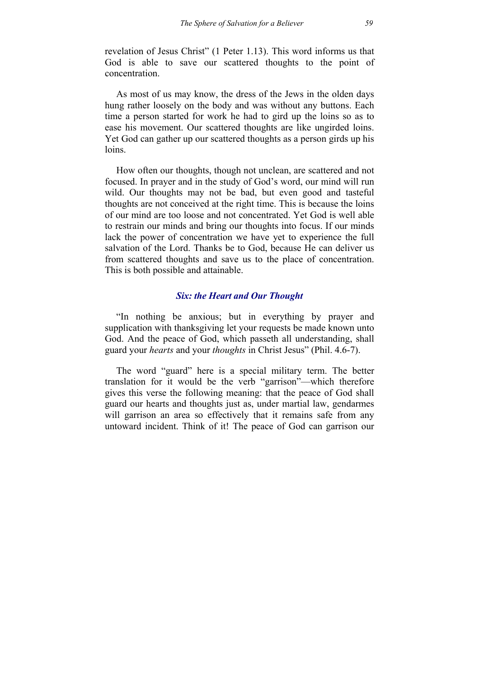revelation of Jesus Christ" (1 Peter 1.13). This word informs us that God is able to save our scattered thoughts to the point of concentration.

As most of us may know, the dress of the Jews in the olden days hung rather loosely on the body and was without any buttons. Each time a person started for work he had to gird up the loins so as to ease his movement. Our scattered thoughts are like ungirded loins. Yet God can gather up our scattered thoughts as a person girds up his loins.

How often our thoughts, though not unclean, are scattered and not focused. In prayer and in the study of God's word, our mind will run wild. Our thoughts may not be bad, but even good and tasteful thoughts are not conceived at the right time. This is because the loins of our mind are too loose and not concentrated. Yet God is well able to restrain our minds and bring our thoughts into focus. If our minds lack the power of concentration we have yet to experience the full salvation of the Lord. Thanks be to God, because He can deliver us from scattered thoughts and save us to the place of concentration. This is both possible and attainable.

#### *Six: the Heart and Our Thought*

"In nothing be anxious; but in everything by prayer and supplication with thanksgiving let your requests be made known unto God. And the peace of God, which passeth all understanding, shall guard your *hearts* and your *thoughts* in Christ Jesus" (Phil. 4.6-7).

The word "guard" here is a special military term. The better translation for it would be the verb "garrison"—which therefore gives this verse the following meaning: that the peace of God shall guard our hearts and thoughts just as, under martial law, gendarmes will garrison an area so effectively that it remains safe from any untoward incident. Think of it! The peace of God can garrison our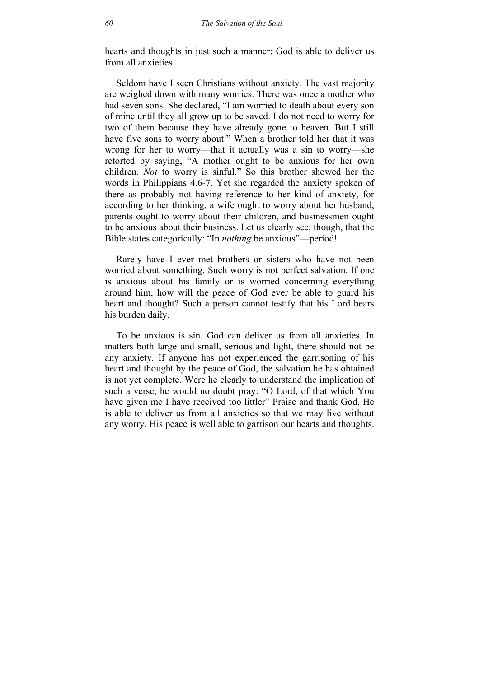hearts and thoughts in just such a manner: God is able to deliver us from all anxieties.

Seldom have I seen Christians without anxiety. The vast majority are weighed down with many worries. There was once a mother who had seven sons. She declared, "I am worried to death about every son of mine until they all grow up to be saved. I do not need to worry for two of them because they have already gone to heaven. But I still have five sons to worry about." When a brother told her that it was wrong for her to worry—that it actually was a sin to worry—she retorted by saying, "A mother ought to be anxious for her own children. *Not* to worry is sinful." So this brother showed her the words in Philippians 4.6-7. Yet she regarded the anxiety spoken of there as probably not having reference to her kind of anxiety, for according to her thinking, a wife ought to worry about her husband, parents ought to worry about their children, and businessmen ought to be anxious about their business. Let us clearly see, though, that the Bible states categorically: "In *nothing* be anxious"—period!

Rarely have I ever met brothers or sisters who have not been worried about something. Such worry is not perfect salvation. If one is anxious about his family or is worried concerning everything around him, how will the peace of God ever be able to guard his heart and thought? Such a person cannot testify that his Lord bears his burden daily.

To be anxious is sin. God can deliver us from all anxieties. In matters both large and small, serious and light, there should not be any anxiety. If anyone has not experienced the garrisoning of his heart and thought by the peace of God, the salvation he has obtained is not yet complete. Were he clearly to understand the implication of such a verse, he would no doubt pray: "O Lord, of that which You have given me I have received too littler" Praise and thank God, He is able to deliver us from all anxieties so that we may live without any worry. His peace is well able to garrison our hearts and thoughts.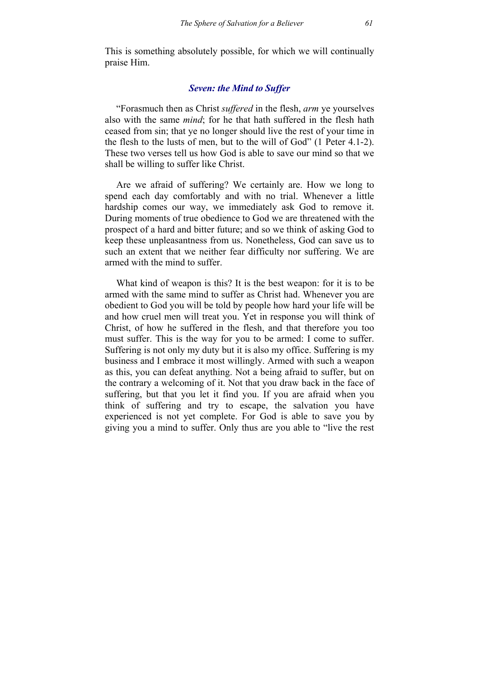This is something absolutely possible, for which we will continually praise Him.

#### *Seven: the Mind to Suffer*

"Forasmuch then as Christ *suffered* in the flesh, *arm* ye yourselves also with the same *mind*; for he that hath suffered in the flesh hath ceased from sin; that ye no longer should live the rest of your time in the flesh to the lusts of men, but to the will of God" (1 Peter 4.1-2). These two verses tell us how God is able to save our mind so that we shall be willing to suffer like Christ.

Are we afraid of suffering? We certainly are. How we long to spend each day comfortably and with no trial. Whenever a little hardship comes our way, we immediately ask God to remove it. During moments of true obedience to God we are threatened with the prospect of a hard and bitter future; and so we think of asking God to keep these unpleasantness from us. Nonetheless, God can save us to such an extent that we neither fear difficulty nor suffering. We are armed with the mind to suffer.

What kind of weapon is this? It is the best weapon: for it is to be armed with the same mind to suffer as Christ had. Whenever you are obedient to God you will be told by people how hard your life will be and how cruel men will treat you. Yet in response you will think of Christ, of how he suffered in the flesh, and that therefore you too must suffer. This is the way for you to be armed: I come to suffer. Suffering is not only my duty but it is also my office. Suffering is my business and I embrace it most willingly. Armed with such a weapon as this, you can defeat anything. Not a being afraid to suffer, but on the contrary a welcoming of it. Not that you draw back in the face of suffering, but that you let it find you. If you are afraid when you think of suffering and try to escape, the salvation you have experienced is not yet complete. For God is able to save you by giving you a mind to suffer. Only thus are you able to "live the rest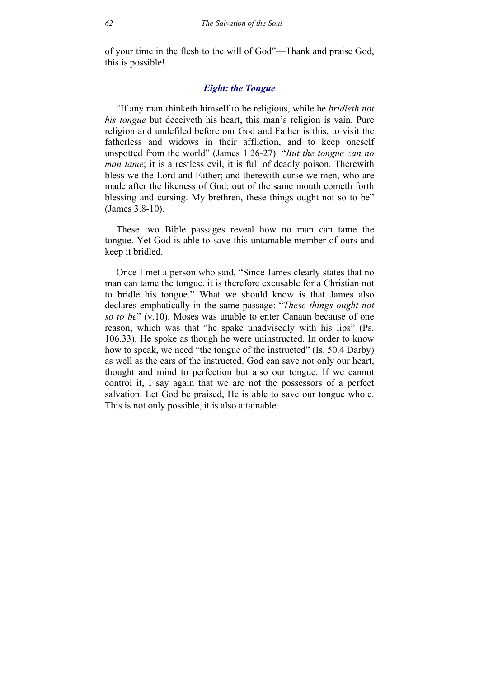of your time in the flesh to the will of God"—Thank and praise God, this is possible!

#### *Eight: the Tongue*

"If any man thinketh himself to be religious, while he *bridleth not his tongue* but deceiveth his heart, this man's religion is vain. Pure religion and undefiled before our God and Father is this, to visit the fatherless and widows in their affliction, and to keep oneself unspotted from the world" (James 1.26-27). "*But the tongue can no man tame*; it is a restless evil, it is full of deadly poison. Therewith bless we the Lord and Father; and therewith curse we men, who are made after the likeness of God: out of the same mouth cometh forth blessing and cursing. My brethren, these things ought not so to be" (James 3.8-10).

These two Bible passages reveal how no man can tame the tongue. Yet God is able to save this untamable member of ours and keep it bridled.

Once I met a person who said, "Since James clearly states that no man can tame the tongue, it is therefore excusable for a Christian not to bridle his tongue." What we should know is that James also declares emphatically in the same passage: "*These things ought not so to be*" (v.10). Moses was unable to enter Canaan because of one reason, which was that "he spake unadvisedly with his lips" (Ps. 106.33). He spoke as though he were uninstructed. In order to know how to speak, we need "the tongue of the instructed" (Is. 50.4 Darby) as well as the ears of the instructed. God can save not only our heart, thought and mind to perfection but also our tongue. If we cannot control it, I say again that we are not the possessors of a perfect salvation. Let God be praised, He is able to save our tongue whole. This is not only possible, it is also attainable.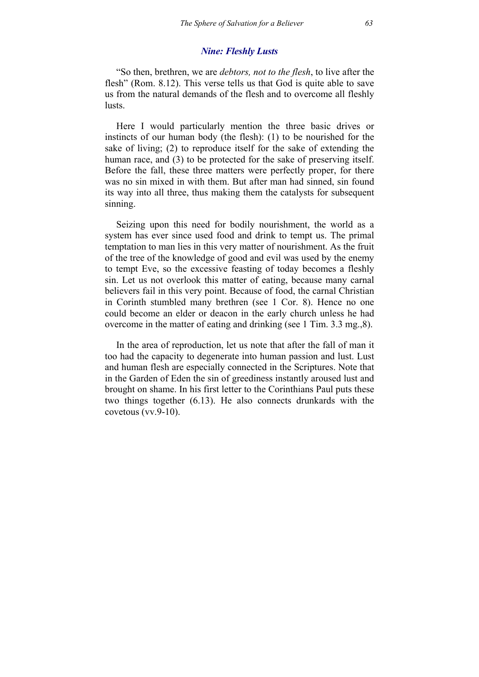#### *Nine: Fleshly Lusts*

"So then, brethren, we are *debtors, not to the flesh*, to live after the flesh" (Rom. 8.12). This verse tells us that God is quite able to save us from the natural demands of the flesh and to overcome all fleshly lusts.

Here I would particularly mention the three basic drives or instincts of our human body (the flesh): (1) to be nourished for the sake of living; (2) to reproduce itself for the sake of extending the human race, and (3) to be protected for the sake of preserving itself. Before the fall, these three matters were perfectly proper, for there was no sin mixed in with them. But after man had sinned, sin found its way into all three, thus making them the catalysts for subsequent sinning.

Seizing upon this need for bodily nourishment, the world as a system has ever since used food and drink to tempt us. The primal temptation to man lies in this very matter of nourishment. As the fruit of the tree of the knowledge of good and evil was used by the enemy to tempt Eve, so the excessive feasting of today becomes a fleshly sin. Let us not overlook this matter of eating, because many carnal believers fail in this very point. Because of food, the carnal Christian in Corinth stumbled many brethren (see 1 Cor. 8). Hence no one could become an elder or deacon in the early church unless he had overcome in the matter of eating and drinking (see 1 Tim. 3.3 mg.,8).

In the area of reproduction, let us note that after the fall of man it too had the capacity to degenerate into human passion and lust. Lust and human flesh are especially connected in the Scriptures. Note that in the Garden of Eden the sin of greediness instantly aroused lust and brought on shame. In his first letter to the Corinthians Paul puts these two things together (6.13). He also connects drunkards with the covetous (vv.9-10).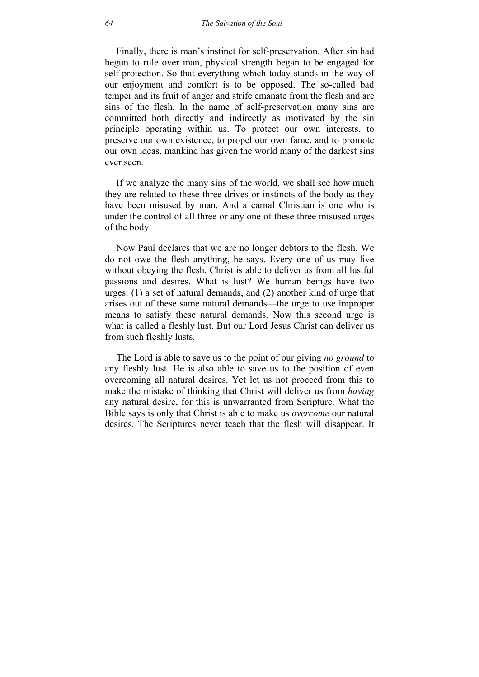Finally, there is man's instinct for self-preservation. After sin had begun to rule over man, physical strength began to be engaged for self protection. So that everything which today stands in the way of our enjoyment and comfort is to be opposed. The so-called bad temper and its fruit of anger and strife emanate from the flesh and are sins of the flesh. In the name of self-preservation many sins are committed both directly and indirectly as motivated by the sin principle operating within us. To protect our own interests, to preserve our own existence, to propel our own fame, and to promote our own ideas, mankind has given the world many of the darkest sins ever seen.

If we analyze the many sins of the world, we shall see how much they are related to these three drives or instincts of the body as they have been misused by man. And a carnal Christian is one who is under the control of all three or any one of these three misused urges of the body.

Now Paul declares that we are no longer debtors to the flesh. We do not owe the flesh anything, he says. Every one of us may live without obeying the flesh. Christ is able to deliver us from all lustful passions and desires. What is lust? We human beings have two urges: (1) a set of natural demands, and (2) another kind of urge that arises out of these same natural demands—the urge to use improper means to satisfy these natural demands. Now this second urge is what is called a fleshly lust. But our Lord Jesus Christ can deliver us from such fleshly lusts.

The Lord is able to save us to the point of our giving *no ground* to any fleshly lust. He is also able to save us to the position of even overcoming all natural desires. Yet let us not proceed from this to make the mistake of thinking that Christ will deliver us from *having* any natural desire, for this is unwarranted from Scripture. What the Bible says is only that Christ is able to make us *overcome* our natural desires. The Scriptures never teach that the flesh will disappear. It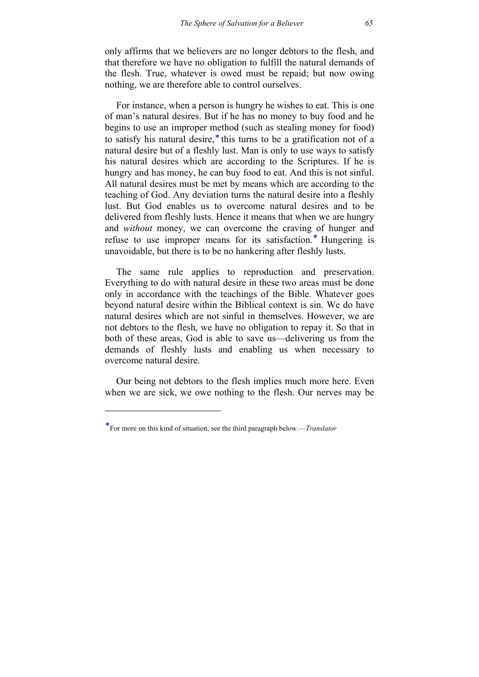only affirms that we believers are no longer debtors to the flesh, and that therefore we have no obligation to fulfill the natural demands of the flesh. True, whatever is owed must be repaid; but now owing nothing, we are therefore able to control ourselves.

For instance, when a person is hungry he wishes to eat. This is one of man's natural desires. But if he has no money to buy food and he begins to use an improper method (such as stealing money for food) to satisfy his natural desire,<sup>\*</sup> this turns to be a gratification not of a natural desire but of a fleshly lust. Man is only to use ways to satisfy his natural desires which are according to the Scriptures. If he is hungry and has money, he can buy food to eat. And this is not sinful. All natural desires must be met by means which are according to the teaching of God. Any deviation turns the natural desire into a fleshly lust. But God enables us to overcome natural desires and to be delivered from fleshly lusts. Hence it means that when we are hungry and *without* money, we can overcome the craving of hunger and refuse to use improper means for its satisfaction.<sup>\*</sup> Hungering is unavoidable, but there is to be no hankering after fleshly lusts.

The same rule applies to reproduction and preservation. Everything to do with natural desire in these two areas must be done only in accordance with the teachings of the Bible. Whatever goes beyond natural desire within the Biblical context is sin. We do have natural desires which are not sinful in themselves. However, we are not debtors to the flesh, we have no obligation to repay it. So that in both of these areas, God is able to save us—delivering us from the demands of fleshly lusts and enabling us when necessary to overcome natural desire.

Our being not debtors to the flesh implies much more here. Even when we are sick, we owe nothing to the flesh. Our nerves may be

 $\overline{a}$ 

<sup>∗</sup> For more on this kind of situation, see the third paragraph below.—*Translator*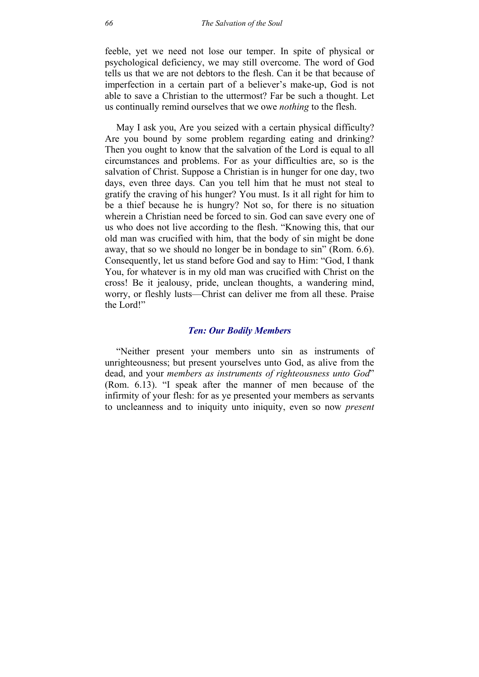feeble, yet we need not lose our temper. In spite of physical or psychological deficiency, we may still overcome. The word of God tells us that we are not debtors to the flesh. Can it be that because of imperfection in a certain part of a believer's make-up, God is not able to save a Christian to the uttermost? Far be such a thought. Let us continually remind ourselves that we owe *nothing* to the flesh.

May I ask you, Are you seized with a certain physical difficulty? Are you bound by some problem regarding eating and drinking? Then you ought to know that the salvation of the Lord is equal to all circumstances and problems. For as your difficulties are, so is the salvation of Christ. Suppose a Christian is in hunger for one day, two days, even three days. Can you tell him that he must not steal to gratify the craving of his hunger? You must. Is it all right for him to be a thief because he is hungry? Not so, for there is no situation wherein a Christian need be forced to sin. God can save every one of us who does not live according to the flesh. "Knowing this, that our old man was crucified with him, that the body of sin might be done away, that so we should no longer be in bondage to sin" (Rom. 6.6). Consequently, let us stand before God and say to Him: "God, I thank You, for whatever is in my old man was crucified with Christ on the cross! Be it jealousy, pride, unclean thoughts, a wandering mind, worry, or fleshly lusts—Christ can deliver me from all these. Praise the Lord!"

#### *Ten: Our Bodily Members*

"Neither present your members unto sin as instruments of unrighteousness; but present yourselves unto God, as alive from the dead, and your *members as instruments of righteousness unto God*" (Rom. 6.13). "I speak after the manner of men because of the infirmity of your flesh: for as ye presented your members as servants to uncleanness and to iniquity unto iniquity, even so now *present*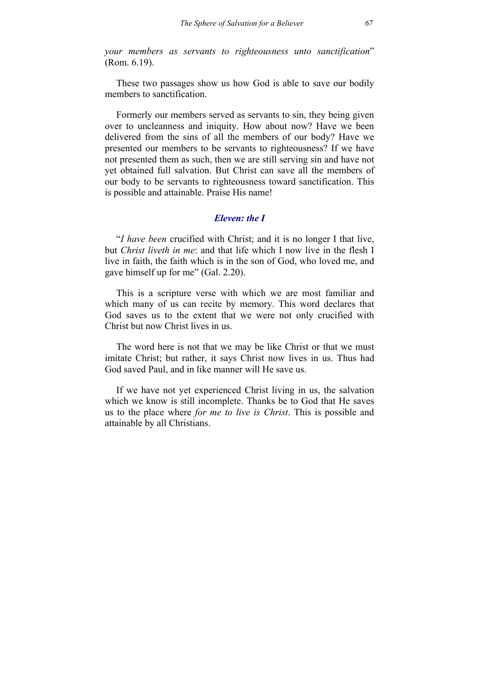*your members as servants to righteousness unto sanctification*" (Rom. 6.19).

These two passages show us how God is able to save our bodily members to sanctification.

Formerly our members served as servants to sin, they being given over to uncleanness and iniquity. How about now? Have we been delivered from the sins of all the members of our body? Have we presented our members to be servants to righteousness? If we have not presented them as such, then we are still serving sin and have not yet obtained full salvation. But Christ can save all the members of our body to be servants to righteousness toward sanctification. This is possible and attainable. Praise His name!

#### *Eleven: the I*

"*I have been* crucified with Christ; and it is no longer I that live, but *Christ liveth in me*: and that life which I now live in the flesh I live in faith, the faith which is in the son of God, who loved me, and gave himself up for me" (Gal. 2.20).

This is a scripture verse with which we are most familiar and which many of us can recite by memory. This word declares that God saves us to the extent that we were not only crucified with Christ but now Christ lives in us.

The word here is not that we may be like Christ or that we must imitate Christ; but rather, it says Christ now lives in us. Thus had God saved Paul, and in like manner will He save us.

If we have not yet experienced Christ living in us, the salvation which we know is still incomplete. Thanks be to God that He saves us to the place where *for me to live is Christ*. This is possible and attainable by all Christians.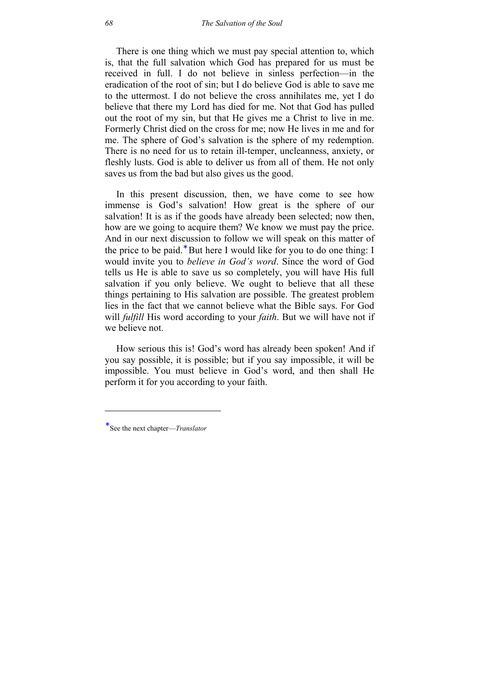There is one thing which we must pay special attention to, which is, that the full salvation which God has prepared for us must be received in full. I do not believe in sinless perfection—in the eradication of the root of sin; but I do believe God is able to save me to the uttermost. I do not believe the cross annihilates me, yet I do believe that there my Lord has died for me. Not that God has pulled out the root of my sin, but that He gives me a Christ to live in me. Formerly Christ died on the cross for me; now He lives in me and for me. The sphere of God's salvation is the sphere of my redemption. There is no need for us to retain ill-temper, uncleanness, anxiety, or fleshly lusts. God is able to deliver us from all of them. He not only saves us from the bad but also gives us the good.

In this present discussion, then, we have come to see how immense is God's salvation! How great is the sphere of our salvation! It is as if the goods have already been selected; now then, how are we going to acquire them? We know we must pay the price. And in our next discussion to follow we will speak on this matter of the price to be paid.<sup>∗</sup> But here I would like for you to do one thing: I would invite you to *believe in God's word*. Since the word of God tells us He is able to save us so completely, you will have His full salvation if you only believe. We ought to believe that all these things pertaining to His salvation are possible. The greatest problem lies in the fact that we cannot believe what the Bible says. For God will *fulfill* His word according to your *faith*. But we will have not if we believe not.

How serious this is! God's word has already been spoken! And if you say possible, it is possible; but if you say impossible, it will be impossible. You must believe in God's word, and then shall He perform it for you according to your faith.

 $\overline{a}$ 

<sup>∗</sup> See the next chapter—*Translator*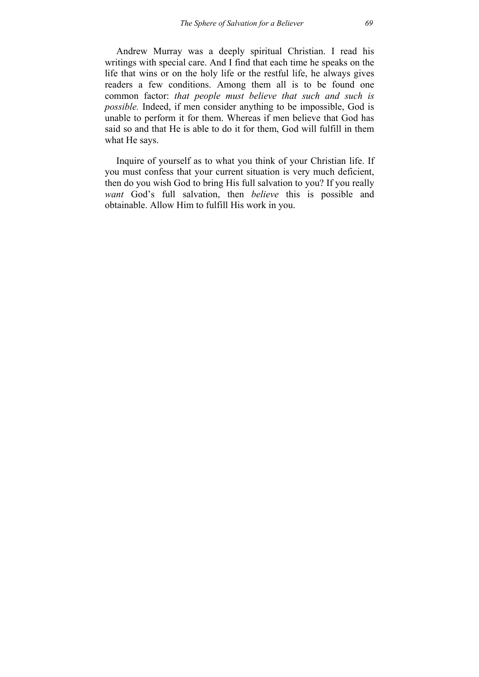Andrew Murray was a deeply spiritual Christian. I read his writings with special care. And I find that each time he speaks on the life that wins or on the holy life or the restful life, he always gives readers a few conditions. Among them all is to be found one common factor: *that people must believe that such and such is possible.* Indeed, if men consider anything to be impossible, God is unable to perform it for them. Whereas if men believe that God has said so and that He is able to do it for them, God will fulfill in them what He says.

Inquire of yourself as to what you think of your Christian life. If you must confess that your current situation is very much deficient, then do you wish God to bring His full salvation to you? If you really *want* God's full salvation, then *believe* this is possible and obtainable. Allow Him to fulfill His work in you.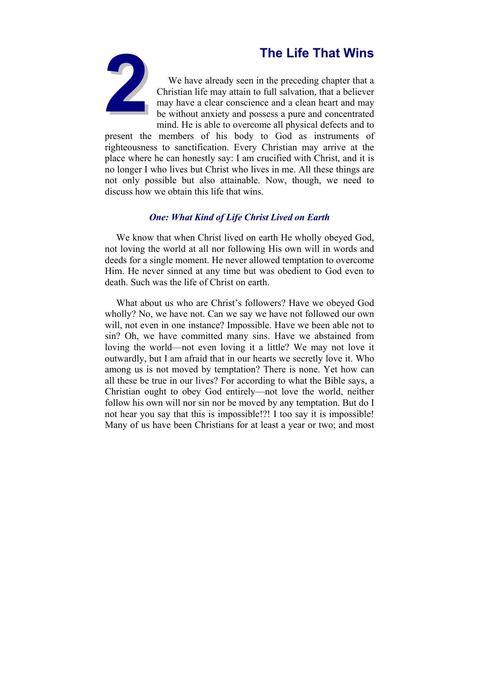

**2The Life That Wins**<br>We have already seen in the preceding chapter that a<br>Christian life may attain to full salvation, that a believer<br>may have a clear conscience and a clean heart and may<br>be without anxiety and possess a We have already seen in the preceding chapter that a Christian life may attain to full salvation, that a believer may have a clear conscience and a clean heart and may be without anxiety and possess a pure and concentrated mind. He is able to overcome all physical defects and to

present the members of his body to God as instruments of righteousness to sanctification. Every Christian may arrive at the place where he can honestly say: I am crucified with Christ, and it is no longer I who lives but Christ who lives in me. All these things are not only possible but also attainable. Now, though, we need to discuss how we obtain this life that wins.

#### *One: What Kind of Life Christ Lived on Earth*

We know that when Christ lived on earth He wholly obeyed God, not loving the world at all nor following His own will in words and deeds for a single moment. He never allowed temptation to overcome Him. He never sinned at any time but was obedient to God even to death. Such was the life of Christ on earth.

What about us who are Christ's followers? Have we obeyed God wholly? No, we have not. Can we say we have not followed our own will, not even in one instance? Impossible. Have we been able not to sin? Oh, we have committed many sins. Have we abstained from loving the world—not even loving it a little? We may not love it outwardly, but I am afraid that in our hearts we secretly love it. Who among us is not moved by temptation? There is none. Yet how can all these be true in our lives? For according to what the Bible says, a Christian ought to obey God entirely—not love the world, neither follow his own will nor sin nor be moved by any temptation. But do I not hear you say that this is impossible!?! I too say it is impossible! Many of us have been Christians for at least a year or two; and most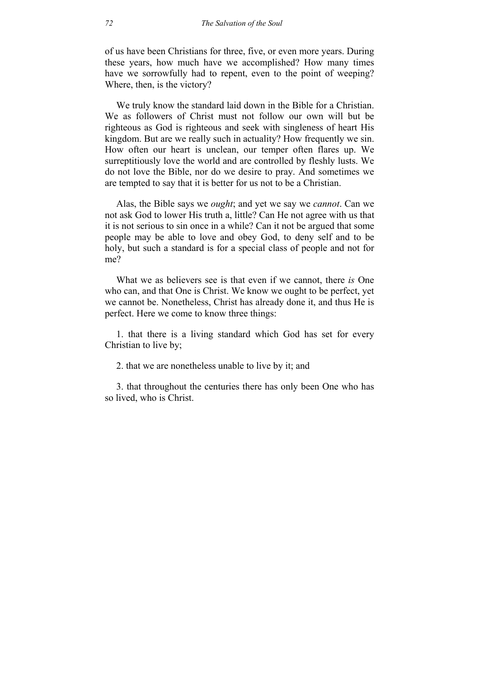of us have been Christians for three, five, or even more years. During these years, how much have we accomplished? How many times have we sorrowfully had to repent, even to the point of weeping? Where, then, is the victory?

We truly know the standard laid down in the Bible for a Christian. We as followers of Christ must not follow our own will but be righteous as God is righteous and seek with singleness of heart His kingdom. But are we really such in actuality? How frequently we sin. How often our heart is unclean, our temper often flares up. We surreptitiously love the world and are controlled by fleshly lusts. We do not love the Bible, nor do we desire to pray. And sometimes we are tempted to say that it is better for us not to be a Christian.

Alas, the Bible says we *ought*; and yet we say we *cannot*. Can we not ask God to lower His truth a, little? Can He not agree with us that it is not serious to sin once in a while? Can it not be argued that some people may be able to love and obey God, to deny self and to be holy, but such a standard is for a special class of people and not for me?

What we as believers see is that even if we cannot, there *is* One who can, and that One is Christ. We know we ought to be perfect, yet we cannot be. Nonetheless, Christ has already done it, and thus He is perfect. Here we come to know three things:

1. that there is a living standard which God has set for every Christian to live by;

2. that we are nonetheless unable to live by it; and

3. that throughout the centuries there has only been One who has so lived, who is Christ.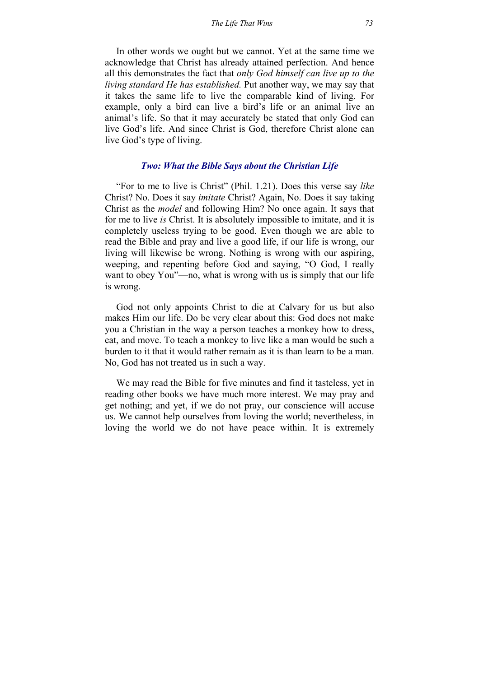In other words we ought but we cannot. Yet at the same time we acknowledge that Christ has already attained perfection. And hence all this demonstrates the fact that *only God himself can live up to the living standard He has established.* Put another way, we may say that it takes the same life to live the comparable kind of living. For example, only a bird can live a bird's life or an animal live an animal's life. So that it may accurately be stated that only God can live God's life. And since Christ is God, therefore Christ alone can live God's type of living.

#### *Two: What the Bible Says about the Christian Life*

"For to me to live is Christ" (Phil. 1.21). Does this verse say *like* Christ? No. Does it say *imitate* Christ? Again, No. Does it say taking Christ as the *model* and following Him? No once again. It says that for me to live *is* Christ. It is absolutely impossible to imitate, and it is completely useless trying to be good. Even though we are able to read the Bible and pray and live a good life, if our life is wrong, our living will likewise be wrong. Nothing is wrong with our aspiring, weeping, and repenting before God and saying, "O God, I really want to obey You"—no, what is wrong with us is simply that our life is wrong.

God not only appoints Christ to die at Calvary for us but also makes Him our life. Do be very clear about this: God does not make you a Christian in the way a person teaches a monkey how to dress, eat, and move. To teach a monkey to live like a man would be such a burden to it that it would rather remain as it is than learn to be a man. No, God has not treated us in such a way.

We may read the Bible for five minutes and find it tasteless, yet in reading other books we have much more interest. We may pray and get nothing; and yet, if we do not pray, our conscience will accuse us. We cannot help ourselves from loving the world; nevertheless, in loving the world we do not have peace within. It is extremely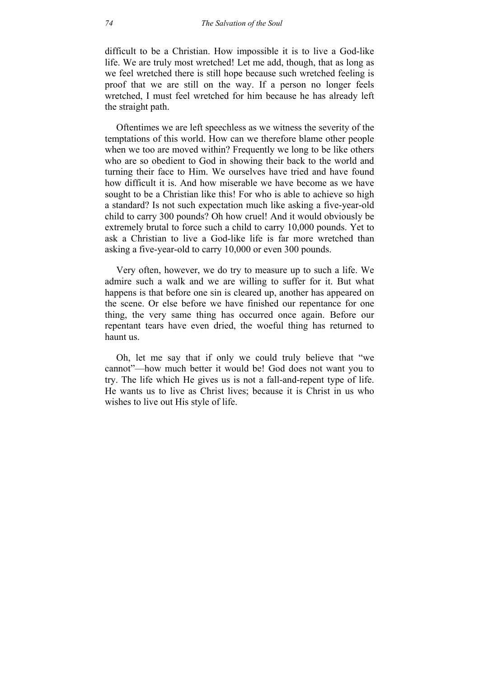difficult to be a Christian. How impossible it is to live a God-like life. We are truly most wretched! Let me add, though, that as long as we feel wretched there is still hope because such wretched feeling is proof that we are still on the way. If a person no longer feels wretched, I must feel wretched for him because he has already left the straight path.

Oftentimes we are left speechless as we witness the severity of the temptations of this world. How can we therefore blame other people when we too are moved within? Frequently we long to be like others who are so obedient to God in showing their back to the world and turning their face to Him. We ourselves have tried and have found how difficult it is. And how miserable we have become as we have sought to be a Christian like this! For who is able to achieve so high a standard? Is not such expectation much like asking a five-year-old child to carry 300 pounds? Oh how cruel! And it would obviously be extremely brutal to force such a child to carry 10,000 pounds. Yet to ask a Christian to live a God-like life is far more wretched than asking a five-year-old to carry 10,000 or even 300 pounds.

Very often, however, we do try to measure up to such a life. We admire such a walk and we are willing to suffer for it. But what happens is that before one sin is cleared up, another has appeared on the scene. Or else before we have finished our repentance for one thing, the very same thing has occurred once again. Before our repentant tears have even dried, the woeful thing has returned to haunt us.

Oh, let me say that if only we could truly believe that "we cannot"—how much better it would be! God does not want you to try. The life which He gives us is not a fall-and-repent type of life. He wants us to live as Christ lives; because it is Christ in us who wishes to live out His style of life.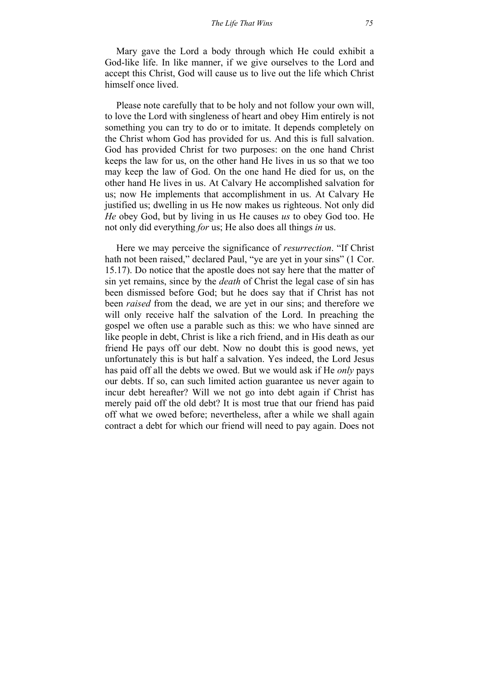Mary gave the Lord a body through which He could exhibit a God-like life. In like manner, if we give ourselves to the Lord and accept this Christ, God will cause us to live out the life which Christ himself once lived.

Please note carefully that to be holy and not follow your own will, to love the Lord with singleness of heart and obey Him entirely is not something you can try to do or to imitate. It depends completely on the Christ whom God has provided for us. And this is full salvation. God has provided Christ for two purposes: on the one hand Christ keeps the law for us, on the other hand He lives in us so that we too may keep the law of God. On the one hand He died for us, on the other hand He lives in us. At Calvary He accomplished salvation for us; now He implements that accomplishment in us. At Calvary He justified us; dwelling in us He now makes us righteous. Not only did *He* obey God, but by living in us He causes *us* to obey God too. He not only did everything *for* us; He also does all things *in* us.

Here we may perceive the significance of *resurrection*. "If Christ hath not been raised," declared Paul, "ye are yet in your sins" (1 Cor. 15.17). Do notice that the apostle does not say here that the matter of sin yet remains, since by the *death* of Christ the legal case of sin has been dismissed before God; but he does say that if Christ has not been *raised* from the dead, we are yet in our sins; and therefore we will only receive half the salvation of the Lord. In preaching the gospel we often use a parable such as this: we who have sinned are like people in debt, Christ is like a rich friend, and in His death as our friend He pays off our debt. Now no doubt this is good news, yet unfortunately this is but half a salvation. Yes indeed, the Lord Jesus has paid off all the debts we owed. But we would ask if He *only* pays our debts. If so, can such limited action guarantee us never again to incur debt hereafter? Will we not go into debt again if Christ has merely paid off the old debt? It is most true that our friend has paid off what we owed before; nevertheless, after a while we shall again contract a debt for which our friend will need to pay again. Does not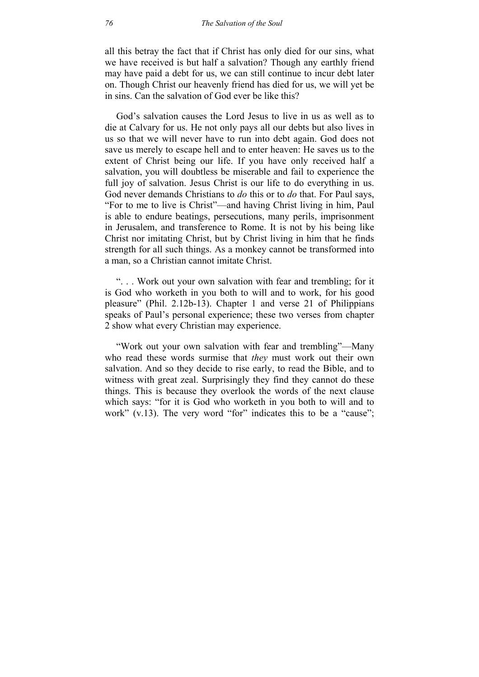all this betray the fact that if Christ has only died for our sins, what we have received is but half a salvation? Though any earthly friend may have paid a debt for us, we can still continue to incur debt later on. Though Christ our heavenly friend has died for us, we will yet be in sins. Can the salvation of God ever be like this?

God's salvation causes the Lord Jesus to live in us as well as to die at Calvary for us. He not only pays all our debts but also lives in us so that we will never have to run into debt again. God does not save us merely to escape hell and to enter heaven: He saves us to the extent of Christ being our life. If you have only received half a salvation, you will doubtless be miserable and fail to experience the full joy of salvation. Jesus Christ is our life to do everything in us. God never demands Christians to *do* this or to *do* that. For Paul says, "For to me to live is Christ"—and having Christ living in him, Paul is able to endure beatings, persecutions, many perils, imprisonment in Jerusalem, and transference to Rome. It is not by his being like Christ nor imitating Christ, but by Christ living in him that he finds strength for all such things. As a monkey cannot be transformed into a man, so a Christian cannot imitate Christ.

". . . Work out your own salvation with fear and trembling; for it is God who worketh in you both to will and to work, for his good pleasure" (Phil. 2.12b-13). Chapter 1 and verse 21 of Philippians speaks of Paul's personal experience; these two verses from chapter 2 show what every Christian may experience.

"Work out your own salvation with fear and trembling"—Many who read these words surmise that *they* must work out their own salvation. And so they decide to rise early, to read the Bible, and to witness with great zeal. Surprisingly they find they cannot do these things. This is because they overlook the words of the next clause which says: "for it is God who worketh in you both to will and to work" (v.13). The very word "for" indicates this to be a "cause";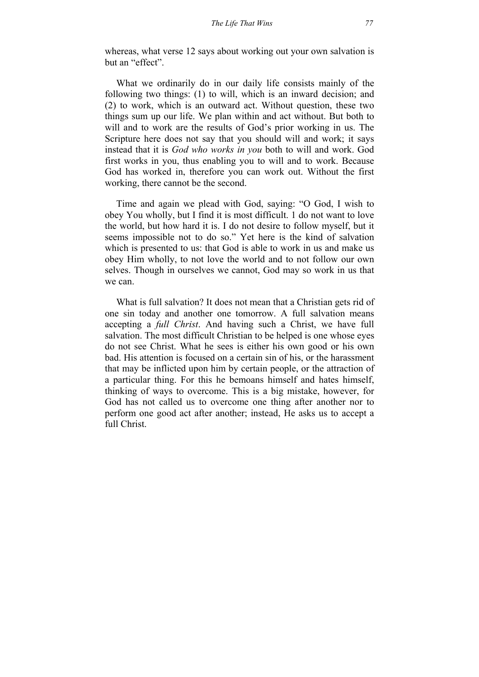whereas, what verse 12 says about working out your own salvation is but an "effect".

What we ordinarily do in our daily life consists mainly of the following two things: (1) to will, which is an inward decision; and (2) to work, which is an outward act. Without question, these two things sum up our life. We plan within and act without. But both to will and to work are the results of God's prior working in us. The Scripture here does not say that you should will and work; it says instead that it is *God who works in you* both to will and work. God first works in you, thus enabling you to will and to work. Because God has worked in, therefore you can work out. Without the first working, there cannot be the second.

Time and again we plead with God, saying: "O God, I wish to obey You wholly, but I find it is most difficult. 1 do not want to love the world, but how hard it is. I do not desire to follow myself, but it seems impossible not to do so." Yet here is the kind of salvation which is presented to us: that God is able to work in us and make us obey Him wholly, to not love the world and to not follow our own selves. Though in ourselves we cannot, God may so work in us that we can.

What is full salvation? It does not mean that a Christian gets rid of one sin today and another one tomorrow. A full salvation means accepting a *full Christ*. And having such a Christ, we have full salvation. The most difficult Christian to be helped is one whose eyes do not see Christ. What he sees is either his own good or his own bad. His attention is focused on a certain sin of his, or the harassment that may be inflicted upon him by certain people, or the attraction of a particular thing. For this he bemoans himself and hates himself, thinking of ways to overcome. This is a big mistake, however, for God has not called us to overcome one thing after another nor to perform one good act after another; instead, He asks us to accept a full Christ.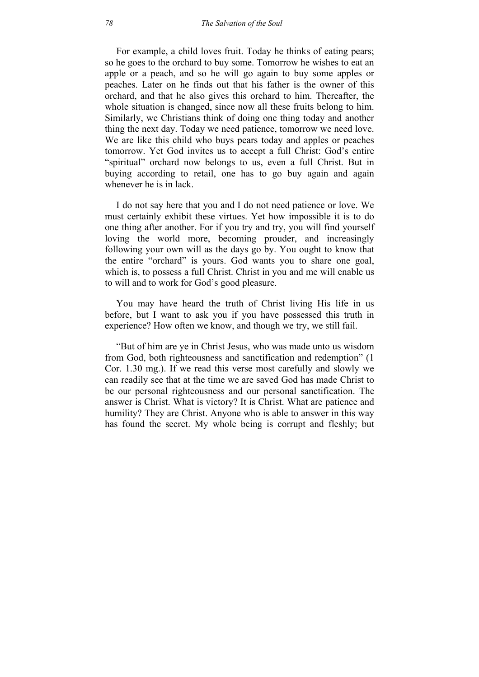For example, a child loves fruit. Today he thinks of eating pears; so he goes to the orchard to buy some. Tomorrow he wishes to eat an apple or a peach, and so he will go again to buy some apples or peaches. Later on he finds out that his father is the owner of this orchard, and that he also gives this orchard to him. Thereafter, the whole situation is changed, since now all these fruits belong to him. Similarly, we Christians think of doing one thing today and another thing the next day. Today we need patience, tomorrow we need love. We are like this child who buys pears today and apples or peaches tomorrow. Yet God invites us to accept a full Christ: God's entire "spiritual" orchard now belongs to us, even a full Christ. But in buying according to retail, one has to go buy again and again whenever he is in lack.

I do not say here that you and I do not need patience or love. We must certainly exhibit these virtues. Yet how impossible it is to do one thing after another. For if you try and try, you will find yourself loving the world more, becoming prouder, and increasingly following your own will as the days go by. You ought to know that the entire "orchard" is yours. God wants you to share one goal, which is, to possess a full Christ. Christ in you and me will enable us to will and to work for God's good pleasure.

You may have heard the truth of Christ living His life in us before, but I want to ask you if you have possessed this truth in experience? How often we know, and though we try, we still fail.

"But of him are ye in Christ Jesus, who was made unto us wisdom from God, both righteousness and sanctification and redemption" (1 Cor. 1.30 mg.). If we read this verse most carefully and slowly we can readily see that at the time we are saved God has made Christ to be our personal righteousness and our personal sanctification. The answer is Christ. What is victory? It is Christ. What are patience and humility? They are Christ. Anyone who is able to answer in this way has found the secret. My whole being is corrupt and fleshly; but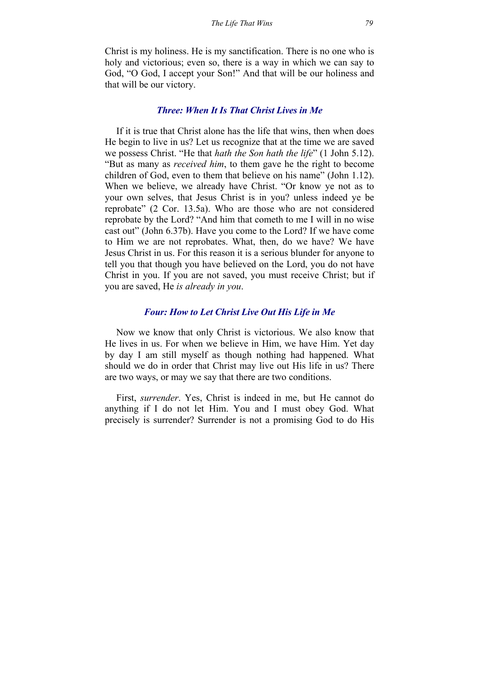Christ is my holiness. He is my sanctification. There is no one who is holy and victorious; even so, there is a way in which we can say to God, "O God, I accept your Son!" And that will be our holiness and that will be our victory.

### *Three: When It Is That Christ Lives in Me*

If it is true that Christ alone has the life that wins, then when does He begin to live in us? Let us recognize that at the time we are saved we possess Christ. "He that *hath the Son hath the life*" (1 John 5.12). "But as many as *received him*, to them gave he the right to become children of God, even to them that believe on his name" (John 1.12). When we believe, we already have Christ. "Or know ye not as to your own selves, that Jesus Christ is in you? unless indeed ye be reprobate" (2 Cor. 13.5a). Who are those who are not considered reprobate by the Lord? "And him that cometh to me I will in no wise cast out" (John 6.37b). Have you come to the Lord? If we have come to Him we are not reprobates. What, then, do we have? We have Jesus Christ in us. For this reason it is a serious blunder for anyone to tell you that though you have believed on the Lord, you do not have Christ in you. If you are not saved, you must receive Christ; but if you are saved, He *is already in you*.

#### *Four: How to Let Christ Live Out His Life in Me*

Now we know that only Christ is victorious. We also know that He lives in us. For when we believe in Him, we have Him. Yet day by day I am still myself as though nothing had happened. What should we do in order that Christ may live out His life in us? There are two ways, or may we say that there are two conditions.

First, *surrender*. Yes, Christ is indeed in me, but He cannot do anything if I do not let Him. You and I must obey God. What precisely is surrender? Surrender is not a promising God to do His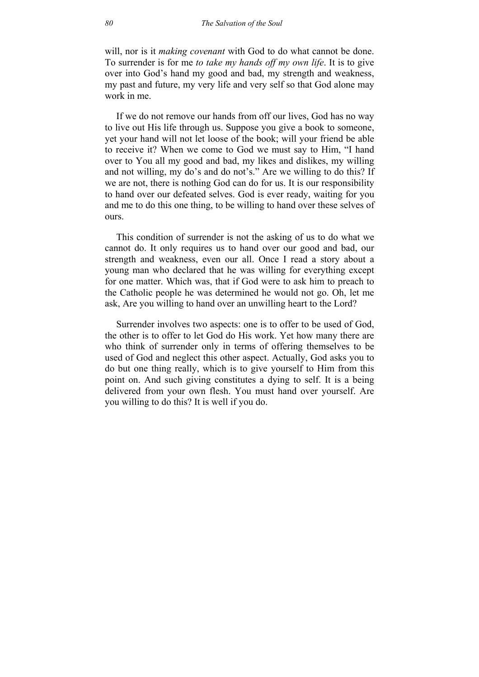will, nor is it *making covenant* with God to do what cannot be done. To surrender is for me *to take my hands off my own life*. It is to give over into God's hand my good and bad, my strength and weakness, my past and future, my very life and very self so that God alone may work in me.

If we do not remove our hands from off our lives, God has no way to live out His life through us. Suppose you give a book to someone, yet your hand will not let loose of the book; will your friend be able to receive it? When we come to God we must say to Him, "I hand over to You all my good and bad, my likes and dislikes, my willing and not willing, my do's and do not's." Are we willing to do this? If we are not, there is nothing God can do for us. It is our responsibility to hand over our defeated selves. God is ever ready, waiting for you and me to do this one thing, to be willing to hand over these selves of ours.

This condition of surrender is not the asking of us to do what we cannot do. It only requires us to hand over our good and bad, our strength and weakness, even our all. Once I read a story about a young man who declared that he was willing for everything except for one matter. Which was, that if God were to ask him to preach to the Catholic people he was determined he would not go. Oh, let me ask, Are you willing to hand over an unwilling heart to the Lord?

Surrender involves two aspects: one is to offer to be used of God, the other is to offer to let God do His work. Yet how many there are who think of surrender only in terms of offering themselves to be used of God and neglect this other aspect. Actually, God asks you to do but one thing really, which is to give yourself to Him from this point on. And such giving constitutes a dying to self. It is a being delivered from your own flesh. You must hand over yourself. Are you willing to do this? It is well if you do.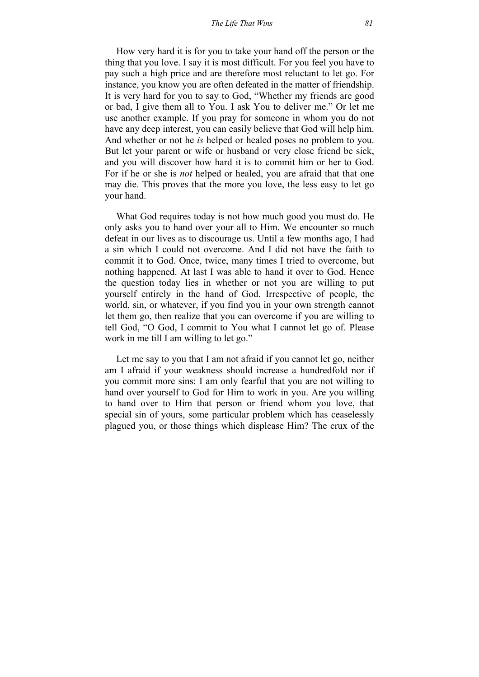How very hard it is for you to take your hand off the person or the thing that you love. I say it is most difficult. For you feel you have to pay such a high price and are therefore most reluctant to let go. For instance, you know you are often defeated in the matter of friendship. It is very hard for you to say to God, "Whether my friends are good or bad, I give them all to You. I ask You to deliver me." Or let me use another example. If you pray for someone in whom you do not have any deep interest, you can easily believe that God will help him. And whether or not he *is* helped or healed poses no problem to you. But let your parent or wife or husband or very close friend be sick, and you will discover how hard it is to commit him or her to God. For if he or she is *not* helped or healed, you are afraid that that one may die. This proves that the more you love, the less easy to let go your hand.

What God requires today is not how much good you must do. He only asks you to hand over your all to Him. We encounter so much defeat in our lives as to discourage us. Until a few months ago, I had a sin which I could not overcome. And I did not have the faith to commit it to God. Once, twice, many times I tried to overcome, but nothing happened. At last I was able to hand it over to God. Hence the question today lies in whether or not you are willing to put yourself entirely in the hand of God. Irrespective of people, the world, sin, or whatever, if you find you in your own strength cannot let them go, then realize that you can overcome if you are willing to tell God, "O God, I commit to You what I cannot let go of. Please work in me till I am willing to let go."

Let me say to you that I am not afraid if you cannot let go, neither am I afraid if your weakness should increase a hundredfold nor if you commit more sins: I am only fearful that you are not willing to hand over yourself to God for Him to work in you. Are you willing to hand over to Him that person or friend whom you love, that special sin of yours, some particular problem which has ceaselessly plagued you, or those things which displease Him? The crux of the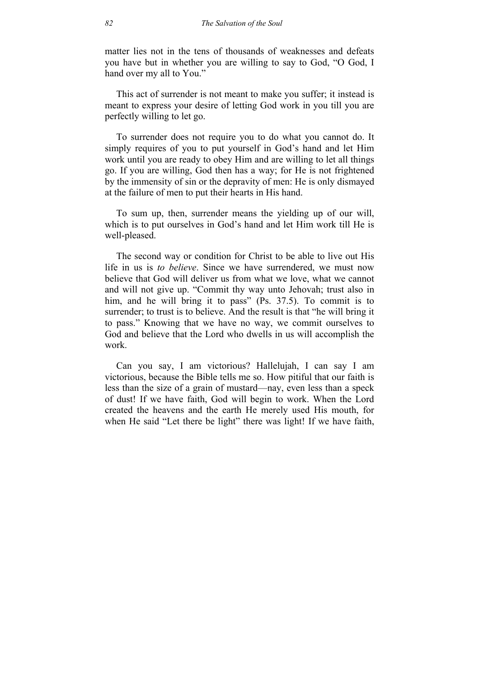matter lies not in the tens of thousands of weaknesses and defeats you have but in whether you are willing to say to God, "O God, I hand over my all to You."

This act of surrender is not meant to make you suffer; it instead is meant to express your desire of letting God work in you till you are perfectly willing to let go.

To surrender does not require you to do what you cannot do. It simply requires of you to put yourself in God's hand and let Him work until you are ready to obey Him and are willing to let all things go. If you are willing, God then has a way; for He is not frightened by the immensity of sin or the depravity of men: He is only dismayed at the failure of men to put their hearts in His hand.

To sum up, then, surrender means the yielding up of our will, which is to put ourselves in God's hand and let Him work till He is well-pleased.

The second way or condition for Christ to be able to live out His life in us is *to believe*. Since we have surrendered, we must now believe that God will deliver us from what we love, what we cannot and will not give up. "Commit thy way unto Jehovah; trust also in him, and he will bring it to pass" (Ps. 37.5). To commit is to surrender; to trust is to believe. And the result is that "he will bring it to pass." Knowing that we have no way, we commit ourselves to God and believe that the Lord who dwells in us will accomplish the work.

Can you say, I am victorious? Hallelujah, I can say I am victorious, because the Bible tells me so. How pitiful that our faith is less than the size of a grain of mustard—nay, even less than a speck of dust! If we have faith, God will begin to work. When the Lord created the heavens and the earth He merely used His mouth, for when He said "Let there be light" there was light! If we have faith,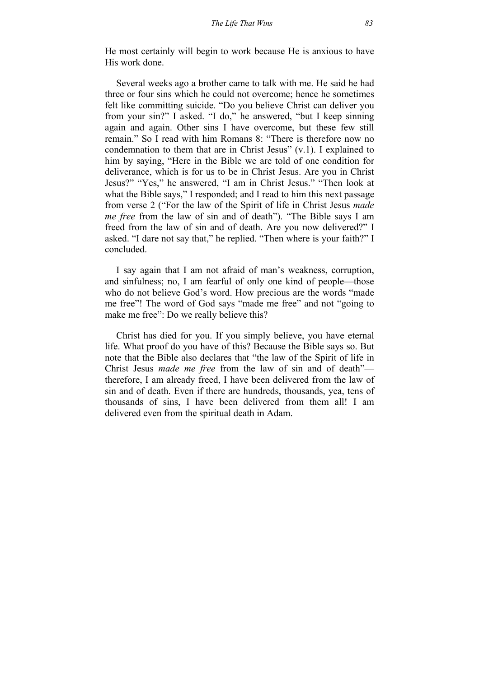He most certainly will begin to work because He is anxious to have His work done.

Several weeks ago a brother came to talk with me. He said he had three or four sins which he could not overcome; hence he sometimes felt like committing suicide. "Do you believe Christ can deliver you from your sin?" I asked. "I do," he answered, "but I keep sinning again and again. Other sins I have overcome, but these few still remain." So I read with him Romans 8: "There is therefore now no condemnation to them that are in Christ Jesus" (v.1). I explained to him by saying, "Here in the Bible we are told of one condition for deliverance, which is for us to be in Christ Jesus. Are you in Christ Jesus?" "Yes," he answered, "I am in Christ Jesus." "Then look at what the Bible says," I responded; and I read to him this next passage from verse 2 ("For the law of the Spirit of life in Christ Jesus *made me free* from the law of sin and of death"). "The Bible says I am freed from the law of sin and of death. Are you now delivered?" I asked. "I dare not say that," he replied. "Then where is your faith?" I concluded.

I say again that I am not afraid of man's weakness, corruption, and sinfulness; no, I am fearful of only one kind of people—those who do not believe God's word. How precious are the words "made me free"! The word of God says "made me free" and not "going to make me free": Do we really believe this?

Christ has died for you. If you simply believe, you have eternal life. What proof do you have of this? Because the Bible says so. But note that the Bible also declares that "the law of the Spirit of life in Christ Jesus *made me free* from the law of sin and of death" therefore, I am already freed, I have been delivered from the law of sin and of death. Even if there are hundreds, thousands, yea, tens of thousands of sins, I have been delivered from them all! I am delivered even from the spiritual death in Adam.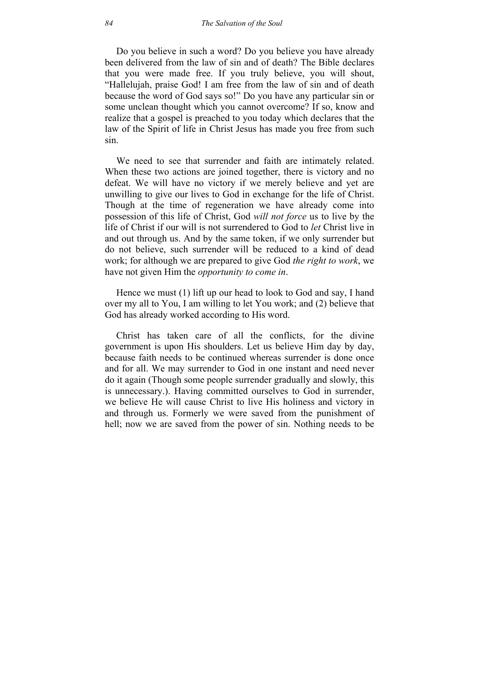Do you believe in such a word? Do you believe you have already been delivered from the law of sin and of death? The Bible declares that you were made free. If you truly believe, you will shout, "Hallelujah, praise God! I am free from the law of sin and of death because the word of God says so!" Do you have any particular sin or some unclean thought which you cannot overcome? If so, know and realize that a gospel is preached to you today which declares that the law of the Spirit of life in Christ Jesus has made you free from such sin.

We need to see that surrender and faith are intimately related. When these two actions are joined together, there is victory and no defeat. We will have no victory if we merely believe and yet are unwilling to give our lives to God in exchange for the life of Christ. Though at the time of regeneration we have already come into possession of this life of Christ, God *will not force* us to live by the life of Christ if our will is not surrendered to God to *let* Christ live in and out through us. And by the same token, if we only surrender but do not believe, such surrender will be reduced to a kind of dead work; for although we are prepared to give God *the right to work*, we have not given Him the *opportunity to come in*.

Hence we must (1) lift up our head to look to God and say, I hand over my all to You, I am willing to let You work; and (2) believe that God has already worked according to His word.

Christ has taken care of all the conflicts, for the divine government is upon His shoulders. Let us believe Him day by day, because faith needs to be continued whereas surrender is done once and for all. We may surrender to God in one instant and need never do it again (Though some people surrender gradually and slowly, this is unnecessary.). Having committed ourselves to God in surrender, we believe He will cause Christ to live His holiness and victory in and through us. Formerly we were saved from the punishment of hell; now we are saved from the power of sin. Nothing needs to be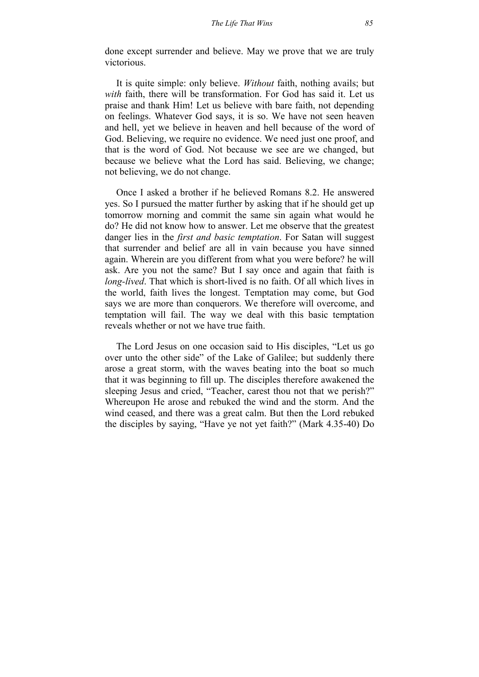done except surrender and believe. May we prove that we are truly victorious.

It is quite simple: only believe. *Without* faith, nothing avails; but *with* faith, there will be transformation. For God has said it. Let us praise and thank Him! Let us believe with bare faith, not depending on feelings. Whatever God says, it is so. We have not seen heaven and hell, yet we believe in heaven and hell because of the word of God. Believing, we require no evidence. We need just one proof, and that is the word of God. Not because we see are we changed, but because we believe what the Lord has said. Believing, we change; not believing, we do not change.

Once I asked a brother if he believed Romans 8.2. He answered yes. So I pursued the matter further by asking that if he should get up tomorrow morning and commit the same sin again what would he do? He did not know how to answer. Let me observe that the greatest danger lies in the *first and basic temptation*. For Satan will suggest that surrender and belief are all in vain because you have sinned again. Wherein are you different from what you were before? he will ask. Are you not the same? But I say once and again that faith is *long-lived*. That which is short-lived is no faith. Of all which lives in the world, faith lives the longest. Temptation may come, but God says we are more than conquerors. We therefore will overcome, and temptation will fail. The way we deal with this basic temptation reveals whether or not we have true faith.

The Lord Jesus on one occasion said to His disciples, "Let us go over unto the other side" of the Lake of Galilee; but suddenly there arose a great storm, with the waves beating into the boat so much that it was beginning to fill up. The disciples therefore awakened the sleeping Jesus and cried, "Teacher, carest thou not that we perish?" Whereupon He arose and rebuked the wind and the storm. And the wind ceased, and there was a great calm. But then the Lord rebuked the disciples by saying, "Have ye not yet faith?" (Mark 4.35-40) Do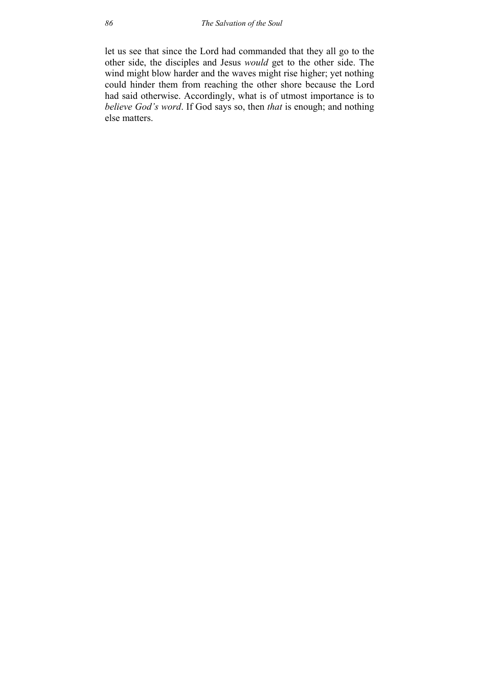let us see that since the Lord had commanded that they all go to the other side, the disciples and Jesus *would* get to the other side. The wind might blow harder and the waves might rise higher; yet nothing could hinder them from reaching the other shore because the Lord had said otherwise. Accordingly, what is of utmost importance is to *believe God's word*. If God says so, then *that* is enough; and nothing else matters.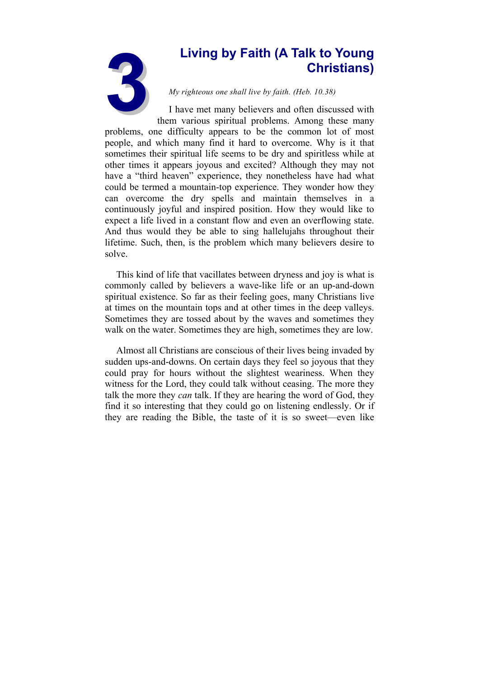

# **3Living by Faith (A Talk to Young Christians)**<br> *My righteous one shall live by faith. (Heb. 10.38)*<br>
I have met many believers and often discussed with them various spiritual problems. Among these many **Christians)**

*My righteous one shall live by faith. (Heb. 10.38)*

I have met many believers and often discussed with them various spiritual problems. Among these many problems, one difficulty appears to be the common lot of most people, and which many find it hard to overcome. Why is it that sometimes their spiritual life seems to be dry and spiritless while at other times it appears joyous and excited? Although they may not have a "third heaven" experience, they nonetheless have had what could be termed a mountain-top experience. They wonder how they can overcome the dry spells and maintain themselves in a continuously joyful and inspired position. How they would like to expect a life lived in a constant flow and even an overflowing state. And thus would they be able to sing hallelujahs throughout their lifetime. Such, then, is the problem which many believers desire to solve.

This kind of life that vacillates between dryness and joy is what is commonly called by believers a wave-like life or an up-and-down spiritual existence. So far as their feeling goes, many Christians live at times on the mountain tops and at other times in the deep valleys. Sometimes they are tossed about by the waves and sometimes they walk on the water. Sometimes they are high, sometimes they are low.

Almost all Christians are conscious of their lives being invaded by sudden ups-and-downs. On certain days they feel so joyous that they could pray for hours without the slightest weariness. When they witness for the Lord, they could talk without ceasing. The more they talk the more they *can* talk. If they are hearing the word of God, they find it so interesting that they could go on listening endlessly. Or if they are reading the Bible, the taste of it is so sweet—even like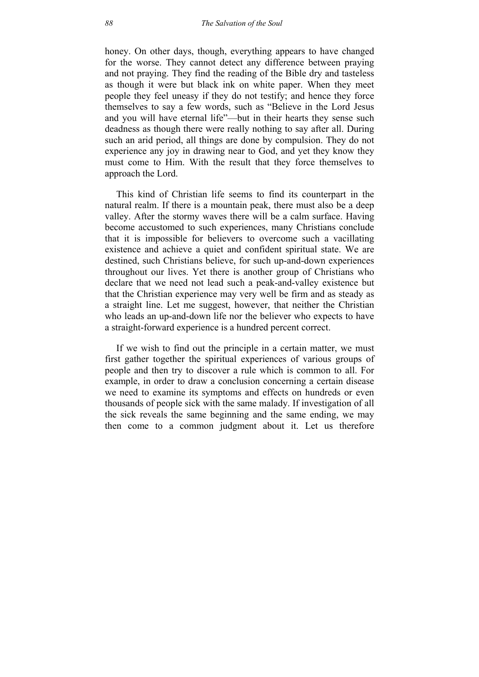honey. On other days, though, everything appears to have changed for the worse. They cannot detect any difference between praying and not praying. They find the reading of the Bible dry and tasteless as though it were but black ink on white paper. When they meet people they feel uneasy if they do not testify; and hence they force themselves to say a few words, such as "Believe in the Lord Jesus and you will have eternal life"—but in their hearts they sense such deadness as though there were really nothing to say after all. During such an arid period, all things are done by compulsion. They do not experience any joy in drawing near to God, and yet they know they must come to Him. With the result that they force themselves to approach the Lord.

This kind of Christian life seems to find its counterpart in the natural realm. If there is a mountain peak, there must also be a deep valley. After the stormy waves there will be a calm surface. Having become accustomed to such experiences, many Christians conclude that it is impossible for believers to overcome such a vacillating existence and achieve a quiet and confident spiritual state. We are destined, such Christians believe, for such up-and-down experiences throughout our lives. Yet there is another group of Christians who declare that we need not lead such a peak-and-valley existence but that the Christian experience may very well be firm and as steady as a straight line. Let me suggest, however, that neither the Christian who leads an up-and-down life nor the believer who expects to have a straight-forward experience is a hundred percent correct.

If we wish to find out the principle in a certain matter, we must first gather together the spiritual experiences of various groups of people and then try to discover a rule which is common to all. For example, in order to draw a conclusion concerning a certain disease we need to examine its symptoms and effects on hundreds or even thousands of people sick with the same malady. If investigation of all the sick reveals the same beginning and the same ending, we may then come to a common judgment about it. Let us therefore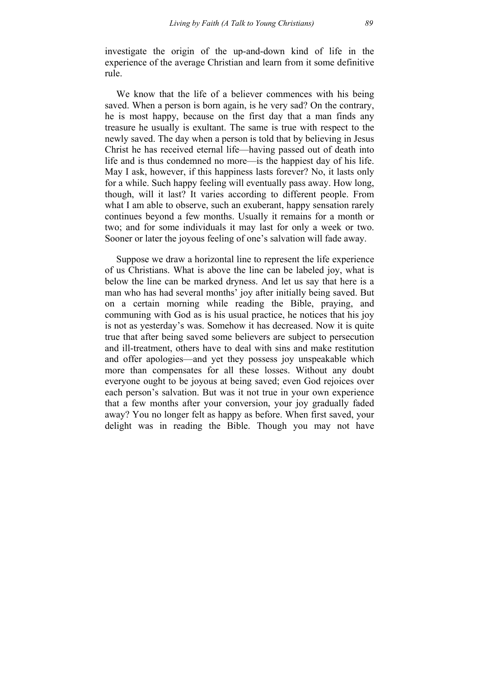investigate the origin of the up-and-down kind of life in the experience of the average Christian and learn from it some definitive rule.

We know that the life of a believer commences with his being saved. When a person is born again, is he very sad? On the contrary, he is most happy, because on the first day that a man finds any treasure he usually is exultant. The same is true with respect to the newly saved. The day when a person is told that by believing in Jesus Christ he has received eternal life—having passed out of death into life and is thus condemned no more—is the happiest day of his life. May I ask, however, if this happiness lasts forever? No, it lasts only for a while. Such happy feeling will eventually pass away. How long, though, will it last? It varies according to different people. From what I am able to observe, such an exuberant, happy sensation rarely continues beyond a few months. Usually it remains for a month or two; and for some individuals it may last for only a week or two. Sooner or later the joyous feeling of one's salvation will fade away.

Suppose we draw a horizontal line to represent the life experience of us Christians. What is above the line can be labeled joy, what is below the line can be marked dryness. And let us say that here is a man who has had several months' joy after initially being saved. But on a certain morning while reading the Bible, praying, and communing with God as is his usual practice, he notices that his joy is not as yesterday's was. Somehow it has decreased. Now it is quite true that after being saved some believers are subject to persecution and ill-treatment, others have to deal with sins and make restitution and offer apologies—and yet they possess joy unspeakable which more than compensates for all these losses. Without any doubt everyone ought to be joyous at being saved; even God rejoices over each person's salvation. But was it not true in your own experience that a few months after your conversion, your joy gradually faded away? You no longer felt as happy as before. When first saved, your delight was in reading the Bible. Though you may not have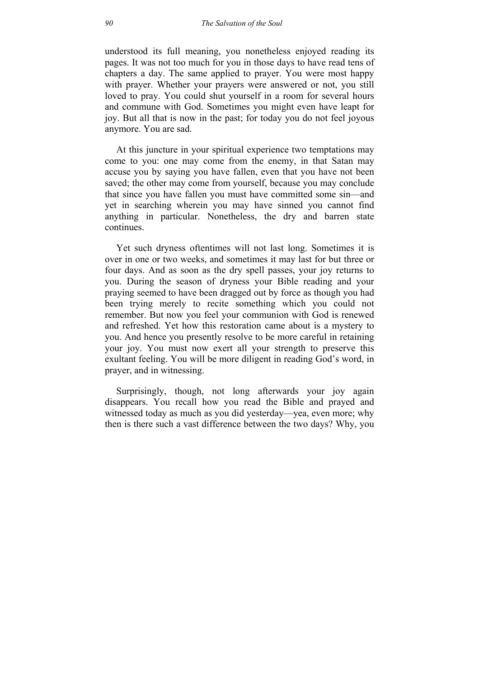understood its full meaning, you nonetheless enjoyed reading its pages. It was not too much for you in those days to have read tens of chapters a day. The same applied to prayer. You were most happy with prayer. Whether your prayers were answered or not, you still loved to pray. You could shut yourself in a room for several hours and commune with God. Sometimes you might even have leapt for joy. But all that is now in the past; for today you do not feel joyous anymore. You are sad.

At this juncture in your spiritual experience two temptations may come to you: one may come from the enemy, in that Satan may accuse you by saying you have fallen, even that you have not been saved; the other may come from yourself, because you may conclude that since you have fallen you must have committed some sin—and yet in searching wherein you may have sinned you cannot find anything in particular. Nonetheless, the dry and barren state continues.

Yet such dryness oftentimes will not last long. Sometimes it is over in one or two weeks, and sometimes it may last for but three or four days. And as soon as the dry spell passes, your joy returns to you. During the season of dryness your Bible reading and your praying seemed to have been dragged out by force as though you had been trying merely to recite something which you could not remember. But now you feel your communion with God is renewed and refreshed. Yet how this restoration came about is a mystery to you. And hence you presently resolve to be more careful in retaining your joy. You must now exert all your strength to preserve this exultant feeling. You will be more diligent in reading God's word, in prayer, and in witnessing.

Surprisingly, though, not long afterwards your joy again disappears. You recall how you read the Bible and prayed and witnessed today as much as you did yesterday—yea, even more; why then is there such a vast difference between the two days? Why, you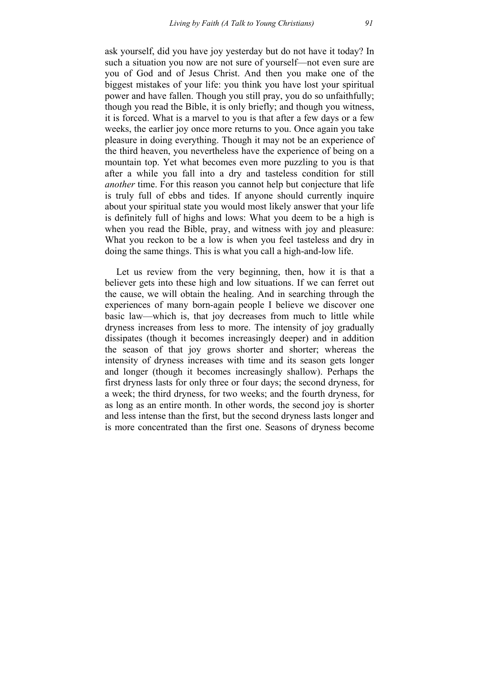ask yourself, did you have joy yesterday but do not have it today? In such a situation you now are not sure of yourself—not even sure are you of God and of Jesus Christ. And then you make one of the biggest mistakes of your life: you think you have lost your spiritual power and have fallen. Though you still pray, you do so unfaithfully; though you read the Bible, it is only briefly; and though you witness, it is forced. What is a marvel to you is that after a few days or a few weeks, the earlier joy once more returns to you. Once again you take pleasure in doing everything. Though it may not be an experience of the third heaven, you nevertheless have the experience of being on a mountain top. Yet what becomes even more puzzling to you is that after a while you fall into a dry and tasteless condition for still *another* time. For this reason you cannot help but conjecture that life is truly full of ebbs and tides. If anyone should currently inquire about your spiritual state you would most likely answer that your life is definitely full of highs and lows: What you deem to be a high is when you read the Bible, pray, and witness with joy and pleasure: What you reckon to be a low is when you feel tasteless and dry in doing the same things. This is what you call a high-and-low life.

Let us review from the very beginning, then, how it is that a believer gets into these high and low situations. If we can ferret out the cause, we will obtain the healing. And in searching through the experiences of many born-again people I believe we discover one basic law—which is, that joy decreases from much to little while dryness increases from less to more. The intensity of joy gradually dissipates (though it becomes increasingly deeper) and in addition the season of that joy grows shorter and shorter; whereas the intensity of dryness increases with time and its season gets longer and longer (though it becomes increasingly shallow). Perhaps the first dryness lasts for only three or four days; the second dryness, for a week; the third dryness, for two weeks; and the fourth dryness, for as long as an entire month. In other words, the second joy is shorter and less intense than the first, but the second dryness lasts longer and is more concentrated than the first one. Seasons of dryness become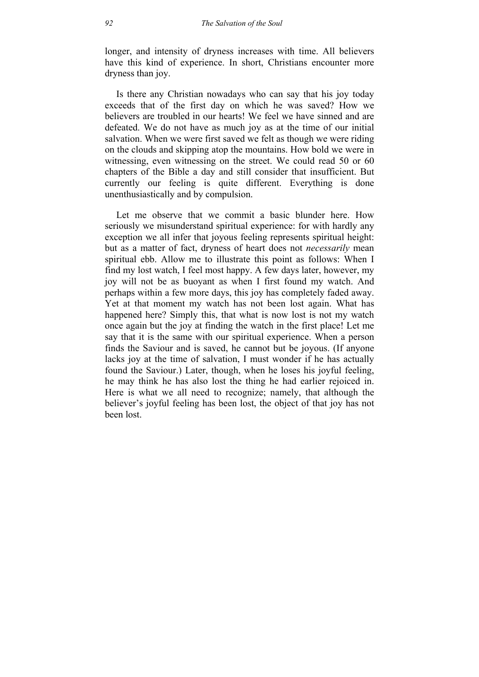longer, and intensity of dryness increases with time. All believers have this kind of experience. In short, Christians encounter more dryness than joy.

Is there any Christian nowadays who can say that his joy today exceeds that of the first day on which he was saved? How we believers are troubled in our hearts! We feel we have sinned and are defeated. We do not have as much joy as at the time of our initial salvation. When we were first saved we felt as though we were riding on the clouds and skipping atop the mountains. How bold we were in witnessing, even witnessing on the street. We could read 50 or 60 chapters of the Bible a day and still consider that insufficient. But currently our feeling is quite different. Everything is done unenthusiastically and by compulsion.

Let me observe that we commit a basic blunder here. How seriously we misunderstand spiritual experience: for with hardly any exception we all infer that joyous feeling represents spiritual height: but as a matter of fact, dryness of heart does not *necessarily* mean spiritual ebb. Allow me to illustrate this point as follows: When I find my lost watch, I feel most happy. A few days later, however, my joy will not be as buoyant as when I first found my watch. And perhaps within a few more days, this joy has completely faded away. Yet at that moment my watch has not been lost again. What has happened here? Simply this, that what is now lost is not my watch once again but the joy at finding the watch in the first place! Let me say that it is the same with our spiritual experience. When a person finds the Saviour and is saved, he cannot but be joyous. (If anyone lacks joy at the time of salvation, I must wonder if he has actually found the Saviour.) Later, though, when he loses his joyful feeling, he may think he has also lost the thing he had earlier rejoiced in. Here is what we all need to recognize; namely, that although the believer's joyful feeling has been lost, the object of that joy has not been lost.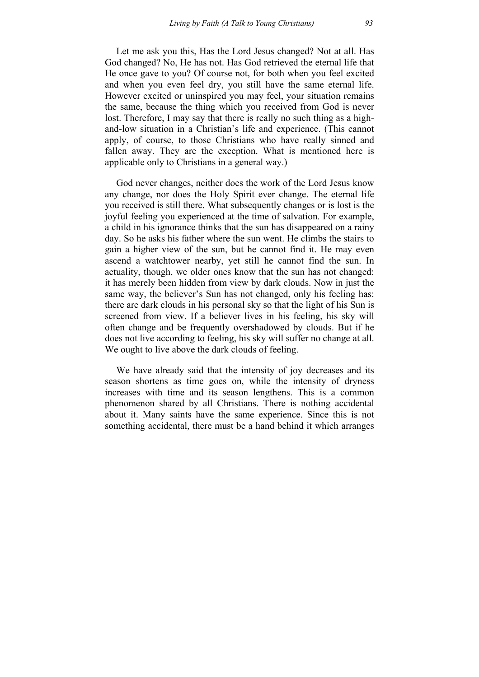Let me ask you this, Has the Lord Jesus changed? Not at all. Has God changed? No, He has not. Has God retrieved the eternal life that He once gave to you? Of course not, for both when you feel excited and when you even feel dry, you still have the same eternal life. However excited or uninspired you may feel, your situation remains the same, because the thing which you received from God is never lost. Therefore, I may say that there is really no such thing as a highand-low situation in a Christian's life and experience. (This cannot apply, of course, to those Christians who have really sinned and fallen away. They are the exception. What is mentioned here is applicable only to Christians in a general way.)

God never changes, neither does the work of the Lord Jesus know any change, nor does the Holy Spirit ever change. The eternal life you received is still there. What subsequently changes or is lost is the joyful feeling you experienced at the time of salvation. For example, a child in his ignorance thinks that the sun has disappeared on a rainy day. So he asks his father where the sun went. He climbs the stairs to gain a higher view of the sun, but he cannot find it. He may even ascend a watchtower nearby, yet still he cannot find the sun. In actuality, though, we older ones know that the sun has not changed: it has merely been hidden from view by dark clouds. Now in just the same way, the believer's Sun has not changed, only his feeling has: there are dark clouds in his personal sky so that the light of his Sun is screened from view. If a believer lives in his feeling, his sky will often change and be frequently overshadowed by clouds. But if he does not live according to feeling, his sky will suffer no change at all. We ought to live above the dark clouds of feeling.

We have already said that the intensity of joy decreases and its season shortens as time goes on, while the intensity of dryness increases with time and its season lengthens. This is a common phenomenon shared by all Christians. There is nothing accidental about it. Many saints have the same experience. Since this is not something accidental, there must be a hand behind it which arranges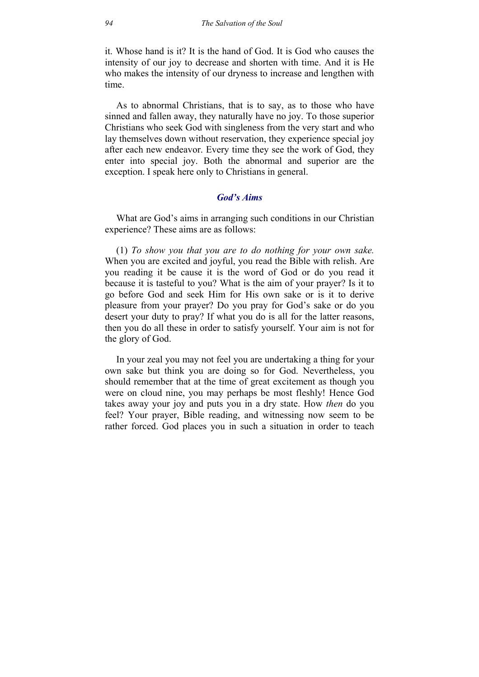it. Whose hand is it? It is the hand of God. It is God who causes the intensity of our joy to decrease and shorten with time. And it is He who makes the intensity of our dryness to increase and lengthen with time.

As to abnormal Christians, that is to say, as to those who have sinned and fallen away, they naturally have no joy. To those superior Christians who seek God with singleness from the very start and who lay themselves down without reservation, they experience special joy after each new endeavor. Every time they see the work of God, they enter into special joy. Both the abnormal and superior are the exception. I speak here only to Christians in general.

## *God's Aims*

What are God's aims in arranging such conditions in our Christian experience? These aims are as follows:

(1) *To show you that you are to do nothing for your own sake.* When you are excited and joyful, you read the Bible with relish. Are you reading it be cause it is the word of God or do you read it because it is tasteful to you? What is the aim of your prayer? Is it to go before God and seek Him for His own sake or is it to derive pleasure from your prayer? Do you pray for God's sake or do you desert your duty to pray? If what you do is all for the latter reasons, then you do all these in order to satisfy yourself. Your aim is not for the glory of God.

In your zeal you may not feel you are undertaking a thing for your own sake but think you are doing so for God. Nevertheless, you should remember that at the time of great excitement as though you were on cloud nine, you may perhaps be most fleshly! Hence God takes away your joy and puts you in a dry state. How *then* do you feel? Your prayer, Bible reading, and witnessing now seem to be rather forced. God places you in such a situation in order to teach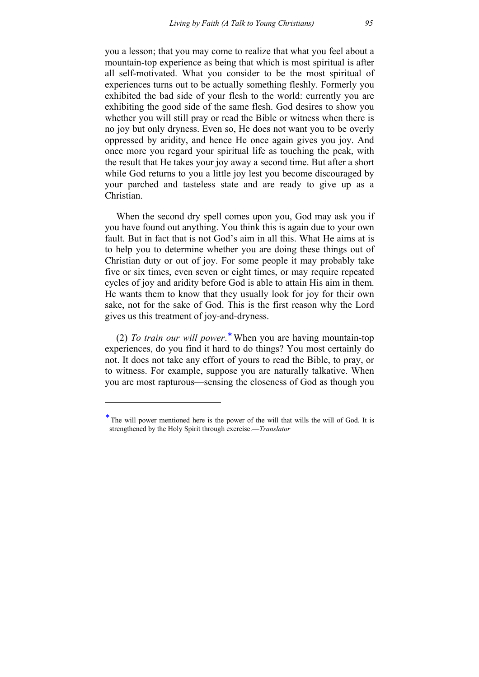you a lesson; that you may come to realize that what you feel about a mountain-top experience as being that which is most spiritual is after all self-motivated. What you consider to be the most spiritual of experiences turns out to be actually something fleshly. Formerly you exhibited the bad side of your flesh to the world: currently you are exhibiting the good side of the same flesh. God desires to show you whether you will still pray or read the Bible or witness when there is no joy but only dryness. Even so, He does not want you to be overly oppressed by aridity, and hence He once again gives you joy. And once more you regard your spiritual life as touching the peak, with the result that He takes your joy away a second time. But after a short while God returns to you a little joy lest you become discouraged by your parched and tasteless state and are ready to give up as a Christian.

When the second dry spell comes upon you, God may ask you if you have found out anything. You think this is again due to your own fault. But in fact that is not God's aim in all this. What He aims at is to help you to determine whether you are doing these things out of Christian duty or out of joy. For some people it may probably take five or six times, even seven or eight times, or may require repeated cycles of joy and aridity before God is able to attain His aim in them. He wants them to know that they usually look for joy for their own sake, not for the sake of God. This is the first reason why the Lord gives us this treatment of joy-and-dryness.

(2) *To train our will power*. ∗ When you are having mountain-top experiences, do you find it hard to do things? You most certainly do not. It does not take any effort of yours to read the Bible, to pray, or to witness. For example, suppose you are naturally talkative. When you are most rapturous—sensing the closeness of God as though you

 $\overline{a}$ 

<sup>∗</sup> The will power mentioned here is the power of the will that wills the will of God. It is strengthened by the Holy Spirit through exercise.—*Translator*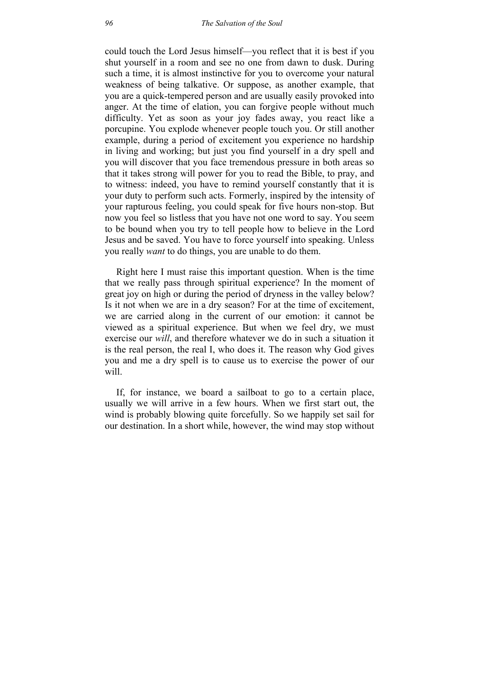could touch the Lord Jesus himself—you reflect that it is best if you shut yourself in a room and see no one from dawn to dusk. During such a time, it is almost instinctive for you to overcome your natural weakness of being talkative. Or suppose, as another example, that you are a quick-tempered person and are usually easily provoked into anger. At the time of elation, you can forgive people without much difficulty. Yet as soon as your joy fades away, you react like a porcupine. You explode whenever people touch you. Or still another example, during a period of excitement you experience no hardship in living and working; but just you find yourself in a dry spell and you will discover that you face tremendous pressure in both areas so that it takes strong will power for you to read the Bible, to pray, and to witness: indeed, you have to remind yourself constantly that it is your duty to perform such acts. Formerly, inspired by the intensity of your rapturous feeling, you could speak for five hours non-stop. But now you feel so listless that you have not one word to say. You seem to be bound when you try to tell people how to believe in the Lord Jesus and be saved. You have to force yourself into speaking. Unless you really *want* to do things, you are unable to do them.

Right here I must raise this important question. When is the time that we really pass through spiritual experience? In the moment of great joy on high or during the period of dryness in the valley below? Is it not when we are in a dry season? For at the time of excitement, we are carried along in the current of our emotion: it cannot be viewed as a spiritual experience. But when we feel dry, we must exercise our *will*, and therefore whatever we do in such a situation it is the real person, the real I, who does it. The reason why God gives you and me a dry spell is to cause us to exercise the power of our will

If, for instance, we board a sailboat to go to a certain place, usually we will arrive in a few hours. When we first start out, the wind is probably blowing quite forcefully. So we happily set sail for our destination. In a short while, however, the wind may stop without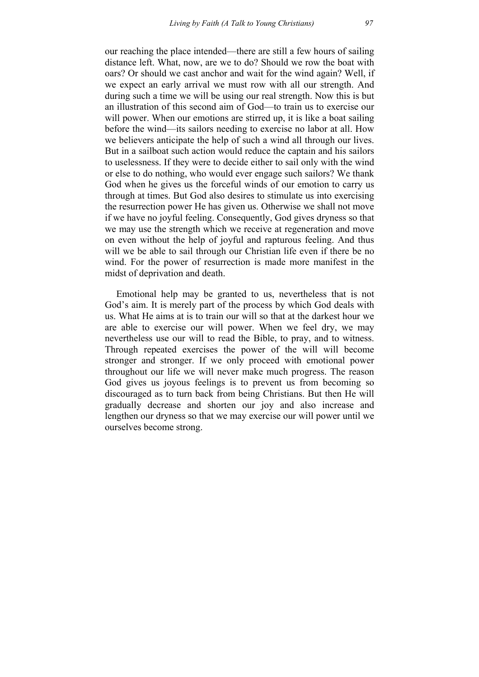our reaching the place intended—there are still a few hours of sailing distance left. What, now, are we to do? Should we row the boat with oars? Or should we cast anchor and wait for the wind again? Well, if we expect an early arrival we must row with all our strength. And during such a time we will be using our real strength. Now this is but an illustration of this second aim of God—to train us to exercise our will power. When our emotions are stirred up, it is like a boat sailing before the wind—its sailors needing to exercise no labor at all. How we believers anticipate the help of such a wind all through our lives. But in a sailboat such action would reduce the captain and his sailors to uselessness. If they were to decide either to sail only with the wind or else to do nothing, who would ever engage such sailors? We thank God when he gives us the forceful winds of our emotion to carry us through at times. But God also desires to stimulate us into exercising the resurrection power He has given us. Otherwise we shall not move if we have no joyful feeling. Consequently, God gives dryness so that we may use the strength which we receive at regeneration and move on even without the help of joyful and rapturous feeling. And thus will we be able to sail through our Christian life even if there be no wind. For the power of resurrection is made more manifest in the midst of deprivation and death.

Emotional help may be granted to us, nevertheless that is not God's aim. It is merely part of the process by which God deals with us. What He aims at is to train our will so that at the darkest hour we are able to exercise our will power. When we feel dry, we may nevertheless use our will to read the Bible, to pray, and to witness. Through repeated exercises the power of the will will become stronger and stronger. If we only proceed with emotional power throughout our life we will never make much progress. The reason God gives us joyous feelings is to prevent us from becoming so discouraged as to turn back from being Christians. But then He will gradually decrease and shorten our joy and also increase and lengthen our dryness so that we may exercise our will power until we ourselves become strong.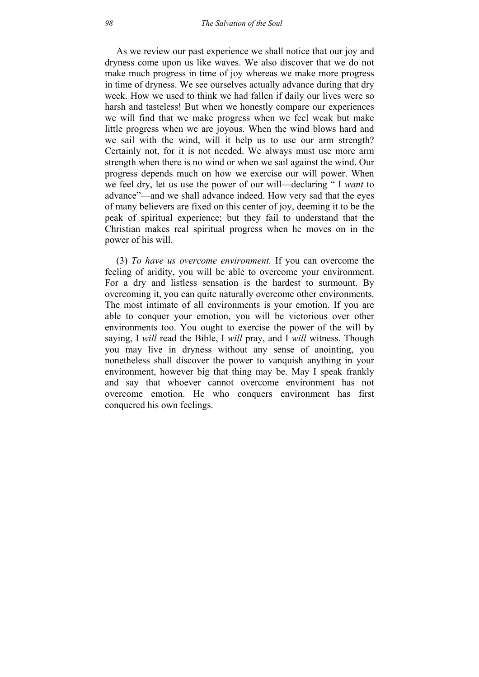As we review our past experience we shall notice that our joy and dryness come upon us like waves. We also discover that we do not make much progress in time of joy whereas we make more progress in time of dryness. We see ourselves actually advance during that dry week. How we used to think we had fallen if daily our lives were so harsh and tasteless! But when we honestly compare our experiences we will find that we make progress when we feel weak but make little progress when we are joyous. When the wind blows hard and we sail with the wind, will it help us to use our arm strength? Certainly not, for it is not needed. We always must use more arm strength when there is no wind or when we sail against the wind. Our progress depends much on how we exercise our will power. When we feel dry, let us use the power of our will—declaring " I *want* to advance"—and we shall advance indeed. How very sad that the eyes of many believers are fixed on this center of joy, deeming it to be the peak of spiritual experience; but they fail to understand that the Christian makes real spiritual progress when he moves on in the power of his will.

(3) *To have us overcome environment.* If you can overcome the feeling of aridity, you will be able to overcome your environment. For a dry and listless sensation is the hardest to surmount. By overcoming it, you can quite naturally overcome other environments. The most intimate of all environments is your emotion. If you are able to conquer your emotion, you will be victorious over other environments too. You ought to exercise the power of the will by saying, I *will* read the Bible, I *will* pray, and I *will* witness. Though you may live in dryness without any sense of anointing, you nonetheless shall discover the power to vanquish anything in your environment, however big that thing may be. May I speak frankly and say that whoever cannot overcome environment has not overcome emotion. He who conquers environment has first conquered his own feelings.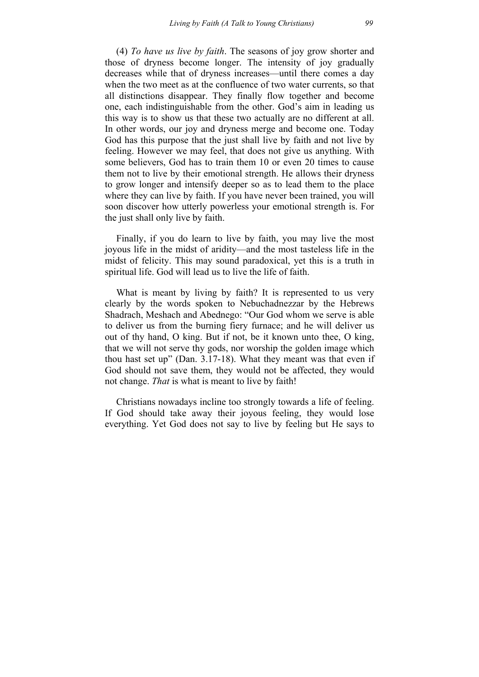(4) *To have us live by faith*. The seasons of joy grow shorter and those of dryness become longer. The intensity of joy gradually decreases while that of dryness increases—until there comes a day when the two meet as at the confluence of two water currents, so that all distinctions disappear. They finally flow together and become one, each indistinguishable from the other. God's aim in leading us this way is to show us that these two actually are no different at all. In other words, our joy and dryness merge and become one. Today God has this purpose that the just shall live by faith and not live by feeling. However we may feel, that does not give us anything. With some believers, God has to train them 10 or even 20 times to cause them not to live by their emotional strength. He allows their dryness to grow longer and intensify deeper so as to lead them to the place where they can live by faith. If you have never been trained, you will soon discover how utterly powerless your emotional strength is. For the just shall only live by faith.

Finally, if you do learn to live by faith, you may live the most joyous life in the midst of aridity—and the most tasteless life in the midst of felicity. This may sound paradoxical, yet this is a truth in spiritual life. God will lead us to live the life of faith.

What is meant by living by faith? It is represented to us very clearly by the words spoken to Nebuchadnezzar by the Hebrews Shadrach, Meshach and Abednego: "Our God whom we serve is able to deliver us from the burning fiery furnace; and he will deliver us out of thy hand, O king. But if not, be it known unto thee, O king, that we will not serve thy gods, nor worship the golden image which thou hast set up" (Dan. 3.17-18). What they meant was that even if God should not save them, they would not be affected, they would not change. *That* is what is meant to live by faith!

Christians nowadays incline too strongly towards a life of feeling. If God should take away their joyous feeling, they would lose everything. Yet God does not say to live by feeling but He says to